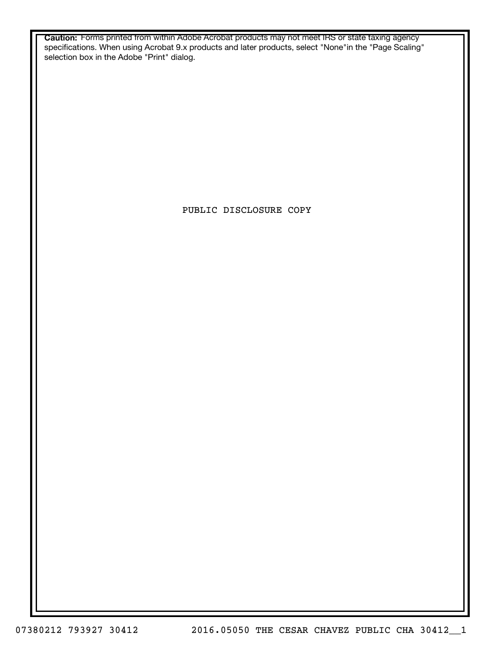**Caution:** Forms printed from within Adobe Acrobat products may not meet IRS or state taxing agency specifications. When using Acrobat 9.x products and later products, select "None"in the "Page Scaling" selection box in the Adobe "Print" dialog.

PUBLIC DISCLOSURE COPY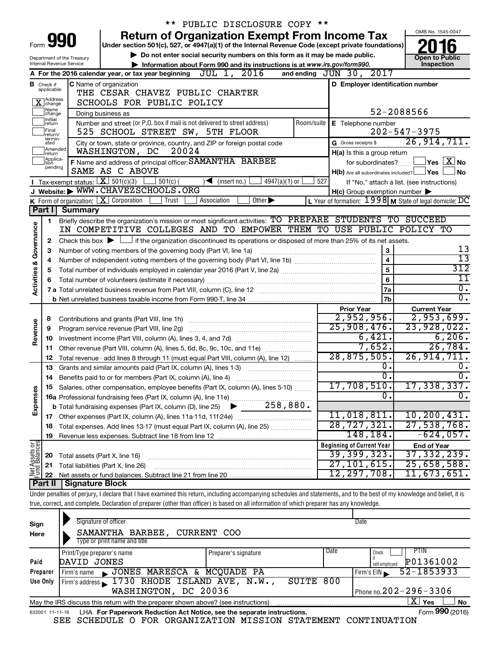|                                                                                                            |                               |                                                                                                                                             | ** PUBLIC DISCLOSURE COPY **                                                                                                                                               |                                                           |                                            |  |  |
|------------------------------------------------------------------------------------------------------------|-------------------------------|---------------------------------------------------------------------------------------------------------------------------------------------|----------------------------------------------------------------------------------------------------------------------------------------------------------------------------|-----------------------------------------------------------|--------------------------------------------|--|--|
|                                                                                                            |                               |                                                                                                                                             | <b>Return of Organization Exempt From Income Tax</b>                                                                                                                       |                                                           | OMB No. 1545-0047                          |  |  |
| Form<br>Under section 501(c), 527, or 4947(a)(1) of the Internal Revenue Code (except private foundations) |                               |                                                                                                                                             |                                                                                                                                                                            |                                                           |                                            |  |  |
|                                                                                                            |                               | Department of the Treasury                                                                                                                  | Do not enter social security numbers on this form as it may be made public.                                                                                                |                                                           | <b>Open to Public</b>                      |  |  |
|                                                                                                            |                               | Internal Revenue Service                                                                                                                    | Information about Form 990 and its instructions is at www.irs.gov/form990.                                                                                                 |                                                           | Inspection                                 |  |  |
|                                                                                                            |                               |                                                                                                                                             | A For the 2016 calendar year, or tax year beginning $JUL$ 1, $2016$                                                                                                        | and ending JUN 30, 2017                                   |                                            |  |  |
|                                                                                                            | <b>B</b> Check if applicable: |                                                                                                                                             | C Name of organization                                                                                                                                                     | D Employer identification number                          |                                            |  |  |
|                                                                                                            | Address<br>]change            |                                                                                                                                             | THE CESAR CHAVEZ PUBLIC CHARTER<br>SCHOOLS FOR PUBLIC POLICY                                                                                                               |                                                           |                                            |  |  |
|                                                                                                            | Name<br> change               |                                                                                                                                             |                                                                                                                                                                            |                                                           | 52-2088566                                 |  |  |
|                                                                                                            | Initial<br> return            |                                                                                                                                             | Doing business as<br>Number and street (or P.O. box if mail is not delivered to street address)<br>Room/suite                                                              | E Telephone number                                        |                                            |  |  |
|                                                                                                            | Final                         |                                                                                                                                             | 525 SCHOOL STREET SW, 5TH FLOOR                                                                                                                                            |                                                           | $202 - 547 - 3975$                         |  |  |
|                                                                                                            | return/<br>termin-<br>ated    |                                                                                                                                             | City or town, state or province, country, and ZIP or foreign postal code                                                                                                   | G Gross receipts \$                                       | 26, 914, 711.                              |  |  |
|                                                                                                            | Amended<br>return             |                                                                                                                                             | WASHINGTON, DC<br>20024                                                                                                                                                    | H(a) Is this a group return                               |                                            |  |  |
|                                                                                                            | Applica-<br>tion              |                                                                                                                                             | F Name and address of principal officer: SAMANTHA BARBEE                                                                                                                   | for subordinates?                                         | $\overline{\ }$ Yes $\overline{\rm X}$ No  |  |  |
|                                                                                                            | pending                       |                                                                                                                                             | SAME AS C ABOVE                                                                                                                                                            | $H(b)$ Are all subordinates included? $\Box$ Yes          | No                                         |  |  |
|                                                                                                            |                               |                                                                                                                                             | <b>I</b> Tax-exempt status: $X$ 501(c)(3)<br>$\frac{1}{2}$ 501(c) (<br>$\sqrt{\frac{1}{1}}$ (insert no.)<br>$4947(a)(1)$ or                                                | 527                                                       | If "No," attach a list. (see instructions) |  |  |
|                                                                                                            |                               |                                                                                                                                             | J Website: WWW.CHAVEZSCHOOLS.ORG                                                                                                                                           | $H(c)$ Group exemption number $\blacktriangleright$       |                                            |  |  |
|                                                                                                            |                               |                                                                                                                                             | <b>K</b> Form of organization: $\boxed{\mathbf{X}}$ Corporation<br>Trust<br>Association<br>Other $\blacktriangleright$                                                     | L Year of formation: $1998$ M State of legal domicile: DC |                                            |  |  |
|                                                                                                            | Part I                        | <b>Summary</b>                                                                                                                              |                                                                                                                                                                            |                                                           |                                            |  |  |
|                                                                                                            | 1.                            |                                                                                                                                             | Briefly describe the organization's mission or most significant activities: TO PREPARE STUDENTS TO SUCCEED                                                                 |                                                           |                                            |  |  |
|                                                                                                            |                               |                                                                                                                                             | IN COMPETITIVE COLLEGES AND TO EMPOWER THEM TO USE PUBLIC POLICY TO                                                                                                        |                                                           |                                            |  |  |
| Governance                                                                                                 | 2                             | Check this box $\blacktriangleright$ $\Box$ if the organization discontinued its operations or disposed of more than 25% of its net assets. |                                                                                                                                                                            |                                                           |                                            |  |  |
|                                                                                                            | 3                             | 3<br>Number of voting members of the governing body (Part VI, line 1a)<br>$\overline{\mathbf{4}}$                                           |                                                                                                                                                                            |                                                           |                                            |  |  |
|                                                                                                            | 4                             |                                                                                                                                             |                                                                                                                                                                            | 5                                                         | 13<br>312                                  |  |  |
| <b>Activities &amp;</b>                                                                                    | 5<br>6                        |                                                                                                                                             |                                                                                                                                                                            | 6                                                         | 11                                         |  |  |
|                                                                                                            |                               |                                                                                                                                             |                                                                                                                                                                            | 7a                                                        | $\overline{0}$ .                           |  |  |
|                                                                                                            |                               |                                                                                                                                             |                                                                                                                                                                            | 7b                                                        | $\overline{0}$ .                           |  |  |
|                                                                                                            |                               |                                                                                                                                             |                                                                                                                                                                            | <b>Prior Year</b>                                         | <b>Current Year</b>                        |  |  |
|                                                                                                            | 8                             |                                                                                                                                             |                                                                                                                                                                            | 2,952,956.                                                | 2,953,699.                                 |  |  |
| Revenue                                                                                                    | 9                             |                                                                                                                                             | Program service revenue (Part VIII, line 2g)                                                                                                                               | 25,908,476.                                               | 23,928,022.                                |  |  |
|                                                                                                            | 10                            |                                                                                                                                             |                                                                                                                                                                            | 6,421.                                                    | 6, 206.                                    |  |  |
|                                                                                                            | 11                            |                                                                                                                                             | Other revenue (Part VIII, column (A), lines 5, 6d, 8c, 9c, 10c, and 11e)                                                                                                   | 7,652.                                                    | 26,784.                                    |  |  |
|                                                                                                            | 12                            |                                                                                                                                             | Total revenue - add lines 8 through 11 (must equal Part VIII, column (A), line 12)                                                                                         | 28,875,505.                                               | 26, 914, 711.                              |  |  |
|                                                                                                            | 13                            |                                                                                                                                             | Grants and similar amounts paid (Part IX, column (A), lines 1-3)                                                                                                           | $\overline{0}$ .                                          | ο.                                         |  |  |
|                                                                                                            | 14                            |                                                                                                                                             | Benefits paid to or for members (Part IX, column (A), line 4)                                                                                                              | $\overline{0}$ .                                          | $\overline{0}$ .                           |  |  |
|                                                                                                            |                               |                                                                                                                                             | <b>15</b> Salaries, other compensation, employee benefits (Part IX, column (A), lines 5-10)                                                                                | 17,708,510.<br>σ.                                         | 17,338,337.<br>$\overline{0}$ .            |  |  |
| Expenses                                                                                                   |                               |                                                                                                                                             |                                                                                                                                                                            |                                                           |                                            |  |  |
|                                                                                                            |                               |                                                                                                                                             |                                                                                                                                                                            | $11,018,811$ .                                            | 10, 200, 431.                              |  |  |
|                                                                                                            | 18                            |                                                                                                                                             | Total expenses. Add lines 13-17 (must equal Part IX, column (A), line 25)                                                                                                  | 28, 727, 321.                                             | 27,538,768.                                |  |  |
|                                                                                                            | 19                            |                                                                                                                                             |                                                                                                                                                                            | 148,184.                                                  | $-624,057$ .                               |  |  |
|                                                                                                            |                               |                                                                                                                                             |                                                                                                                                                                            | <b>Beginning of Current Year</b>                          | <b>End of Year</b>                         |  |  |
|                                                                                                            | 20                            | Total assets (Part X, line 16)                                                                                                              |                                                                                                                                                                            | 39,399,323.                                               | 37, 332, 239.                              |  |  |
| Net Assets or                                                                                              | 21                            |                                                                                                                                             | Total liabilities (Part X, line 26)                                                                                                                                        | 27, 101, 615.                                             | 25,658,588.                                |  |  |
|                                                                                                            | 22                            |                                                                                                                                             |                                                                                                                                                                            | 12,297,708.                                               | 11,673,651.                                |  |  |
|                                                                                                            | Part II                       | <b>Signature Block</b>                                                                                                                      |                                                                                                                                                                            |                                                           |                                            |  |  |
|                                                                                                            |                               |                                                                                                                                             | Under penalties of perjury, I declare that I have examined this return, including accompanying schedules and statements, and to the best of my knowledge and belief, it is |                                                           |                                            |  |  |
|                                                                                                            |                               |                                                                                                                                             | true, correct, and complete. Declaration of preparer (other than officer) is based on all information of which preparer has any knowledge.                                 |                                                           |                                            |  |  |

| Sign<br>Here                                         | Signature of officer<br>SAMANTHA BARBEE, CURRENT COO<br>Type or print name and title                         |                      |                            | Date                     |  |  |  |
|------------------------------------------------------|--------------------------------------------------------------------------------------------------------------|----------------------|----------------------------|--------------------------|--|--|--|
|                                                      | Print/Type preparer's name                                                                                   | Preparer's signature | Date                       | PTIN<br>Check            |  |  |  |
| Paid                                                 | DAVID JONES                                                                                                  |                      | P01361002<br>self-employed |                          |  |  |  |
| Preparer                                             | JONES MARESCA & MCQUADE PA<br>Firm's name<br>$\blacksquare$                                                  |                      |                            | 52-1853933<br>Firm's EIN |  |  |  |
| Use Only                                             | Firm's address 1730 RHODE ISLAND AVE, N.W.,                                                                  | SUITE                | 800                        |                          |  |  |  |
| Phone no. $202 - 296 - 3306$<br>WASHINGTON, DC 20036 |                                                                                                              |                      |                            |                          |  |  |  |
|                                                      | X <br>Yes<br><b>No</b><br>May the IRS discuss this return with the preparer shown above? (see instructions)  |                      |                            |                          |  |  |  |
|                                                      | Form 990 (2016)<br>LHA For Paperwork Reduction Act Notice, see the separate instructions.<br>632001 11-11-16 |                      |                            |                          |  |  |  |

SEE SCHEDULE O FOR ORGANIZATION MISSION STATEMENT CONTINUATION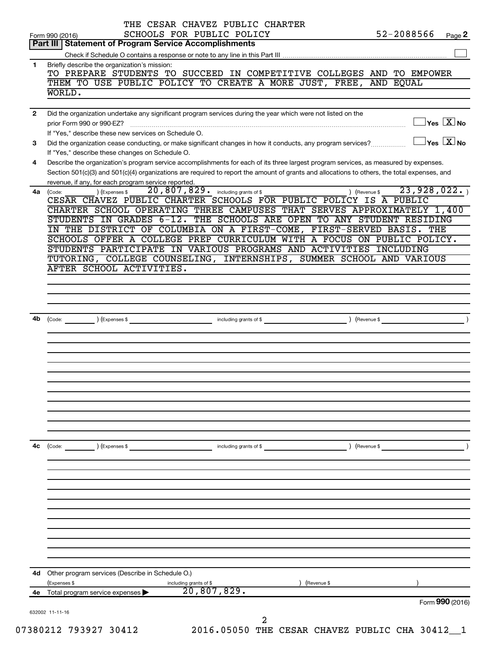| 4b<br>4с       | $\left(\text{Code:}\right)$ $\left(\text{Expenses $}\right)$<br>4d Other program services (Describe in Schedule O.)<br>(Expenses \$<br>4e Total program service expenses | including grants of \$<br>including grants of \$<br>20,807,829.                                                                                                                                                       | ) (Revenue \$<br>) (Revenue \$ | Form 990 (2016)                                                              |
|----------------|--------------------------------------------------------------------------------------------------------------------------------------------------------------------------|-----------------------------------------------------------------------------------------------------------------------------------------------------------------------------------------------------------------------|--------------------------------|------------------------------------------------------------------------------|
|                |                                                                                                                                                                          |                                                                                                                                                                                                                       |                                |                                                                              |
|                |                                                                                                                                                                          |                                                                                                                                                                                                                       |                                |                                                                              |
|                |                                                                                                                                                                          |                                                                                                                                                                                                                       |                                |                                                                              |
|                |                                                                                                                                                                          |                                                                                                                                                                                                                       |                                |                                                                              |
|                |                                                                                                                                                                          |                                                                                                                                                                                                                       |                                |                                                                              |
|                |                                                                                                                                                                          |                                                                                                                                                                                                                       |                                |                                                                              |
|                |                                                                                                                                                                          |                                                                                                                                                                                                                       |                                |                                                                              |
|                |                                                                                                                                                                          |                                                                                                                                                                                                                       |                                |                                                                              |
|                |                                                                                                                                                                          |                                                                                                                                                                                                                       |                                |                                                                              |
|                |                                                                                                                                                                          |                                                                                                                                                                                                                       |                                |                                                                              |
|                |                                                                                                                                                                          |                                                                                                                                                                                                                       |                                |                                                                              |
|                | AFTER SCHOOL ACTIVITIES.                                                                                                                                                 | TUTORING, COLLEGE COUNSELING, INTERNSHIPS, SUMMER SCHOOL AND VARIOUS                                                                                                                                                  |                                |                                                                              |
|                |                                                                                                                                                                          | IN THE DISTRICT OF COLUMBIA ON A FIRST-COME, FIRST-SERVED BASIS. THE<br>SCHOOLS OFFER A COLLEGE PREP CURRICULUM WITH A FOCUS ON PUBLIC POLICY.<br>STUDENTS PARTICIPATE IN VARIOUS PROGRAMS AND ACTIVITIES INCLUDING   |                                |                                                                              |
|                |                                                                                                                                                                          | CESAR CHAVEZ PUBLIC CHARTER SCHOOLS FOR PUBLIC POLICY IS A PUBLIC<br>CHARTER SCHOOL OPERATING THREE CAMPUSES THAT SERVES APPROXIMATELY 1,400<br>STUDENTS IN GRADES 6-12. THE SCHOOLS ARE OPEN TO ANY STUDENT RESIDING |                                |                                                                              |
| 4a (Code:      | revenue, if any, for each program service reported.<br>) (Expenses \$                                                                                                    | Section 501(c)(3) and 501(c)(4) organizations are required to report the amount of grants and allocations to others, the total expenses, and<br>20,807,829. including grants of \$                                    | 23,928,022.<br>(Revenue \$     |                                                                              |
| 4              | If "Yes," describe these changes on Schedule O.                                                                                                                          | Describe the organization's program service accomplishments for each of its three largest program services, as measured by expenses.                                                                                  |                                |                                                                              |
| 3              | If "Yes." describe these new services on Schedule O.                                                                                                                     | Did the organization cease conducting, or make significant changes in how it conducts, any program services?                                                                                                          |                                | $\Box$ Yes $[\overline{\mathrm{X}}]$ No<br>$\Box$ Yes $~\boxed{\text{X}}$ No |
| $\overline{2}$ |                                                                                                                                                                          | Did the organization undertake any significant program services during the year which were not listed on the                                                                                                          |                                |                                                                              |
|                | WORLD.                                                                                                                                                                   | THEM TO USE PUBLIC POLICY TO CREATE A MORE JUST, FREE, AND EQUAL                                                                                                                                                      |                                |                                                                              |
| 1              | Briefly describe the organization's mission:                                                                                                                             | TO PREPARE STUDENTS TO SUCCEED IN COMPETITIVE COLLEGES AND TO EMPOWER                                                                                                                                                 |                                |                                                                              |
|                |                                                                                                                                                                          | Part III   Statement of Program Service Accomplishments                                                                                                                                                               |                                |                                                                              |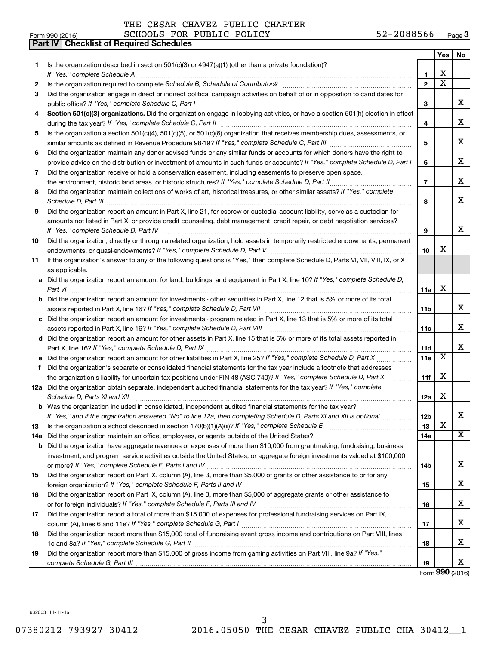**Part IV Checklist of Required Schedules**

### THE CESAR CHAVEZ PUBLIC CHARTER

| Form 990 (2016) | SCHOOLS FOR PUBLIC POLICY | 52-2088566<br>Page 3 |
|-----------------|---------------------------|----------------------|
|-----------------|---------------------------|----------------------|

|    |                                                                                                                                                                                                                                                         |                 | Yes                     | No |
|----|---------------------------------------------------------------------------------------------------------------------------------------------------------------------------------------------------------------------------------------------------------|-----------------|-------------------------|----|
| 1  | Is the organization described in section 501(c)(3) or $4947(a)(1)$ (other than a private foundation)?                                                                                                                                                   |                 |                         |    |
|    | If "Yes." complete Schedule A                                                                                                                                                                                                                           | 1               | х                       |    |
| 2  |                                                                                                                                                                                                                                                         | $\overline{2}$  | $\overline{\textbf{x}}$ |    |
| З  | Did the organization engage in direct or indirect political campaign activities on behalf of or in opposition to candidates for                                                                                                                         |                 |                         |    |
|    |                                                                                                                                                                                                                                                         | З               |                         | x  |
| 4  | Section 501(c)(3) organizations. Did the organization engage in lobbying activities, or have a section 501(h) election in effect                                                                                                                        |                 |                         |    |
|    |                                                                                                                                                                                                                                                         | 4               |                         | x  |
| 5  | Is the organization a section 501(c)(4), 501(c)(5), or 501(c)(6) organization that receives membership dues, assessments, or                                                                                                                            |                 |                         |    |
|    |                                                                                                                                                                                                                                                         | 5               |                         | x  |
| 6  | Did the organization maintain any donor advised funds or any similar funds or accounts for which donors have the right to                                                                                                                               |                 |                         |    |
|    | provide advice on the distribution or investment of amounts in such funds or accounts? If "Yes," complete Schedule D, Part I                                                                                                                            | 6               |                         | x  |
| 7  | Did the organization receive or hold a conservation easement, including easements to preserve open space,                                                                                                                                               |                 |                         |    |
|    | the environment, historic land areas, or historic structures? If "Yes," complete Schedule D, Part II                                                                                                                                                    | $\overline{7}$  |                         | x  |
| 8  | Did the organization maintain collections of works of art, historical treasures, or other similar assets? If "Yes," complete<br>Schedule D, Part III <b>Marting Communities</b> and the Communities and Technical Communities and Technical Communities | 8               |                         | x  |
| 9  | Did the organization report an amount in Part X, line 21, for escrow or custodial account liability, serve as a custodian for                                                                                                                           |                 |                         |    |
|    | amounts not listed in Part X; or provide credit counseling, debt management, credit repair, or debt negotiation services?                                                                                                                               |                 |                         |    |
|    | If "Yes," complete Schedule D, Part IV                                                                                                                                                                                                                  | 9               |                         | x  |
| 10 | Did the organization, directly or through a related organization, hold assets in temporarily restricted endowments, permanent                                                                                                                           | 10              | x                       |    |
| 11 | If the organization's answer to any of the following questions is "Yes," then complete Schedule D, Parts VI, VII, VIII, IX, or X                                                                                                                        |                 |                         |    |
|    | as applicable.                                                                                                                                                                                                                                          |                 |                         |    |
|    | a Did the organization report an amount for land, buildings, and equipment in Part X, line 10? If "Yes," complete Schedule D,                                                                                                                           |                 |                         |    |
|    | Part VI                                                                                                                                                                                                                                                 | 11a             | х                       |    |
|    | <b>b</b> Did the organization report an amount for investments - other securities in Part X, line 12 that is 5% or more of its total                                                                                                                    |                 |                         |    |
|    |                                                                                                                                                                                                                                                         | 11 <sub>b</sub> |                         | х  |
|    | c Did the organization report an amount for investments - program related in Part X, line 13 that is 5% or more of its total                                                                                                                            |                 |                         |    |
|    |                                                                                                                                                                                                                                                         | 11c             |                         | х  |
|    | d Did the organization report an amount for other assets in Part X, line 15 that is 5% or more of its total assets reported in                                                                                                                          |                 |                         |    |
|    |                                                                                                                                                                                                                                                         | 11d             | $\overline{\textbf{x}}$ | х  |
|    |                                                                                                                                                                                                                                                         | 11e             |                         |    |
| f  | Did the organization's separate or consolidated financial statements for the tax year include a footnote that addresses                                                                                                                                 |                 | X                       |    |
|    | the organization's liability for uncertain tax positions under FIN 48 (ASC 740)? If "Yes," complete Schedule D, Part X<br>12a Did the organization obtain separate, independent audited financial statements for the tax year? If "Yes," complete       | 11f             |                         |    |
|    | Schedule D, Parts XI and XII                                                                                                                                                                                                                            | 12a             | х                       |    |
|    | <b>b</b> Was the organization included in consolidated, independent audited financial statements for the tax year?                                                                                                                                      |                 |                         |    |
|    | If "Yes," and if the organization answered "No" to line 12a, then completing Schedule D, Parts XI and XII is optional                                                                                                                                   | 12D             |                         | ▵  |
| 13 |                                                                                                                                                                                                                                                         | 13              | х                       |    |
|    | 14a Did the organization maintain an office, employees, or agents outside of the United States?                                                                                                                                                         | 14a             |                         | x  |
|    | <b>b</b> Did the organization have aggregate revenues or expenses of more than \$10,000 from grantmaking, fundraising, business,                                                                                                                        |                 |                         |    |
|    | investment, and program service activities outside the United States, or aggregate foreign investments valued at \$100,000                                                                                                                              |                 |                         |    |
|    |                                                                                                                                                                                                                                                         | 14b             |                         | x. |
| 15 | Did the organization report on Part IX, column (A), line 3, more than \$5,000 of grants or other assistance to or for any                                                                                                                               |                 |                         |    |
|    |                                                                                                                                                                                                                                                         | 15              |                         | X. |
| 16 | Did the organization report on Part IX, column (A), line 3, more than \$5,000 of aggregate grants or other assistance to                                                                                                                                |                 |                         |    |
|    |                                                                                                                                                                                                                                                         | 16              |                         | X. |
| 17 | Did the organization report a total of more than \$15,000 of expenses for professional fundraising services on Part IX,                                                                                                                                 |                 |                         |    |
|    |                                                                                                                                                                                                                                                         | 17              |                         | X. |
| 18 | Did the organization report more than \$15,000 total of fundraising event gross income and contributions on Part VIII, lines                                                                                                                            |                 |                         |    |
|    |                                                                                                                                                                                                                                                         | 18              |                         | x  |
| 19 | Did the organization report more than \$15,000 of gross income from gaming activities on Part VIII, line 9a? If "Yes,"                                                                                                                                  |                 |                         |    |
|    |                                                                                                                                                                                                                                                         | 19              | $000 \times 10^{-1}$    | x  |

Form (2016) **990**

632003 11-11-16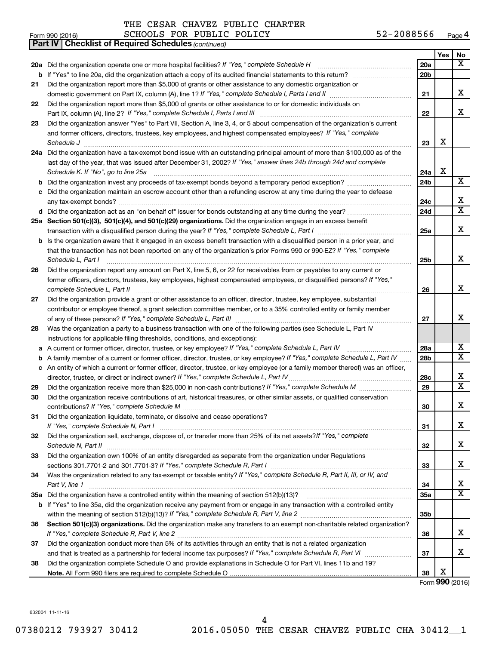| THE CESAR CHAVEZ PUBLIC CHARTER |  |  |  |  |  |
|---------------------------------|--|--|--|--|--|
|---------------------------------|--|--|--|--|--|

| Form 990 (2016) | PUBLIC POLICY<br><b>SCHOOLS</b><br>FOR | $-2088566$<br>Page <b>4</b> |
|-----------------|----------------------------------------|-----------------------------|
|-----------------|----------------------------------------|-----------------------------|

|    | Part IV   Checklist of Required Schedules (continued)                                                                               |                 |     |                       |
|----|-------------------------------------------------------------------------------------------------------------------------------------|-----------------|-----|-----------------------|
|    |                                                                                                                                     |                 | Yes | No                    |
|    | 20a Did the organization operate one or more hospital facilities? If "Yes," complete Schedule H                                     | 20a             |     | X                     |
| b  |                                                                                                                                     | 20 <sub>b</sub> |     |                       |
| 21 | Did the organization report more than \$5,000 of grants or other assistance to any domestic organization or                         |                 |     |                       |
|    |                                                                                                                                     | 21              |     | x                     |
| 22 | Did the organization report more than \$5,000 of grants or other assistance to or for domestic individuals on                       |                 |     |                       |
|    |                                                                                                                                     | 22              |     | х                     |
| 23 | Did the organization answer "Yes" to Part VII, Section A, line 3, 4, or 5 about compensation of the organization's current          |                 |     |                       |
|    | and former officers, directors, trustees, key employees, and highest compensated employees? If "Yes," complete                      |                 |     |                       |
|    | Schedule J <b>Execute Schedule J Execute Schedule J</b>                                                                             | 23              | X   |                       |
|    | 24a Did the organization have a tax-exempt bond issue with an outstanding principal amount of more than \$100,000 as of the         |                 |     |                       |
|    | last day of the year, that was issued after December 31, 2002? If "Yes," answer lines 24b through 24d and complete                  |                 |     |                       |
|    | Schedule K. If "No", go to line 25a                                                                                                 | 24a             | X   |                       |
| b  |                                                                                                                                     | 24 <sub>b</sub> |     | X                     |
|    | c Did the organization maintain an escrow account other than a refunding escrow at any time during the year to defease              |                 |     |                       |
|    |                                                                                                                                     | 24c             |     | х                     |
|    | d Did the organization act as an "on behalf of" issuer for bonds outstanding at any time during the year?                           | 24 <sub>d</sub> |     | $\overline{\text{X}}$ |
|    | 25a Section 501(c)(3), 501(c)(4), and 501(c)(29) organizations. Did the organization engage in an excess benefit                    |                 |     |                       |
|    |                                                                                                                                     | 25a             |     | х                     |
|    | <b>b</b> Is the organization aware that it engaged in an excess benefit transaction with a disqualified person in a prior year, and |                 |     |                       |
|    | that the transaction has not been reported on any of the organization's prior Forms 990 or 990-EZ? If "Yes," complete               |                 |     |                       |
|    | Schedule L, Part I                                                                                                                  | 25b             |     | x                     |
| 26 | Did the organization report any amount on Part X, line 5, 6, or 22 for receivables from or payables to any current or               |                 |     |                       |
|    | former officers, directors, trustees, key employees, highest compensated employees, or disqualified persons? If "Yes,"              |                 |     |                       |
|    | complete Schedule L, Part II                                                                                                        | 26              |     | x                     |
| 27 | Did the organization provide a grant or other assistance to an officer, director, trustee, key employee, substantial                |                 |     |                       |
|    | contributor or employee thereof, a grant selection committee member, or to a 35% controlled entity or family member                 |                 |     |                       |
|    |                                                                                                                                     | 27              |     | x                     |
| 28 | Was the organization a party to a business transaction with one of the following parties (see Schedule L, Part IV                   |                 |     |                       |
|    | instructions for applicable filing thresholds, conditions, and exceptions):                                                         |                 |     |                       |
| а  | A current or former officer, director, trustee, or key employee? If "Yes," complete Schedule L, Part IV                             | 28a             |     | x                     |
| b  | A family member of a current or former officer, director, trustee, or key employee? If "Yes," complete Schedule L, Part IV          | 28 <sub>b</sub> |     | $\overline{\text{X}}$ |
|    | c An entity of which a current or former officer, director, trustee, or key employee (or a family member thereof) was an officer,   |                 |     |                       |
|    | director, trustee, or direct or indirect owner? If "Yes," complete Schedule L, Part IV.                                             | 28c             |     | x                     |
| 29 |                                                                                                                                     | 29              |     | X                     |
| 30 | Did the organization receive contributions of art, historical treasures, or other similar assets, or qualified conservation         |                 |     |                       |
|    |                                                                                                                                     | 30              |     | Χ                     |
| 31 | Did the organization liquidate, terminate, or dissolve and cease operations?                                                        |                 |     |                       |
|    |                                                                                                                                     | 31              |     | х                     |
| 32 | Did the organization sell, exchange, dispose of, or transfer more than 25% of its net assets?/f "Yes," complete                     |                 |     |                       |
|    |                                                                                                                                     | 32              |     | х                     |
| 33 | Did the organization own 100% of an entity disregarded as separate from the organization under Regulations                          |                 |     |                       |
|    |                                                                                                                                     | 33              |     | x                     |
| 34 | Was the organization related to any tax-exempt or taxable entity? If "Yes," complete Schedule R, Part II, III, or IV, and           |                 |     |                       |
|    | Part V, line 1                                                                                                                      | 34              |     | х                     |
|    |                                                                                                                                     | 35a             |     | $\overline{\text{X}}$ |
|    | b If "Yes" to line 35a, did the organization receive any payment from or engage in any transaction with a controlled entity         |                 |     |                       |
|    |                                                                                                                                     | 35 <sub>b</sub> |     |                       |
| 36 | Section 501(c)(3) organizations. Did the organization make any transfers to an exempt non-charitable related organization?          |                 |     |                       |
|    |                                                                                                                                     | 36              |     | x.                    |
| 37 | Did the organization conduct more than 5% of its activities through an entity that is not a related organization                    |                 |     |                       |
|    |                                                                                                                                     | 37              |     | х                     |
| 38 | Did the organization complete Schedule O and provide explanations in Schedule O for Part VI, lines 11b and 19?                      |                 |     |                       |
|    |                                                                                                                                     | 38              | х   |                       |
|    |                                                                                                                                     |                 |     | Form 990 (2016)       |

632004 11-11-16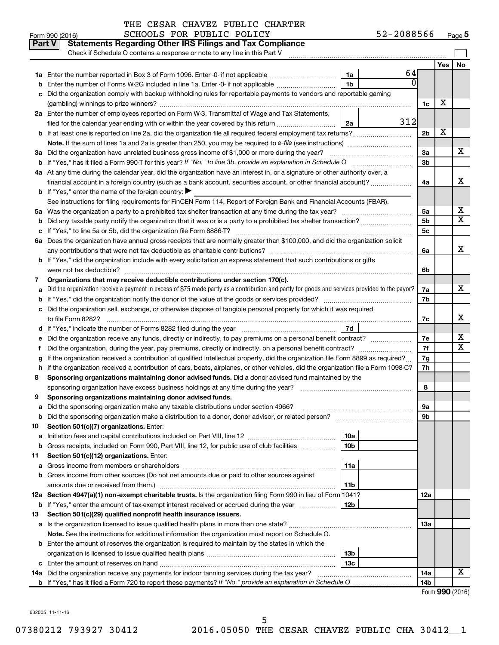|  |                                                                                | THE CESAR CHAVEZ PUBLIC CHARTER |
|--|--------------------------------------------------------------------------------|---------------------------------|
|  | $G \cap T \cap T \cap T$ $G \cap T \cap T$ $G \cap T \cap T$ $G \cap T \cap T$ |                                 |

|         | Part V<br><b>Statements Regarding Other IRS Filings and Tax Compliance</b>                                                                                                                                                                       |                |         |                |     |                         |
|---------|--------------------------------------------------------------------------------------------------------------------------------------------------------------------------------------------------------------------------------------------------|----------------|---------|----------------|-----|-------------------------|
|         | Check if Schedule O contains a response or note to any line in this Part V                                                                                                                                                                       |                |         |                |     |                         |
|         |                                                                                                                                                                                                                                                  |                |         |                | Yes | No                      |
| 1a      | Enter the number reported in Box 3 of Form 1096. Enter -0- if not applicable                                                                                                                                                                     | 1a             | 64<br>0 |                |     |                         |
| b       | Enter the number of Forms W-2G included in line 1a. Enter -0- if not applicable                                                                                                                                                                  | 1 <sub>b</sub> |         |                |     |                         |
|         | Did the organization comply with backup withholding rules for reportable payments to vendors and reportable gaming                                                                                                                               |                |         |                |     |                         |
|         |                                                                                                                                                                                                                                                  |                |         | 1c             | х   |                         |
|         | 2a Enter the number of employees reported on Form W-3, Transmittal of Wage and Tax Statements,                                                                                                                                                   |                | 312     |                |     |                         |
|         | filed for the calendar year ending with or within the year covered by this return <i>manumumumum</i>                                                                                                                                             | 2a             |         |                | X   |                         |
|         | <b>b</b> If at least one is reported on line 2a, did the organization file all required federal employment tax returns?                                                                                                                          |                |         | 2 <sub>b</sub> |     |                         |
|         | Note. If the sum of lines 1a and 2a is greater than 250, you may be required to e-file (see instructions) <i>managereroum</i>                                                                                                                    |                |         |                |     | х                       |
|         | 3a Did the organization have unrelated business gross income of \$1,000 or more during the year?                                                                                                                                                 |                |         | За<br>3b       |     |                         |
|         |                                                                                                                                                                                                                                                  |                |         |                |     |                         |
|         | 4a At any time during the calendar year, did the organization have an interest in, or a signature or other authority over, a<br>financial account in a foreign country (such as a bank account, securities account, or other financial account)? |                |         | 4a             |     | x                       |
|         | <b>b</b> If "Yes," enter the name of the foreign country: $\blacktriangleright$                                                                                                                                                                  |                |         |                |     |                         |
|         | See instructions for filing requirements for FinCEN Form 114, Report of Foreign Bank and Financial Accounts (FBAR).                                                                                                                              |                |         |                |     |                         |
| 5а      |                                                                                                                                                                                                                                                  |                |         | 5a             |     | х                       |
| b       |                                                                                                                                                                                                                                                  |                |         | 5b             |     | $\overline{\text{X}}$   |
| с       |                                                                                                                                                                                                                                                  |                |         | 5c             |     |                         |
|         | 6a Does the organization have annual gross receipts that are normally greater than \$100,000, and did the organization solicit                                                                                                                   |                |         |                |     |                         |
|         |                                                                                                                                                                                                                                                  |                |         | 6a             |     | х                       |
|         | <b>b</b> If "Yes," did the organization include with every solicitation an express statement that such contributions or gifts                                                                                                                    |                |         |                |     |                         |
|         |                                                                                                                                                                                                                                                  |                |         | 6b             |     |                         |
| 7       | Organizations that may receive deductible contributions under section 170(c).                                                                                                                                                                    |                |         |                |     |                         |
|         | Did the organization receive a payment in excess of \$75 made partly as a contribution and partly for goods and services provided to the payor?                                                                                                  |                |         | 7a             |     | x                       |
|         |                                                                                                                                                                                                                                                  |                |         | 7b             |     |                         |
|         | c Did the organization sell, exchange, or otherwise dispose of tangible personal property for which it was required                                                                                                                              |                |         |                |     |                         |
|         |                                                                                                                                                                                                                                                  |                |         | 7c             |     | x                       |
|         |                                                                                                                                                                                                                                                  | 7d             |         |                |     |                         |
| е       |                                                                                                                                                                                                                                                  |                |         | 7е             |     | х                       |
|         |                                                                                                                                                                                                                                                  |                |         | 7f             |     | $\overline{\texttt{x}}$ |
|         | If the organization received a contribution of qualified intellectual property, did the organization file Form 8899 as required?                                                                                                                 |                |         | 7g             |     |                         |
| h       | If the organization received a contribution of cars, boats, airplanes, or other vehicles, did the organization file a Form 1098-C?                                                                                                               |                |         | 7h             |     |                         |
| 8       | Sponsoring organizations maintaining donor advised funds. Did a donor advised fund maintained by the                                                                                                                                             |                |         |                |     |                         |
|         |                                                                                                                                                                                                                                                  |                |         | 8              |     |                         |
| 9       | Sponsoring organizations maintaining donor advised funds.                                                                                                                                                                                        |                |         |                |     |                         |
|         |                                                                                                                                                                                                                                                  |                |         | эа             |     |                         |
|         |                                                                                                                                                                                                                                                  |                |         | 9b             |     |                         |
| 10      | Section 501(c)(7) organizations. Enter:                                                                                                                                                                                                          |                |         |                |     |                         |
| а       | Gross receipts, included on Form 990, Part VIII, line 12, for public use of club facilities                                                                                                                                                      | 10a<br>10b     |         |                |     |                         |
| b<br>11 | Section 501(c)(12) organizations. Enter:                                                                                                                                                                                                         |                |         |                |     |                         |
| а       |                                                                                                                                                                                                                                                  | 11a            |         |                |     |                         |
| b       | Gross income from other sources (Do not net amounts due or paid to other sources against                                                                                                                                                         |                |         |                |     |                         |
|         |                                                                                                                                                                                                                                                  | 11b            |         |                |     |                         |
|         | 12a Section 4947(a)(1) non-exempt charitable trusts. Is the organization filing Form 990 in lieu of Form 1041?                                                                                                                                   |                |         | 12a            |     |                         |
|         | <b>b</b> If "Yes," enter the amount of tax-exempt interest received or accrued during the year                                                                                                                                                   | 12b            |         |                |     |                         |
| 13      | Section 501(c)(29) qualified nonprofit health insurance issuers.                                                                                                                                                                                 |                |         |                |     |                         |
|         | a Is the organization licensed to issue qualified health plans in more than one state?                                                                                                                                                           |                |         | 1За            |     |                         |
|         | Note. See the instructions for additional information the organization must report on Schedule O.                                                                                                                                                |                |         |                |     |                         |
|         | <b>b</b> Enter the amount of reserves the organization is required to maintain by the states in which the                                                                                                                                        |                |         |                |     |                         |
|         |                                                                                                                                                                                                                                                  | 13b            |         |                |     |                         |
|         |                                                                                                                                                                                                                                                  | 13c            |         |                |     |                         |
|         | 14a Did the organization receive any payments for indoor tanning services during the tax year?                                                                                                                                                   |                |         | 14a            |     | x                       |
|         |                                                                                                                                                                                                                                                  |                |         | 14b            |     |                         |

| Form 990 (2016) |  |
|-----------------|--|
|-----------------|--|

632005 11-11-16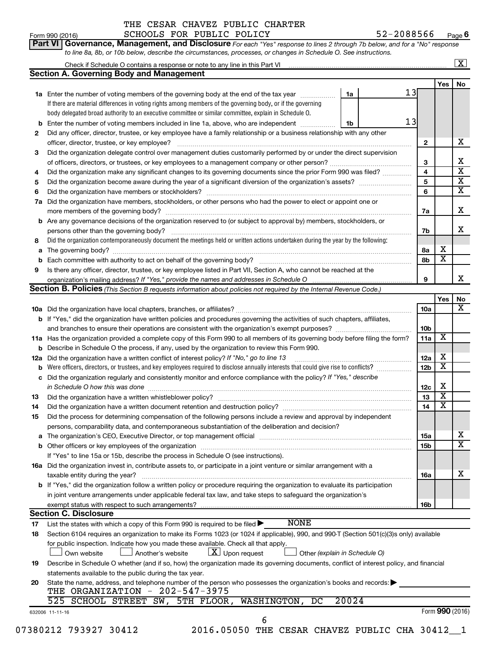**Yes No**

| <b>Part VI Governance, Management, and Disclosure</b> For each "Yes" response to lines 2 through 7b below, and for a "No" response |                         |
|------------------------------------------------------------------------------------------------------------------------------------|-------------------------|
| to line 8a, 8b, or 10b below, describe the circumstances, processes, or changes in Schedule O. See instructions.                   |                         |
| Check if Schedule O contains a response or note to any line in this Part VI                                                        | $\overline{\mathbf{X}}$ |
| <b>Section A. Governing Body and Management</b>                                                                                    |                         |

|     | 13<br>1a Enter the number of voting members of the governing body at the end of the tax year <i>manumum</i><br>1a                                                 |                 |                         |                         |
|-----|-------------------------------------------------------------------------------------------------------------------------------------------------------------------|-----------------|-------------------------|-------------------------|
|     | If there are material differences in voting rights among members of the governing body, or if the governing                                                       |                 |                         |                         |
|     | body delegated broad authority to an executive committee or similar committee, explain in Schedule O.                                                             |                 |                         |                         |
| b   | 13<br>Enter the number of voting members included in line 1a, above, who are independent<br>1b                                                                    |                 |                         |                         |
| 2   | Did any officer, director, trustee, or key employee have a family relationship or a business relationship with any other                                          |                 |                         |                         |
|     |                                                                                                                                                                   | $\mathbf{2}$    |                         | x                       |
| 3   | Did the organization delegate control over management duties customarily performed by or under the direct supervision                                             |                 |                         |                         |
|     |                                                                                                                                                                   | 3               |                         | х                       |
| 4   | Did the organization make any significant changes to its governing documents since the prior Form 990 was filed?                                                  | 4               |                         | $\overline{\mathbf{x}}$ |
| 5   |                                                                                                                                                                   | 5               |                         | х                       |
| 6   |                                                                                                                                                                   | 6               |                         | х                       |
| 7a  | Did the organization have members, stockholders, or other persons who had the power to elect or appoint one or                                                    |                 |                         |                         |
|     |                                                                                                                                                                   | 7a              |                         | x                       |
|     | b Are any governance decisions of the organization reserved to (or subject to approval by) members, stockholders, or                                              |                 |                         |                         |
|     |                                                                                                                                                                   | 7b              |                         | x                       |
| 8   | Did the organization contemporaneously document the meetings held or written actions undertaken during the year by the following:                                 |                 | х                       |                         |
| а   |                                                                                                                                                                   | 8а              | $\overline{\textbf{x}}$ |                         |
| b   |                                                                                                                                                                   | 8b              |                         |                         |
| 9   | Is there any officer, director, trustee, or key employee listed in Part VII, Section A, who cannot be reached at the                                              |                 |                         | x                       |
|     | Section B. Policies (This Section B requests information about policies not required by the Internal Revenue Code.)                                               | 9               |                         |                         |
|     |                                                                                                                                                                   |                 | Yes                     | No                      |
|     |                                                                                                                                                                   | 10a             |                         | x                       |
|     | b If "Yes," did the organization have written policies and procedures governing the activities of such chapters, affiliates,                                      |                 |                         |                         |
|     |                                                                                                                                                                   | 10 <sub>b</sub> |                         |                         |
|     | 11a Has the organization provided a complete copy of this Form 990 to all members of its governing body before filing the form?                                   | 11a             | X                       |                         |
| b   | Describe in Schedule O the process, if any, used by the organization to review this Form 990.                                                                     |                 |                         |                         |
| 12a | Did the organization have a written conflict of interest policy? If "No," go to line 13                                                                           | 12a             | X                       |                         |
| b   | Were officers, directors, or trustees, and key employees required to disclose annually interests that could give rise to conflicts?                               | 12 <sub>b</sub> | X                       |                         |
| c   | Did the organization regularly and consistently monitor and enforce compliance with the policy? If "Yes," describe                                                |                 |                         |                         |
|     | in Schedule O how this was done manufactured and continuum and contact the way of the set of the set of the schedule O how this was done                          | 12c             | Х                       |                         |
| 13  |                                                                                                                                                                   | 13              | $\overline{\mathbf{X}}$ |                         |
| 14  |                                                                                                                                                                   | 14              | х                       |                         |
| 15  | Did the process for determining compensation of the following persons include a review and approval by independent                                                |                 |                         |                         |
|     | persons, comparability data, and contemporaneous substantiation of the deliberation and decision?                                                                 |                 |                         |                         |
| а   |                                                                                                                                                                   | <b>15a</b>      |                         | х                       |
|     |                                                                                                                                                                   | 15b             |                         | x                       |
|     | If "Yes" to line 15a or 15b, describe the process in Schedule O (see instructions).                                                                               |                 |                         |                         |
|     | 16a Did the organization invest in, contribute assets to, or participate in a joint venture or similar arrangement with a                                         |                 |                         | х                       |
|     | taxable entity during the year?<br>b If "Yes," did the organization follow a written policy or procedure requiring the organization to evaluate its participation | 16a             |                         |                         |
|     | in joint venture arrangements under applicable federal tax law, and take steps to safeguard the organization's                                                    |                 |                         |                         |
|     | exempt status with respect to such arrangements?                                                                                                                  | 16b             |                         |                         |
|     | <b>Section C. Disclosure</b>                                                                                                                                      |                 |                         |                         |
| 17  | <b>NONE</b><br>List the states with which a copy of this Form 990 is required to be filed $\blacktriangleright$                                                   |                 |                         |                         |
| 18  | Section 6104 requires an organization to make its Forms 1023 (or 1024 if applicable), 990, and 990-T (Section 501(c)(3)s only) available                          |                 |                         |                         |
|     | for public inspection. Indicate how you made these available. Check all that apply.                                                                               |                 |                         |                         |
|     | $\lfloor x \rfloor$ Upon request<br>Other (explain in Schedule O)<br>Own website<br>Another's website                                                             |                 |                         |                         |
| 19  | Describe in Schedule O whether (and if so, how) the organization made its governing documents, conflict of interest policy, and financial                         |                 |                         |                         |
|     | statements available to the public during the tax year.                                                                                                           |                 |                         |                         |
| 20  | State the name, address, and telephone number of the person who possesses the organization's books and records:                                                   |                 |                         |                         |
|     | THE ORGANIZATION - 202-547-3975                                                                                                                                   |                 |                         |                         |
|     | 20024<br>525 SCHOOL STREET SW, 5TH FLOOR, WASHINGTON,<br>DC                                                                                                       |                 |                         |                         |
|     | 632006 11-11-16<br>6                                                                                                                                              |                 |                         | Form 990 (2016)         |
|     |                                                                                                                                                                   |                 |                         |                         |

07380212 793927 30412 2016.05050 THE CESAR CHAVEZ PUBLIC CHA 30412\_1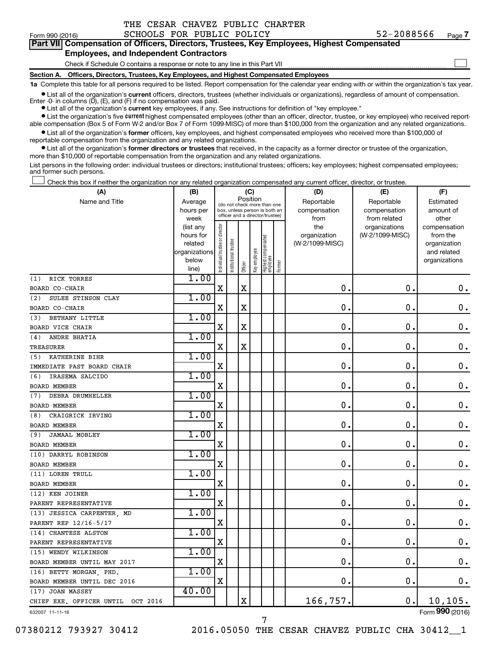| THE CESAR CHAVEZ PUBLIC CHARTER |  |
|---------------------------------|--|
|---------------------------------|--|

 $\Box$ 

|  |                                        |  | Part VII Compensation of Officers, Directors, Trustees, Key Employees, Highest Compensated |  |
|--|----------------------------------------|--|--------------------------------------------------------------------------------------------|--|
|  | Encolation and boding orders Assistant |  |                                                                                            |  |

### **Employees, and Independent Contractors**

Check if Schedule O contains a response or note to any line in this Part VII

**Section A. Officers, Directors, Trustees, Key Employees, and Highest Compensated Employees**

**1a**  Complete this table for all persons required to be listed. Report compensation for the calendar year ending with or within the organization's tax year.

**•** List all of the organization's current officers, directors, trustees (whether individuals or organizations), regardless of amount of compensation. Enter -0- in columns  $(D)$ ,  $(E)$ , and  $(F)$  if no compensation was paid.

**•** List all of the organization's **current** key employees, if any. See instructions for definition of "key employee."

**•** List the organization's five current highest compensated employees (other than an officer, director, trustee, or key employee) who received reportable compensation (Box 5 of Form W-2 and/or Box 7 of Form 1099-MISC) of more than \$100,000 from the organization and any related organizations.

**•** List all of the organization's former officers, key employees, and highest compensated employees who received more than \$100,000 of reportable compensation from the organization and any related organizations.

**•** List all of the organization's former directors or trustees that received, in the capacity as a former director or trustee of the organization, more than \$10,000 of reportable compensation from the organization and any related organizations.

List persons in the following order: individual trustees or directors; institutional trustees; officers; key employees; highest compensated employees; and former such persons.

Check this box if neither the organization nor any related organization compensated any current officer, director, or trustee.  $\Box$ 

| (A)                               | (B)                    |                                |                                                                  |             | (C)          |                                 |        | (D)                             | (E)             | (F)                      |
|-----------------------------------|------------------------|--------------------------------|------------------------------------------------------------------|-------------|--------------|---------------------------------|--------|---------------------------------|-----------------|--------------------------|
| Name and Title                    | Average                |                                | (do not check more than one                                      | Position    |              |                                 |        | Reportable                      | Reportable      | Estimated                |
|                                   | hours per              |                                | box, unless person is both an<br>officer and a director/trustee) |             |              |                                 |        | compensation                    | compensation    | amount of                |
|                                   | week                   |                                |                                                                  |             |              |                                 |        | from                            | from related    | other                    |
|                                   | (list any<br>hours for | Individual trustee or director |                                                                  |             |              |                                 |        | the                             | organizations   | compensation<br>from the |
|                                   | related                |                                |                                                                  |             |              |                                 |        | organization<br>(W-2/1099-MISC) | (W-2/1099-MISC) | organization             |
|                                   | organizations          |                                |                                                                  |             |              |                                 |        |                                 |                 | and related              |
|                                   | below                  |                                | Institutional trustee                                            |             | Key employee |                                 |        |                                 |                 | organizations            |
|                                   | line)                  |                                |                                                                  | Officer     |              | Highest compensated<br>employee | Former |                                 |                 |                          |
| RICK TORRES<br>(1)                | 1.00                   |                                |                                                                  |             |              |                                 |        |                                 |                 |                          |
| BOARD CO-CHAIR                    |                        | X                              |                                                                  | $\mathbf X$ |              |                                 |        | $\mathbf 0$ .                   | $\mathbf 0$ .   | $\mathbf 0$ .            |
| SULEE STINSON CLAY<br>(2)         | 1.00                   |                                |                                                                  |             |              |                                 |        |                                 |                 |                          |
| BOARD CO-CHAIR                    |                        | $\mathbf X$                    |                                                                  | $\mathbf X$ |              |                                 |        | $\mathbf 0$ .                   | $\mathbf 0$ .   | $0$ .                    |
| BETHANY LITTLE<br>(3)             | 1.00                   |                                |                                                                  |             |              |                                 |        |                                 |                 |                          |
| <b>BOARD VICE CHAIR</b>           |                        | $\mathbf X$                    |                                                                  | X           |              |                                 |        | $\mathbf 0$ .                   | $\mathbf 0$ .   | $\mathbf 0$ .            |
| ANDRE BHATIA<br>(4)               | 1.00                   |                                |                                                                  |             |              |                                 |        |                                 |                 |                          |
| TREASURER                         |                        | X                              |                                                                  | $\mathbf X$ |              |                                 |        | 0                               | 0               | $\mathbf 0$ .            |
| (5)<br>KATHERINE BIHR             | 1.00                   |                                |                                                                  |             |              |                                 |        |                                 |                 |                          |
| IMMEDIATE PAST BOARD CHAIR        |                        | X                              |                                                                  |             |              |                                 |        | $\mathbf 0$ .                   | $\mathbf 0$ .   | 0.                       |
| IRASEMA SALCIDO<br>(6)            | 1.00                   |                                |                                                                  |             |              |                                 |        |                                 |                 |                          |
| <b>BOARD MEMBER</b>               |                        | X                              |                                                                  |             |              |                                 |        | $\mathbf 0$ .                   | $\mathbf 0$ .   | 0.                       |
| <b>DEBRA DRUMHELLER</b><br>(7)    | 1.00                   |                                |                                                                  |             |              |                                 |        |                                 |                 |                          |
| <b>BOARD MEMBER</b>               |                        | X                              |                                                                  |             |              |                                 |        | $\mathbf 0$ .                   | $\mathbf 0$ .   | $\mathbf 0$ .            |
| CRAIGRICK IRVING<br>(8)           | 1.00                   |                                |                                                                  |             |              |                                 |        |                                 |                 |                          |
| <b>BOARD MEMBER</b>               |                        | X                              |                                                                  |             |              |                                 |        | 0                               | $\mathbf 0$     | $\mathbf 0$ .            |
| <b>JAMAAL MOBLEY</b><br>(9)       | 1.00                   |                                |                                                                  |             |              |                                 |        |                                 |                 |                          |
| <b>BOARD MEMBER</b>               |                        | X                              |                                                                  |             |              |                                 |        | 0                               | $\mathbf 0$ .   | $\mathbf 0$ .            |
| (10) DARRYL ROBINSON              | 1.00                   |                                |                                                                  |             |              |                                 |        |                                 |                 |                          |
| <b>BOARD MEMBER</b>               |                        | X                              |                                                                  |             |              |                                 |        | $\mathbf 0$ .                   | $\mathbf 0$ .   | 0.                       |
| (11) LOREN TRULL                  | 1.00                   |                                |                                                                  |             |              |                                 |        |                                 |                 |                          |
| <b>BOARD MEMBER</b>               |                        | $\mathbf X$                    |                                                                  |             |              |                                 |        | $\mathbf 0$ .                   | $\mathbf 0$ .   | $\mathbf 0$ .            |
| (12) KEN JOINER                   | 1.00                   |                                |                                                                  |             |              |                                 |        |                                 |                 |                          |
| PARENT REPRESENTATIVE             |                        | $\mathbf X$                    |                                                                  |             |              |                                 |        | 0                               | $\mathbf 0$     | $\mathbf 0$ .            |
| (13) JESSICA CARPENTER MD         | 1.00                   |                                |                                                                  |             |              |                                 |        |                                 |                 |                          |
| PARENT REP 12/16-5/17             |                        | X                              |                                                                  |             |              |                                 |        | 0                               | 0.              | $\mathbf 0$ .            |
| (14) CHANTESE ALSTON              | 1.00                   |                                |                                                                  |             |              |                                 |        |                                 |                 |                          |
| PARENT REPRESENTATIVE             |                        | $\mathbf X$                    |                                                                  |             |              |                                 |        | $\mathbf 0$ .                   | $\mathbf 0$     | $\mathbf 0$ .            |
| (15) WENDY WILKINSON              | 1.00                   |                                |                                                                  |             |              |                                 |        |                                 |                 |                          |
| BOARD MEMBER UNTIL MAY 2017       |                        | $\mathbf X$                    |                                                                  |             |              |                                 |        | 0.                              | 0.              | 0.                       |
| (16) BETTY MORGAN, PHD.           | 1.00                   |                                |                                                                  |             |              |                                 |        |                                 |                 |                          |
| BOARD MEMBER UNTIL DEC 2016       |                        | $\mathbf X$                    |                                                                  |             |              |                                 |        | $\mathbf 0$                     | $\mathbf 0$     | $\mathbf 0$ .            |
| (17) JOAN MASSEY                  | 40.00                  |                                |                                                                  |             |              |                                 |        |                                 |                 |                          |
| CHIEF EXE. OFFICER UNTIL OCT 2016 |                        |                                |                                                                  | $\mathbf X$ |              |                                 |        | 166,757.                        | $\mathbf 0$ .   | 10, 105.                 |
| 632007 11-11-16                   |                        |                                |                                                                  |             |              |                                 |        |                                 |                 | Form 990 (2016)          |

7

Form (2016) **990**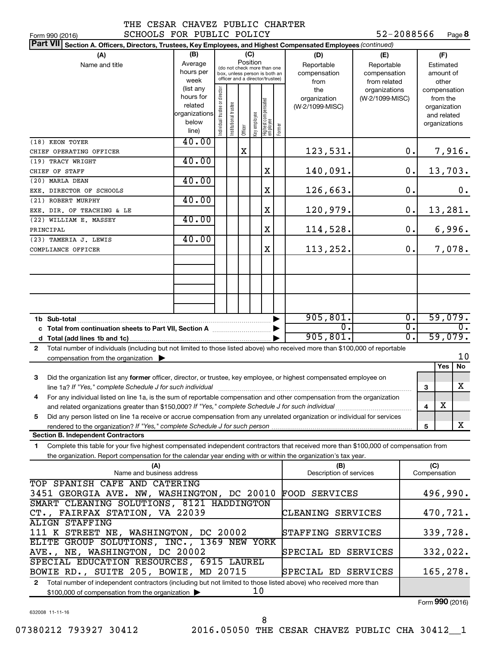| . . |  |  |  |
|-----|--|--|--|

52-2088566 Page 8

| SCHOOLS FOR PUBLIC POLICY<br>Form 990 (2016)                                                                                                 |               |                               |                                                              |          |              |                                  |        |                         | 52-2088566      |                  |              | Page 8           |
|----------------------------------------------------------------------------------------------------------------------------------------------|---------------|-------------------------------|--------------------------------------------------------------|----------|--------------|----------------------------------|--------|-------------------------|-----------------|------------------|--------------|------------------|
| <b>Part VII</b><br>Section A. Officers, Directors, Trustees, Key Employees, and Highest Compensated Employees (continued)                    |               |                               |                                                              |          |              |                                  |        |                         |                 |                  |              |                  |
| (A)                                                                                                                                          | (B)           |                               |                                                              | (C)      |              |                                  |        | (D)                     | (E)             |                  |              | (F)              |
| Name and title                                                                                                                               | Average       |                               |                                                              | Position |              |                                  |        | Reportable              | Reportable      |                  |              | Estimated        |
|                                                                                                                                              | hours per     |                               | (do not check more than one<br>box, unless person is both an |          |              |                                  |        | compensation            | compensation    |                  |              | amount of        |
|                                                                                                                                              | week          |                               | officer and a director/trustee)                              |          |              |                                  |        | from                    | from related    |                  |              | other            |
|                                                                                                                                              | (list any     |                               |                                                              |          |              |                                  |        | the                     | organizations   |                  |              | compensation     |
|                                                                                                                                              | hours for     |                               |                                                              |          |              |                                  |        | organization            | (W-2/1099-MISC) |                  |              | from the         |
|                                                                                                                                              | related       |                               |                                                              |          |              |                                  |        | (W-2/1099-MISC)         |                 |                  |              | organization     |
|                                                                                                                                              | organizations |                               |                                                              |          |              |                                  |        |                         |                 |                  |              | and related      |
|                                                                                                                                              | below         | ndividual trustee or director | Institutional trustee                                        |          |              |                                  |        |                         |                 |                  |              | organizations    |
|                                                                                                                                              | line)         |                               |                                                              | Officer  | Key employee | Highest compensated<br> employee | Former |                         |                 |                  |              |                  |
| (18) KEON TOYER                                                                                                                              | 40.00         |                               |                                                              |          |              |                                  |        |                         |                 |                  |              |                  |
| CHIEF OPERATING OFFICER                                                                                                                      |               |                               |                                                              | X        |              |                                  |        | 123,531.                |                 | 0.               |              | 7,916.           |
| (19) TRACY WRIGHT                                                                                                                            | 40.00         |                               |                                                              |          |              |                                  |        |                         |                 |                  |              |                  |
| CHIEF OF STAFF                                                                                                                               |               |                               |                                                              |          |              | X                                |        | 140,091.                |                 | $\mathbf 0$ .    |              | 13,703.          |
| (20) MARLA DEAN                                                                                                                              | 40.00         |                               |                                                              |          |              |                                  |        |                         |                 |                  |              |                  |
|                                                                                                                                              |               |                               |                                                              |          |              |                                  |        |                         |                 | 0.               |              |                  |
| EXE. DIRECTOR OF SCHOOLS                                                                                                                     |               |                               |                                                              |          |              | Χ                                |        | 126,663.                |                 |                  |              | 0.               |
| (21) ROBERT MURPHY                                                                                                                           | 40.00         |                               |                                                              |          |              |                                  |        |                         |                 |                  |              |                  |
| EXE. DIR. OF TEACHING & LE                                                                                                                   |               |                               |                                                              |          |              | Χ                                |        | 120,979.                |                 | $\mathbf 0$ .    |              | 13,281.          |
| (22) WILLIAM E. MASSEY                                                                                                                       | 40.00         |                               |                                                              |          |              |                                  |        |                         |                 |                  |              |                  |
| PRINCIPAL                                                                                                                                    |               |                               |                                                              |          |              | X                                |        | 114,528.                |                 | 0.               |              | 6,996.           |
| (23) TAMERIA J. LEWIS                                                                                                                        | 40.00         |                               |                                                              |          |              |                                  |        |                         |                 |                  |              |                  |
| COMPLIANCE OFFICER                                                                                                                           |               |                               |                                                              |          |              | X                                |        | 113,252.                |                 | 0.               |              | 7,078.           |
|                                                                                                                                              |               |                               |                                                              |          |              |                                  |        |                         |                 |                  |              |                  |
|                                                                                                                                              |               |                               |                                                              |          |              |                                  |        |                         |                 |                  |              |                  |
|                                                                                                                                              |               |                               |                                                              |          |              |                                  |        |                         |                 |                  |              |                  |
|                                                                                                                                              |               |                               |                                                              |          |              |                                  |        |                         |                 |                  |              |                  |
|                                                                                                                                              |               |                               |                                                              |          |              |                                  |        |                         |                 |                  |              |                  |
|                                                                                                                                              |               |                               |                                                              |          |              |                                  |        |                         |                 |                  |              |                  |
|                                                                                                                                              |               |                               |                                                              |          |              |                                  |        |                         |                 |                  |              |                  |
| 1b Sub-total                                                                                                                                 |               |                               |                                                              |          |              |                                  |        | 905, 801.               |                 | $\overline{0}$ . |              | 59,079.          |
| c Total from continuation sheets to Part VII, Section A manuscreen by                                                                        |               |                               |                                                              |          |              |                                  |        | σ.                      |                 | $\overline{0}$ . |              | $\overline{0}$ . |
|                                                                                                                                              |               |                               |                                                              |          |              |                                  |        | 905, 801.               |                 | $\overline{0}$ . |              | 59,079.          |
| Total number of individuals (including but not limited to those listed above) who received more than \$100,000 of reportable<br>$\mathbf{2}$ |               |                               |                                                              |          |              |                                  |        |                         |                 |                  |              |                  |
| compensation from the organization $\blacktriangleright$                                                                                     |               |                               |                                                              |          |              |                                  |        |                         |                 |                  |              | 10               |
|                                                                                                                                              |               |                               |                                                              |          |              |                                  |        |                         |                 |                  |              | Yes<br>No        |
| 3<br>Did the organization list any former officer, director, or trustee, key employee, or highest compensated employee on                    |               |                               |                                                              |          |              |                                  |        |                         |                 |                  |              |                  |
|                                                                                                                                              |               |                               |                                                              |          |              |                                  |        |                         |                 |                  |              | X                |
| line 1a? If "Yes," complete Schedule J for such individual manufacture content to the successive complete schedu                             |               |                               |                                                              |          |              |                                  |        |                         |                 |                  | 3            |                  |
| For any individual listed on line 1a, is the sum of reportable compensation and other compensation from the organization                     |               |                               |                                                              |          |              |                                  |        |                         |                 |                  |              |                  |
| and related organizations greater than \$150,000? If "Yes," complete Schedule J for such individual                                          |               |                               |                                                              |          |              |                                  |        |                         |                 |                  | 4            | х                |
| Did any person listed on line 1a receive or accrue compensation from any unrelated organization or individual for services<br>5.             |               |                               |                                                              |          |              |                                  |        |                         |                 |                  |              |                  |
|                                                                                                                                              |               |                               |                                                              |          |              |                                  |        |                         |                 |                  | 5            | X                |
| <b>Section B. Independent Contractors</b>                                                                                                    |               |                               |                                                              |          |              |                                  |        |                         |                 |                  |              |                  |
| Complete this table for your five highest compensated independent contractors that received more than \$100,000 of compensation from<br>1.   |               |                               |                                                              |          |              |                                  |        |                         |                 |                  |              |                  |
| the organization. Report compensation for the calendar year ending with or within the organization's tax year.                               |               |                               |                                                              |          |              |                                  |        |                         |                 |                  |              |                  |
| (A)                                                                                                                                          |               |                               |                                                              |          |              |                                  |        | (B)                     |                 |                  | (C)          |                  |
| Name and business address                                                                                                                    |               |                               |                                                              |          |              |                                  |        | Description of services |                 |                  | Compensation |                  |
| TOP SPANISH CAFE AND CATERING                                                                                                                |               |                               |                                                              |          |              |                                  |        |                         |                 |                  |              |                  |
| 3451 GEORGIA AVE. NW, WASHINGTON, DC 20010                                                                                                   |               |                               |                                                              |          |              |                                  |        | <b>FOOD SERVICES</b>    |                 |                  |              | 496,990.         |
|                                                                                                                                              |               |                               |                                                              |          |              |                                  |        |                         |                 |                  |              |                  |
| SMART CLEANING SOLUTIONS, 8121 HADDINGTON                                                                                                    |               |                               |                                                              |          |              |                                  |        |                         |                 |                  |              |                  |
| CT., FAIRFAX STATION, VA 22039                                                                                                               |               |                               |                                                              |          |              |                                  |        | CLEANING SERVICES       |                 |                  |              | 470,721.         |
| <b>ALIGN STAFFING</b>                                                                                                                        |               |                               |                                                              |          |              |                                  |        |                         |                 |                  |              |                  |
| 111 K STREET NE, WASHINGTON, DC 20002                                                                                                        |               |                               |                                                              |          |              |                                  |        | STAFFING SERVICES       |                 |                  |              | 339,728.         |
| ELITE GROUP SOLUTIONS, INC., 1369 NEW YORK                                                                                                   |               |                               |                                                              |          |              |                                  |        |                         |                 |                  |              |                  |
| AVE., NE, WASHINGTON, DC 20002                                                                                                               |               |                               |                                                              |          |              |                                  |        | SPECIAL ED SERVICES     |                 |                  |              | 332,022.         |
| SPECIAL EDUCATION RESOURCES, 6915 LAUREL                                                                                                     |               |                               |                                                              |          |              |                                  |        |                         |                 |                  |              |                  |
| BOWIE RD., SUITE 205, BOWIE, MD 20715                                                                                                        |               |                               |                                                              |          |              |                                  |        | SPECIAL ED SERVICES     |                 |                  |              | 165,278.         |
| 2 Total number of independent contractors (including but not limited to those listed above) who received more than                           |               |                               |                                                              |          |              |                                  |        |                         |                 |                  |              |                  |
| \$100,000 of compensation from the organization >                                                                                            |               |                               |                                                              |          | 10           |                                  |        |                         |                 |                  |              |                  |
|                                                                                                                                              |               |                               |                                                              |          |              |                                  |        |                         |                 |                  |              |                  |

632008 11-11-16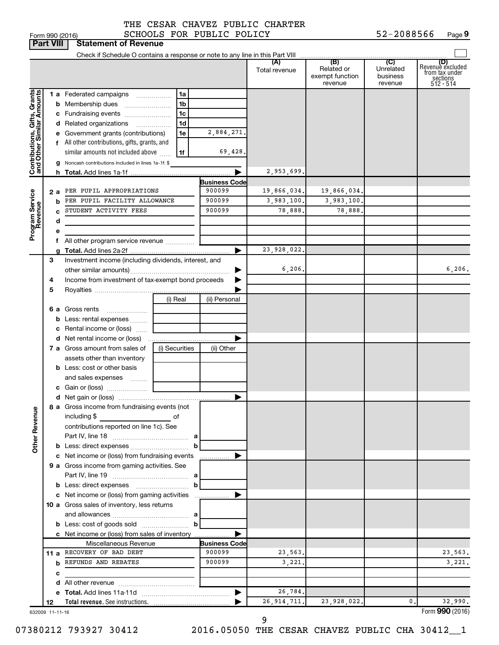|                                                           | <b>Part VIII</b> | <b>Statement of Revenue</b>                                                                           |                      |                      |                                                 |                                         |                                                                    |
|-----------------------------------------------------------|------------------|-------------------------------------------------------------------------------------------------------|----------------------|----------------------|-------------------------------------------------|-----------------------------------------|--------------------------------------------------------------------|
|                                                           |                  | Check if Schedule O contains a response or note to any line in this Part VIII                         |                      |                      |                                                 |                                         |                                                                    |
|                                                           |                  |                                                                                                       |                      | (A)<br>Total revenue | (B)<br>Related or<br>exempt function<br>revenue | (C)<br>Unrelated<br>business<br>revenue | (D)<br>Revenuè excluded<br>trom tax under<br>sections<br>512 - 514 |
| Contributions, Gifts, Grants<br>and Other Similar Amounts |                  | 1 a Federated campaigns<br>1a                                                                         |                      |                      |                                                 |                                         |                                                                    |
|                                                           |                  | 1 <sub>b</sub>                                                                                        |                      |                      |                                                 |                                         |                                                                    |
|                                                           |                  | 1 <sub>c</sub><br>c Fundraising events                                                                |                      |                      |                                                 |                                         |                                                                    |
|                                                           |                  | 1 <sub>d</sub><br>d Related organizations                                                             |                      |                      |                                                 |                                         |                                                                    |
|                                                           |                  | e Government grants (contributions)<br>1e                                                             | 2,884,271.           |                      |                                                 |                                         |                                                                    |
|                                                           |                  | f All other contributions, gifts, grants, and                                                         |                      |                      |                                                 |                                         |                                                                    |
|                                                           |                  | similar amounts not included above<br>1f                                                              | 69,428.              |                      |                                                 |                                         |                                                                    |
|                                                           |                  | g Noncash contributions included in lines 1a-1f: \$                                                   |                      |                      |                                                 |                                         |                                                                    |
|                                                           |                  |                                                                                                       |                      | 2,953,699.           |                                                 |                                         |                                                                    |
|                                                           |                  |                                                                                                       | <b>Business Code</b> |                      |                                                 |                                         |                                                                    |
|                                                           | 2а               | PER PUPIL APPROPRIATIONS                                                                              | 900099               | 19,866,034.          | 19,866,034.                                     |                                         |                                                                    |
|                                                           |                  | PER PUPIL FACILITY ALLOWANCE                                                                          | 900099               | 3,983,100.           | 3,983,100.                                      |                                         |                                                                    |
|                                                           |                  | STUDENT ACTIVITY FEES                                                                                 | 900099               | 78,888.              | 78,888                                          |                                         |                                                                    |
|                                                           | d                |                                                                                                       |                      |                      |                                                 |                                         |                                                                    |
| Program Service<br>Revenue                                | е                | f All other program service revenue                                                                   |                      |                      |                                                 |                                         |                                                                    |
|                                                           |                  |                                                                                                       |                      | 23,928,022.          |                                                 |                                         |                                                                    |
|                                                           | 3                | Investment income (including dividends, interest, and                                                 |                      |                      |                                                 |                                         |                                                                    |
|                                                           |                  |                                                                                                       |                      | 6, 206.              |                                                 |                                         | 6, 206.                                                            |
|                                                           | 4                | Income from investment of tax-exempt bond proceeds                                                    |                      |                      |                                                 |                                         |                                                                    |
|                                                           | 5                |                                                                                                       |                      |                      |                                                 |                                         |                                                                    |
|                                                           |                  | (i) Real                                                                                              | (ii) Personal        |                      |                                                 |                                         |                                                                    |
|                                                           |                  | 6 a Gross rents<br>$\ldots \ldots \ldots \ldots \ldots$                                               |                      |                      |                                                 |                                         |                                                                    |
|                                                           |                  | <b>b</b> Less: rental expenses                                                                        |                      |                      |                                                 |                                         |                                                                    |
|                                                           |                  | <b>c</b> Rental income or (loss) $\ldots$                                                             |                      |                      |                                                 |                                         |                                                                    |
|                                                           |                  |                                                                                                       |                      |                      |                                                 |                                         |                                                                    |
|                                                           |                  | 7 a Gross amount from sales of<br>(i) Securities                                                      | (ii) Other           |                      |                                                 |                                         |                                                                    |
|                                                           |                  | assets other than inventory                                                                           |                      |                      |                                                 |                                         |                                                                    |
|                                                           |                  | <b>b</b> Less: cost or other basis                                                                    |                      |                      |                                                 |                                         |                                                                    |
|                                                           |                  | and sales expenses                                                                                    |                      |                      |                                                 |                                         |                                                                    |
|                                                           |                  |                                                                                                       |                      |                      |                                                 |                                         |                                                                    |
|                                                           |                  |                                                                                                       |                      |                      |                                                 |                                         |                                                                    |
| <b>Other Revenue</b>                                      |                  | 8 a Gross income from fundraising events (not  <br>including \$<br>and the control of the control of  |                      |                      |                                                 |                                         |                                                                    |
|                                                           |                  | contributions reported on line 1c). See                                                               |                      |                      |                                                 |                                         |                                                                    |
|                                                           |                  |                                                                                                       |                      |                      |                                                 |                                         |                                                                    |
|                                                           |                  |                                                                                                       |                      |                      |                                                 |                                         |                                                                    |
|                                                           |                  | c Net income or (loss) from fundraising events                                                        |                      |                      |                                                 |                                         |                                                                    |
|                                                           |                  | 9 a Gross income from gaming activities. See                                                          |                      |                      |                                                 |                                         |                                                                    |
|                                                           |                  |                                                                                                       |                      |                      |                                                 |                                         |                                                                    |
|                                                           |                  | <b>b</b> Less: direct expenses <b>contained b</b>                                                     |                      |                      |                                                 |                                         |                                                                    |
|                                                           |                  | c Net income or (loss) from gaming activities                                                         |                      |                      |                                                 |                                         |                                                                    |
|                                                           |                  | 10 a Gross sales of inventory, less returns                                                           |                      |                      |                                                 |                                         |                                                                    |
|                                                           |                  |                                                                                                       |                      |                      |                                                 |                                         |                                                                    |
|                                                           |                  | <b>b</b> Less: cost of goods sold $\ldots$ <b>b</b><br>c Net income or (loss) from sales of inventory |                      |                      |                                                 |                                         |                                                                    |
|                                                           |                  | Miscellaneous Revenue                                                                                 | <b>Business Code</b> |                      |                                                 |                                         |                                                                    |
|                                                           |                  | 11 a RECOVERY OF BAD DEBT                                                                             | 900099               | 23,563.              |                                                 |                                         | 23,563.                                                            |
|                                                           |                  | <b>b</b> REFUNDS AND REBATES                                                                          | 900099               | 3,221.               |                                                 |                                         | 3,221.                                                             |
|                                                           | с                |                                                                                                       |                      |                      |                                                 |                                         |                                                                    |
|                                                           |                  |                                                                                                       |                      |                      |                                                 |                                         |                                                                    |
|                                                           |                  |                                                                                                       | ▶                    | 26,784.              |                                                 |                                         |                                                                    |
|                                                           | 12               |                                                                                                       |                      | 26, 914, 711.        | 23,928,022.                                     | 0.                                      | 32,990.                                                            |
|                                                           | 632009 11-11-16  |                                                                                                       |                      |                      |                                                 |                                         | Form 990 (2016)                                                    |

07380212 793927 30412 2016.05050 THE CESAR CHAVEZ PUBLIC CHA 30412\_1 9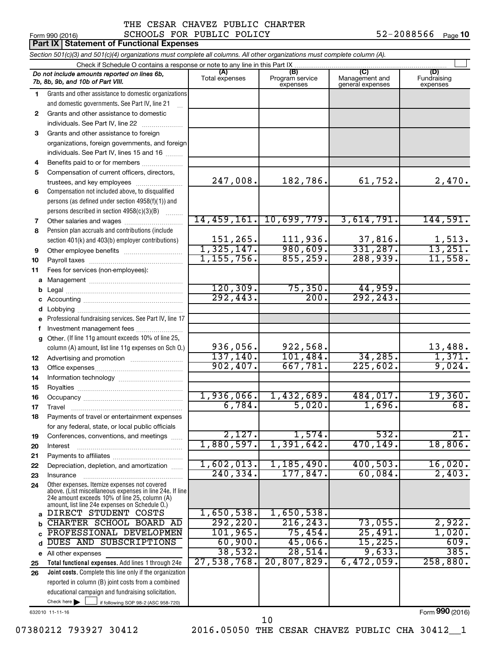### Form 990 (2016)  $SCHOOLS$  FOR PUBLIC POLICY  $52-2088566$  Page THE CESAR CHAVEZ PUBLIC CHARTER

|          | <b>Part IX Statement of Functional Expenses</b>                                                                                                             |                       |                                    |                                           |                                |
|----------|-------------------------------------------------------------------------------------------------------------------------------------------------------------|-----------------------|------------------------------------|-------------------------------------------|--------------------------------|
|          | Section 501(c)(3) and 501(c)(4) organizations must complete all columns. All other organizations must complete column (A).                                  |                       |                                    |                                           |                                |
|          | Check if Schedule O contains a response or note to any line in this Part IX                                                                                 |                       |                                    |                                           |                                |
|          | Do not include amounts reported on lines 6b,<br>7b, 8b, 9b, and 10b of Part VIII.                                                                           | (A)<br>Total expenses | (B)<br>Program service<br>expenses | (C)<br>Management and<br>general expenses | (D)<br>Fundraising<br>expenses |
| 1.       | Grants and other assistance to domestic organizations                                                                                                       |                       |                                    |                                           |                                |
|          | and domestic governments. See Part IV, line 21                                                                                                              |                       |                                    |                                           |                                |
| 2        | Grants and other assistance to domestic                                                                                                                     |                       |                                    |                                           |                                |
|          | individuals. See Part IV, line 22                                                                                                                           |                       |                                    |                                           |                                |
| 3        | Grants and other assistance to foreign                                                                                                                      |                       |                                    |                                           |                                |
|          | organizations, foreign governments, and foreign                                                                                                             |                       |                                    |                                           |                                |
|          | individuals. See Part IV, lines 15 and 16                                                                                                                   |                       |                                    |                                           |                                |
| 4        | Benefits paid to or for members                                                                                                                             |                       |                                    |                                           |                                |
| 5        | Compensation of current officers, directors,                                                                                                                |                       |                                    |                                           |                                |
|          | trustees, and key employees                                                                                                                                 | 247,008.              | 182,786.                           | 61,752.                                   | 2,470.                         |
| 6        | Compensation not included above, to disqualified                                                                                                            |                       |                                    |                                           |                                |
|          | persons (as defined under section 4958(f)(1)) and                                                                                                           |                       |                                    |                                           |                                |
|          | persons described in section 4958(c)(3)(B)                                                                                                                  | 14,459,161.           |                                    | 3,614,791.                                |                                |
| 7        |                                                                                                                                                             |                       | 10,699,779.                        |                                           | 144,591.                       |
| 8        | Pension plan accruals and contributions (include                                                                                                            | 151,265.              | 111,936.                           | 37,816.                                   | 1,513.                         |
|          | section 401(k) and 403(b) employer contributions)                                                                                                           | 1,325,147.            | 980,609.                           | 331,287.                                  | 13,251.                        |
| 9        |                                                                                                                                                             | 1, 155, 756.          | 855, 259.                          | 288,939.                                  | 11,558.                        |
| 10<br>11 | Fees for services (non-employees):                                                                                                                          |                       |                                    |                                           |                                |
| a        |                                                                                                                                                             |                       |                                    |                                           |                                |
| b        |                                                                                                                                                             | 120, 309.             | 75, 350.                           | 44,959.                                   |                                |
| с        |                                                                                                                                                             | 292, 443.             | 200.                               | 292, 243.                                 |                                |
| d        |                                                                                                                                                             |                       |                                    |                                           |                                |
| е        | Professional fundraising services. See Part IV, line 17                                                                                                     |                       |                                    |                                           |                                |
| f        | Investment management fees                                                                                                                                  |                       |                                    |                                           |                                |
| a        | Other. (If line 11g amount exceeds 10% of line 25,                                                                                                          |                       |                                    |                                           |                                |
|          | column (A) amount, list line 11g expenses on Sch O.)                                                                                                        | 936,056.              | 922,568.                           |                                           | 13,488.                        |
| 12       |                                                                                                                                                             | 137, 140.             | 101,484.                           | 34, 285.                                  | 1,371.                         |
| 13       |                                                                                                                                                             | 902,407.              | 667,781.                           | 225,602.                                  | 9,024.                         |
| 14       |                                                                                                                                                             |                       |                                    |                                           |                                |
| 15       |                                                                                                                                                             |                       |                                    |                                           |                                |
| 16       |                                                                                                                                                             | 1,936,066.            | 1,432,689.                         | 484,017.                                  | 19,360.                        |
| 17       | Travel                                                                                                                                                      | $6,784$ .             | 5,020.                             | 1,696.                                    | 68.                            |
| 18       | Payments of travel or entertainment expenses                                                                                                                |                       |                                    |                                           |                                |
|          | for any federal, state, or local public officials                                                                                                           |                       |                                    |                                           | 21.                            |
| 19       | Conferences, conventions, and meetings                                                                                                                      | 2,127.<br>1,880,597.  | 1,574.<br>1,391,642.               | 532.<br>470,149.                          | 18,806.                        |
| 20       | Interest                                                                                                                                                    |                       |                                    |                                           |                                |
| 21       |                                                                                                                                                             | 1,602,013.            | 1,185,490.                         | 400,503.                                  | 16,020.                        |
| 22<br>23 | Depreciation, depletion, and amortization<br>Insurance                                                                                                      | 240, 334.             | 177,847.                           | 60,084.                                   | 2,403.                         |
| 24       | Other expenses. Itemize expenses not covered                                                                                                                |                       |                                    |                                           |                                |
|          | above. (List miscellaneous expenses in line 24e. If line<br>24e amount exceeds 10% of line 25, column (A)<br>amount, list line 24e expenses on Schedule O.) |                       |                                    |                                           |                                |
| a        | DIRECT STUDENT COSTS                                                                                                                                        | 1,650,538.            | 1,650,538.                         |                                           |                                |
| b        | CHARTER SCHOOL BOARD AD                                                                                                                                     | 292, 220.             | 216, 243.                          | 73,055.                                   | 2,922.                         |
| C        | PROFESSIONAL DEVELOPMEN                                                                                                                                     | 101, 965.             | 75,454.                            | 25,491.                                   | 1,020.                         |
| d        | DUES AND SUBSCRIPTIONS                                                                                                                                      | 60,900.               | 45,066.                            | 15,225.                                   | 609.                           |
| е        | All other expenses                                                                                                                                          | 38,532.               | 28,514.                            | 9,633.                                    | 385.                           |
| 25       | Total functional expenses. Add lines 1 through 24e                                                                                                          | 27,538,768.           | 20,807,829.                        | 6,472,059.                                | 258,880.                       |
| 26       | Joint costs. Complete this line only if the organization                                                                                                    |                       |                                    |                                           |                                |
|          | reported in column (B) joint costs from a combined                                                                                                          |                       |                                    |                                           |                                |
|          | educational campaign and fundraising solicitation.                                                                                                          |                       |                                    |                                           |                                |
|          | Check here $\blacktriangleright$<br>if following SOP 98-2 (ASC 958-720)                                                                                     |                       |                                    |                                           |                                |

632010 11-11-16

Form (2016) **990**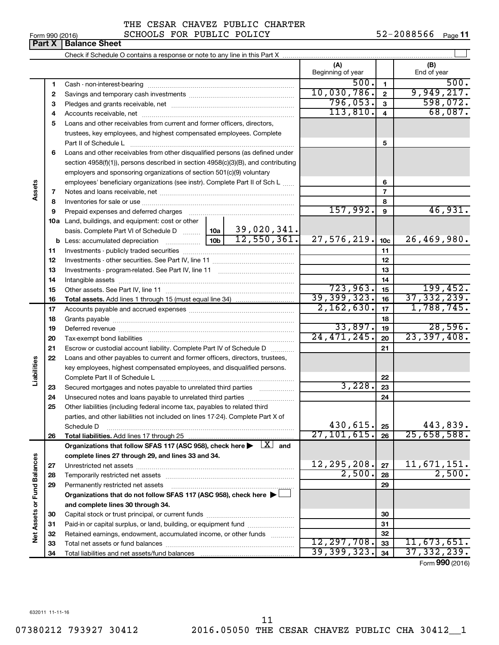| Form 990 (2016)               |  |  |
|-------------------------------|--|--|
| <b>Part X   Balance Sheet</b> |  |  |

 $\perp$ Check if Schedule O contains a response or note to any line in this Part X **(A) (B)** Beginning of year | | End of year 500. 500. **1 1** Cash - non-interest-bearing ~~~~~~~~~~~~~~~~~~~~~~~~~  $10.030.786$ .  $2$  | 9,949,217. **2 2** Savings and temporary cash investments ~~~~~~~~~~~~~~~~~~ 796,053. 598,072. **3 3** Pledges and grants receivable, net ~~~~~~~~~~~~~~~~~~~~~  $113,810. |4| 68,087.$ **4 4** Accounts receivable, net ~~~~~~~~~~~~~~~~~~~~~~~~~~ **5** Loans and other receivables from current and former officers, directors, trustees, key employees, and highest compensated employees. Complete **5** Part II of Schedule L ~~~~~~~~~~~~~~~~~~~~~~~~~~~~ **6** Loans and other receivables from other disqualified persons (as defined under section 4958(f)(1)), persons described in section 4958(c)(3)(B), and contributing employers and sponsoring organizations of section 501(c)(9) voluntary employees' beneficiary organizations (see instr). Complete Part II of Sch L ...... **6 Assets 7 7** Notes and loans receivable, net ~~~~~~~~~~~~~~~~~~~~~~~ **8 8** Inventories for sale or use ~~~~~~~~~~~~~~~~~~~~~~~~~~  $157,992.$  9  $46,931.$ **9 9** Prepaid expenses and deferred charges ~~~~~~~~~~~~~~~~~~ **10 a** Land, buildings, and equipment: cost or other 39,020,341. basis. Complete Part VI of Schedule D  $\frac{1}{10}$  10a  $27,576,219.$   $10c$   $26,469,980.$ **10c b** Less: accumulated depreciation  $\ldots$  [10b **11 11** Investments - publicly traded securities ~~~~~~~~~~~~~~~~~~~ **12 12** Investments - other securities. See Part IV, line 11 ~~~~~~~~~~~~~~ **13 13** Investments - program-related. See Part IV, line 11 ~~~~~~~~~~~~~ **14 14** Intangible assets ~~~~~~~~~~~~~~~~~~~~~~~~~~~~~~ 723,963. 15 Other assets. See Part IV, line 11 ~~~~~~~~~~~~~~~~~~~~~~ **15 15** 39,399,323**.** 16 37,332,239**. 16 16 Total assets.**  Add lines 1 through 15 (must equal line 34)  $2,162,630.$   $|17|$  1, 788, 745. **17 17** Accounts payable and accrued expenses ~~~~~~~~~~~~~~~~~~ **18 18** Grants payable ~~~~~~~~~~~~~~~~~~~~~~~~~~~~~~~  $33,897.$  19 28,596. **19 19** Deferred revenue ~~~~~~~~~~~~~~~~~~~~~~~~~~~~~~ 24,471,245. 23,397,408. **20 20** Tax-exempt bond liabilities ~~~~~~~~~~~~~~~~~~~~~~~~~ **21 21** Escrow or custodial account liability. Complete Part IV of Schedule D ........... **22** Loans and other payables to current and former officers, directors, trustees, **Liabilities** key employees, highest compensated employees, and disqualified persons. Complete Part II of Schedule L ~~~~~~~~~~~~~~~~~~~~~~~ **22** 3,228. Secured mortgages and notes payable to unrelated third parties  $\ldots$ ................. **23 23 24** Unsecured notes and loans payable to unrelated third parties ~~~~~~~~ **24 25** Other liabilities (including federal income tax, payables to related third parties, and other liabilities not included on lines 17-24). Complete Part X of  $430,615.$   $25$   $443,839.$ Schedule D ~~~~~~~~~~~~~~~~~~~~~~~~~~~~~~~~ **25**  $27,101,615.$   $26$   $25,658,588.$ **26 26 Total liabilities.**  Add lines 17 through 25 Organizations that follow SFAS 117 (ASC 958), check here  $\blacktriangleright$   $\boxed{X}$  and **complete lines 27 through 29, and lines 33 and 34. Vet Assets or Fund Balances Net Assets or Fund Balances**  $12,295,208$ .  $|z_7|$  11,671,151. **27 27** Unrestricted net assets ~~~~~~~~~~~~~~~~~~~~~~~~~~~  $2,500$ .  $28$   $2,500$ . **28 28** Temporarily restricted net assets ~~~~~~~~~~~~~~~~~~~~~~ **29 29** Permanently restricted net assets ~~~~~~~~~~~~~~~~~~~~~ **Organizations that do not follow SFAS 117 (ASC 958), check here** | † **and complete lines 30 through 34. 30 30** Capital stock or trust principal, or current funds ~~~~~~~~~~~~~~~ **31 31** Paid-in or capital surplus, or land, building, or equipment fund ....................... **32 32** Retained earnings, endowment, accumulated income, or other funds ............ 12,297,708. 11,673,651. **33** Total net assets or fund balances ~~~~~~~~~~~~~~~~~~~~~~ **33** 39,399,323. 37,332,239. **34 34** Total liabilities and net assets/fund balances

Form (2016) **990**

632011 11-11-16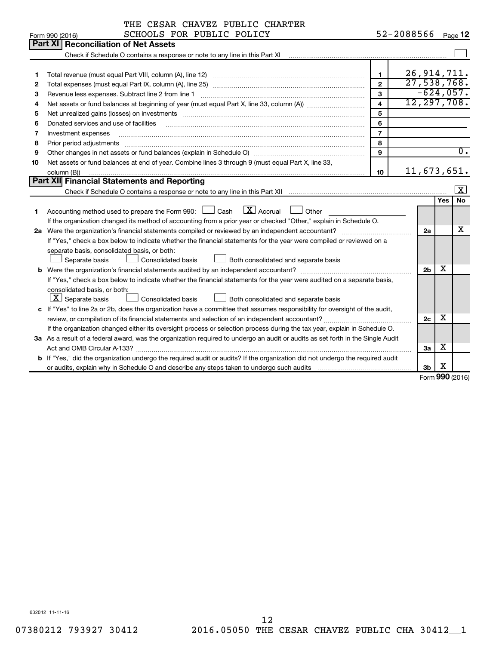|    | THE CESAR CHAVEZ PUBLIC CHARTER                                                                                                                                                                                                |                         |                |     |                  |
|----|--------------------------------------------------------------------------------------------------------------------------------------------------------------------------------------------------------------------------------|-------------------------|----------------|-----|------------------|
|    | SCHOOLS FOR PUBLIC POLICY<br>Form 990 (2016)                                                                                                                                                                                   |                         | 52-2088566     |     | Page 12          |
|    | Part XI<br><b>Reconciliation of Net Assets</b>                                                                                                                                                                                 |                         |                |     |                  |
|    | Check if Schedule O contains a response or note to any line in this Part XI                                                                                                                                                    |                         |                |     |                  |
|    |                                                                                                                                                                                                                                |                         |                |     |                  |
| 1  |                                                                                                                                                                                                                                | $\mathbf{1}$            | 26, 914, 711.  |     |                  |
| 2  |                                                                                                                                                                                                                                | $\overline{2}$          | 27,538,768.    |     |                  |
| З  | Revenue less expenses. Subtract line 2 from line 1                                                                                                                                                                             | 3                       | $-624,057.$    |     |                  |
| 4  |                                                                                                                                                                                                                                | $\overline{\mathbf{A}}$ | 12, 297, 708.  |     |                  |
| 5  | Net unrealized gains (losses) on investments [11] matter than the control of the state of the state of the state of the state of the state of the state of the state of the state of the state of the state of the state of th | 5                       |                |     |                  |
| 6  | Donated services and use of facilities                                                                                                                                                                                         | 6                       |                |     |                  |
| 7  | Investment expenses                                                                                                                                                                                                            | $\overline{7}$          |                |     |                  |
| 8  | Prior period adjustments                                                                                                                                                                                                       | 8                       |                |     |                  |
| 9  |                                                                                                                                                                                                                                | $\mathbf{Q}$            |                |     | $\overline{0}$ . |
| 10 | Net assets or fund balances at end of year. Combine lines 3 through 9 (must equal Part X, line 33,                                                                                                                             |                         |                |     |                  |
|    | column (B))                                                                                                                                                                                                                    | 10                      | 11,673,651.    |     |                  |
|    | Part XII Financial Statements and Reporting                                                                                                                                                                                    |                         |                |     |                  |
|    | Check if Schedule O contains a response or note to any line in this Part XII                                                                                                                                                   |                         |                |     | $\vert x \vert$  |
|    |                                                                                                                                                                                                                                |                         |                | Yes | <b>No</b>        |
| 1  | $\lfloor x \rfloor$ Accrual<br>Accounting method used to prepare the Form 990: $\Box$ Cash<br>Other                                                                                                                            |                         |                |     |                  |
|    | If the organization changed its method of accounting from a prior year or checked "Other," explain in Schedule O.                                                                                                              |                         |                |     |                  |
|    | 2a Were the organization's financial statements compiled or reviewed by an independent accountant?                                                                                                                             |                         | 2a             |     | х                |
|    | If "Yes," check a box below to indicate whether the financial statements for the year were compiled or reviewed on a                                                                                                           |                         |                |     |                  |
|    | separate basis, consolidated basis, or both:                                                                                                                                                                                   |                         |                |     |                  |
|    | Separate basis<br>Consolidated basis<br>Both consolidated and separate basis                                                                                                                                                   |                         |                |     |                  |
|    |                                                                                                                                                                                                                                |                         | 2 <sub>b</sub> | х   |                  |
|    | If "Yes," check a box below to indicate whether the financial statements for the year were audited on a separate basis,                                                                                                        |                         |                |     |                  |
|    | consolidated basis, or both:                                                                                                                                                                                                   |                         |                |     |                  |
|    | $ \mathbf{X} $ Separate basis<br>Consolidated basis<br>Both consolidated and separate basis                                                                                                                                    |                         |                |     |                  |
|    | c If "Yes" to line 2a or 2b, does the organization have a committee that assumes responsibility for oversight of the audit,                                                                                                    |                         |                |     |                  |
|    | review, or compilation of its financial statements and selection of an independent accountant?                                                                                                                                 |                         | 2c             | X   |                  |
|    | If the organization changed either its oversight process or selection process during the tax year, explain in Schedule O.                                                                                                      |                         |                |     |                  |
|    | 3a As a result of a federal award, was the organization required to undergo an audit or audits as set forth in the Single Audit                                                                                                |                         |                |     |                  |
|    |                                                                                                                                                                                                                                |                         | 3a             | х   |                  |
|    | <b>b</b> If "Yes," did the organization undergo the required audit or audits? If the organization did not undergo the required audit                                                                                           |                         |                |     |                  |
|    |                                                                                                                                                                                                                                |                         | 3b             | х   | Form 990 (2016)  |
|    |                                                                                                                                                                                                                                |                         |                |     |                  |

Form (2016) **990**

632012 11-11-16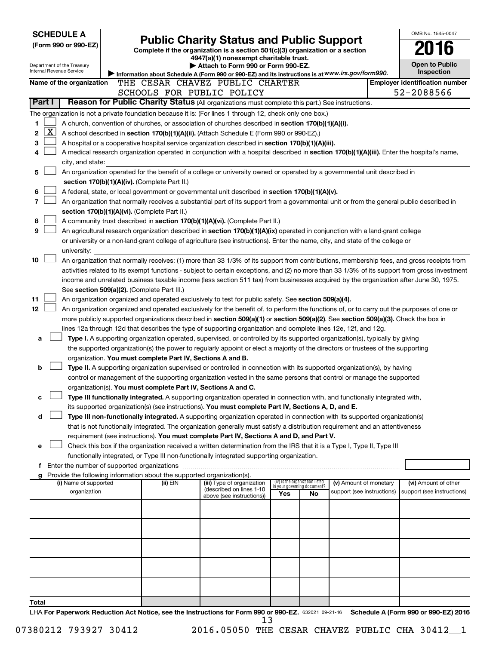| <b>SCHEDULE A</b>                                                                                         |                                                                        |                                                                                                                                                                                                                                                                |     |                                 |                                                      | OMB No. 1545-0047                                  |
|-----------------------------------------------------------------------------------------------------------|------------------------------------------------------------------------|----------------------------------------------------------------------------------------------------------------------------------------------------------------------------------------------------------------------------------------------------------------|-----|---------------------------------|------------------------------------------------------|----------------------------------------------------|
| (Form 990 or 990-EZ)                                                                                      |                                                                        | <b>Public Charity Status and Public Support</b>                                                                                                                                                                                                                |     |                                 |                                                      |                                                    |
|                                                                                                           |                                                                        | Complete if the organization is a section 501(c)(3) organization or a section<br>4947(a)(1) nonexempt charitable trust.                                                                                                                                        |     |                                 |                                                      |                                                    |
| Department of the Treasury                                                                                |                                                                        | Attach to Form 990 or Form 990-EZ.                                                                                                                                                                                                                             |     |                                 |                                                      | <b>Open to Public</b>                              |
| Internal Revenue Service                                                                                  |                                                                        | Information about Schedule A (Form 990 or 990-EZ) and its instructions is at WWW.irs.gov/form990.                                                                                                                                                              |     |                                 |                                                      | Inspection                                         |
| Name of the organization                                                                                  |                                                                        | THE CESAR CHAVEZ PUBLIC CHARTER                                                                                                                                                                                                                                |     |                                 |                                                      | <b>Employer identification number</b>              |
| Part I                                                                                                    |                                                                        | SCHOOLS FOR PUBLIC POLICY<br>Reason for Public Charity Status (All organizations must complete this part.) See instructions.                                                                                                                                   |     |                                 |                                                      | 52-2088566                                         |
|                                                                                                           |                                                                        |                                                                                                                                                                                                                                                                |     |                                 |                                                      |                                                    |
| The organization is not a private foundation because it is: (For lines 1 through 12, check only one box.) |                                                                        | A church, convention of churches, or association of churches described in section 170(b)(1)(A)(i).                                                                                                                                                             |     |                                 |                                                      |                                                    |
| 1<br><u>x</u><br>2                                                                                        |                                                                        |                                                                                                                                                                                                                                                                |     |                                 |                                                      |                                                    |
| з                                                                                                         |                                                                        | A school described in section 170(b)(1)(A)(ii). (Attach Schedule E (Form 990 or 990-EZ).)<br>A hospital or a cooperative hospital service organization described in section 170(b)(1)(A)(iii).                                                                 |     |                                 |                                                      |                                                    |
| 4                                                                                                         |                                                                        | A medical research organization operated in conjunction with a hospital described in section 170(b)(1)(A)(iii). Enter the hospital's name,                                                                                                                     |     |                                 |                                                      |                                                    |
| city, and state:                                                                                          |                                                                        |                                                                                                                                                                                                                                                                |     |                                 |                                                      |                                                    |
| 5                                                                                                         |                                                                        | An organization operated for the benefit of a college or university owned or operated by a governmental unit described in                                                                                                                                      |     |                                 |                                                      |                                                    |
|                                                                                                           | section 170(b)(1)(A)(iv). (Complete Part II.)                          |                                                                                                                                                                                                                                                                |     |                                 |                                                      |                                                    |
| 6                                                                                                         |                                                                        | A federal, state, or local government or governmental unit described in section 170(b)(1)(A)(v).                                                                                                                                                               |     |                                 |                                                      |                                                    |
| 7                                                                                                         |                                                                        | An organization that normally receives a substantial part of its support from a governmental unit or from the general public described in                                                                                                                      |     |                                 |                                                      |                                                    |
|                                                                                                           | section 170(b)(1)(A)(vi). (Complete Part II.)                          |                                                                                                                                                                                                                                                                |     |                                 |                                                      |                                                    |
| 8                                                                                                         |                                                                        | A community trust described in section 170(b)(1)(A)(vi). (Complete Part II.)                                                                                                                                                                                   |     |                                 |                                                      |                                                    |
| 9                                                                                                         |                                                                        | An agricultural research organization described in section 170(b)(1)(A)(ix) operated in conjunction with a land-grant college                                                                                                                                  |     |                                 |                                                      |                                                    |
|                                                                                                           |                                                                        | or university or a non-land-grant college of agriculture (see instructions). Enter the name, city, and state of the college or                                                                                                                                 |     |                                 |                                                      |                                                    |
| university:                                                                                               |                                                                        |                                                                                                                                                                                                                                                                |     |                                 |                                                      |                                                    |
| 10                                                                                                        |                                                                        | An organization that normally receives: (1) more than 33 1/3% of its support from contributions, membership fees, and gross receipts from                                                                                                                      |     |                                 |                                                      |                                                    |
|                                                                                                           |                                                                        | activities related to its exempt functions - subject to certain exceptions, and (2) no more than 33 1/3% of its support from gross investment                                                                                                                  |     |                                 |                                                      |                                                    |
|                                                                                                           |                                                                        | income and unrelated business taxable income (less section 511 tax) from businesses acquired by the organization after June 30, 1975.                                                                                                                          |     |                                 |                                                      |                                                    |
|                                                                                                           | See section 509(a)(2). (Complete Part III.)                            |                                                                                                                                                                                                                                                                |     |                                 |                                                      |                                                    |
| 11                                                                                                        |                                                                        | An organization organized and operated exclusively to test for public safety. See section 509(a)(4).                                                                                                                                                           |     |                                 |                                                      |                                                    |
| 12                                                                                                        |                                                                        | An organization organized and operated exclusively for the benefit of, to perform the functions of, or to carry out the purposes of one or                                                                                                                     |     |                                 |                                                      |                                                    |
|                                                                                                           |                                                                        | more publicly supported organizations described in section 509(a)(1) or section 509(a)(2). See section 509(a)(3). Check the box in                                                                                                                             |     |                                 |                                                      |                                                    |
|                                                                                                           |                                                                        | lines 12a through 12d that describes the type of supporting organization and complete lines 12e, 12f, and 12g.                                                                                                                                                 |     |                                 |                                                      |                                                    |
| a                                                                                                         |                                                                        | Type I. A supporting organization operated, supervised, or controlled by its supported organization(s), typically by giving<br>the supported organization(s) the power to regularly appoint or elect a majority of the directors or trustees of the supporting |     |                                 |                                                      |                                                    |
|                                                                                                           | organization. You must complete Part IV, Sections A and B.             |                                                                                                                                                                                                                                                                |     |                                 |                                                      |                                                    |
| b                                                                                                         |                                                                        | Type II. A supporting organization supervised or controlled in connection with its supported organization(s), by having                                                                                                                                        |     |                                 |                                                      |                                                    |
|                                                                                                           |                                                                        | control or management of the supporting organization vested in the same persons that control or manage the supported                                                                                                                                           |     |                                 |                                                      |                                                    |
|                                                                                                           | organization(s). You must complete Part IV, Sections A and C.          |                                                                                                                                                                                                                                                                |     |                                 |                                                      |                                                    |
| с                                                                                                         |                                                                        | Type III functionally integrated. A supporting organization operated in connection with, and functionally integrated with,                                                                                                                                     |     |                                 |                                                      |                                                    |
|                                                                                                           |                                                                        | its supported organization(s) (see instructions). You must complete Part IV, Sections A, D, and E.                                                                                                                                                             |     |                                 |                                                      |                                                    |
| d                                                                                                         |                                                                        | Type III non-functionally integrated. A supporting organization operated in connection with its supported organization(s)                                                                                                                                      |     |                                 |                                                      |                                                    |
|                                                                                                           |                                                                        | that is not functionally integrated. The organization generally must satisfy a distribution requirement and an attentiveness                                                                                                                                   |     |                                 |                                                      |                                                    |
|                                                                                                           |                                                                        | requirement (see instructions). You must complete Part IV, Sections A and D, and Part V.                                                                                                                                                                       |     |                                 |                                                      |                                                    |
| e                                                                                                         |                                                                        | Check this box if the organization received a written determination from the IRS that it is a Type I, Type II, Type III                                                                                                                                        |     |                                 |                                                      |                                                    |
|                                                                                                           |                                                                        | functionally integrated, or Type III non-functionally integrated supporting organization.                                                                                                                                                                      |     |                                 |                                                      |                                                    |
| f Enter the number of supported organizations                                                             |                                                                        |                                                                                                                                                                                                                                                                |     |                                 |                                                      |                                                    |
| g                                                                                                         | Provide the following information about the supported organization(s). |                                                                                                                                                                                                                                                                |     | (iv) Is the organization listed |                                                      |                                                    |
| (i) Name of supported<br>organization                                                                     | (ii) EIN                                                               | (iii) Type of organization<br>(described on lines 1-10                                                                                                                                                                                                         |     | in your governing document?     | (v) Amount of monetary<br>support (see instructions) | (vi) Amount of other<br>support (see instructions) |
|                                                                                                           |                                                                        | above (see instructions))                                                                                                                                                                                                                                      | Yes | No                              |                                                      |                                                    |
|                                                                                                           |                                                                        |                                                                                                                                                                                                                                                                |     |                                 |                                                      |                                                    |
|                                                                                                           |                                                                        |                                                                                                                                                                                                                                                                |     |                                 |                                                      |                                                    |
|                                                                                                           |                                                                        |                                                                                                                                                                                                                                                                |     |                                 |                                                      |                                                    |
|                                                                                                           |                                                                        |                                                                                                                                                                                                                                                                |     |                                 |                                                      |                                                    |
|                                                                                                           |                                                                        |                                                                                                                                                                                                                                                                |     |                                 |                                                      |                                                    |
|                                                                                                           |                                                                        |                                                                                                                                                                                                                                                                |     |                                 |                                                      |                                                    |
|                                                                                                           |                                                                        |                                                                                                                                                                                                                                                                |     |                                 |                                                      |                                                    |
|                                                                                                           |                                                                        |                                                                                                                                                                                                                                                                |     |                                 |                                                      |                                                    |
|                                                                                                           |                                                                        |                                                                                                                                                                                                                                                                |     |                                 |                                                      |                                                    |
| Total                                                                                                     |                                                                        |                                                                                                                                                                                                                                                                |     |                                 |                                                      |                                                    |
|                                                                                                           |                                                                        | UA For Department Poduction Act Notice, and the Instructions for Form 000 or 000 FZ, seems as as so Repodule A (Form 000 or 000 FZ) 2016                                                                                                                       |     |                                 |                                                      |                                                    |

632021 09-21-16 **For Paperwork Reduction Act Notice, see the Instructions for Form 990 or 990-EZ. Schedule A (Form 990 or 990-EZ) 2016** LHA  $13$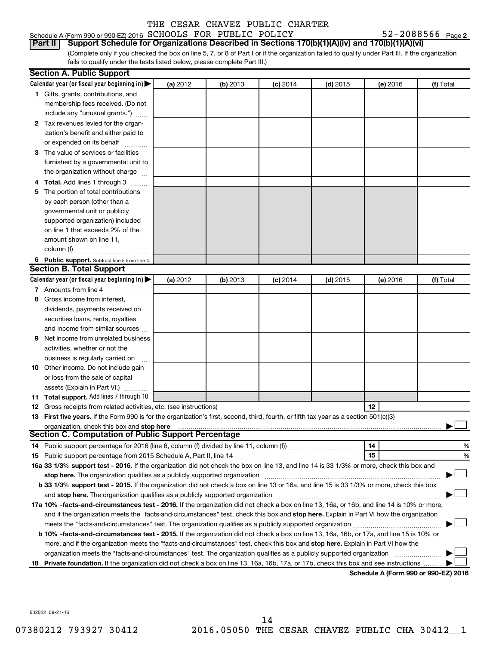### Schedule A (Form 990 or 990-EZ) 2016  $SCHOOLS$  FOR PUBLIC POLICY  $52-2088566$  Page

52-2088566 Page 2

(Complete only if you checked the box on line 5, 7, or 8 of Part I or if the organization failed to qualify under Part III. If the organization fails to qualify under the tests listed below, please complete Part III.) **Part II Support Schedule for Organizations Described in Sections 170(b)(1)(A)(iv) and 170(b)(1)(A)(vi)**

| Calendar year (or fiscal year beginning in) $\blacktriangleright$<br>(a) 2012<br>(b) 2013<br>$(d)$ 2015<br>(e) 2016<br>(f) Total<br>$(c)$ 2014<br>1 Gifts, grants, contributions, and<br>membership fees received. (Do not<br>include any "unusual grants.")<br>2 Tax revenues levied for the organ-<br>ization's benefit and either paid to<br>or expended on its behalf<br>3 The value of services or facilities<br>furnished by a governmental unit to<br>the organization without charge<br>Total. Add lines 1 through 3<br>The portion of total contributions<br>5<br>by each person (other than a<br>governmental unit or publicly<br>supported organization) included<br>on line 1 that exceeds 2% of the<br>amount shown on line 11, |   |
|----------------------------------------------------------------------------------------------------------------------------------------------------------------------------------------------------------------------------------------------------------------------------------------------------------------------------------------------------------------------------------------------------------------------------------------------------------------------------------------------------------------------------------------------------------------------------------------------------------------------------------------------------------------------------------------------------------------------------------------------|---|
|                                                                                                                                                                                                                                                                                                                                                                                                                                                                                                                                                                                                                                                                                                                                              |   |
|                                                                                                                                                                                                                                                                                                                                                                                                                                                                                                                                                                                                                                                                                                                                              |   |
|                                                                                                                                                                                                                                                                                                                                                                                                                                                                                                                                                                                                                                                                                                                                              |   |
|                                                                                                                                                                                                                                                                                                                                                                                                                                                                                                                                                                                                                                                                                                                                              |   |
|                                                                                                                                                                                                                                                                                                                                                                                                                                                                                                                                                                                                                                                                                                                                              |   |
|                                                                                                                                                                                                                                                                                                                                                                                                                                                                                                                                                                                                                                                                                                                                              |   |
|                                                                                                                                                                                                                                                                                                                                                                                                                                                                                                                                                                                                                                                                                                                                              |   |
|                                                                                                                                                                                                                                                                                                                                                                                                                                                                                                                                                                                                                                                                                                                                              |   |
|                                                                                                                                                                                                                                                                                                                                                                                                                                                                                                                                                                                                                                                                                                                                              |   |
|                                                                                                                                                                                                                                                                                                                                                                                                                                                                                                                                                                                                                                                                                                                                              |   |
|                                                                                                                                                                                                                                                                                                                                                                                                                                                                                                                                                                                                                                                                                                                                              |   |
|                                                                                                                                                                                                                                                                                                                                                                                                                                                                                                                                                                                                                                                                                                                                              |   |
|                                                                                                                                                                                                                                                                                                                                                                                                                                                                                                                                                                                                                                                                                                                                              |   |
|                                                                                                                                                                                                                                                                                                                                                                                                                                                                                                                                                                                                                                                                                                                                              |   |
|                                                                                                                                                                                                                                                                                                                                                                                                                                                                                                                                                                                                                                                                                                                                              |   |
|                                                                                                                                                                                                                                                                                                                                                                                                                                                                                                                                                                                                                                                                                                                                              |   |
|                                                                                                                                                                                                                                                                                                                                                                                                                                                                                                                                                                                                                                                                                                                                              |   |
| column (f)                                                                                                                                                                                                                                                                                                                                                                                                                                                                                                                                                                                                                                                                                                                                   |   |
| 6 Public support. Subtract line 5 from line 4.                                                                                                                                                                                                                                                                                                                                                                                                                                                                                                                                                                                                                                                                                               |   |
| <b>Section B. Total Support</b>                                                                                                                                                                                                                                                                                                                                                                                                                                                                                                                                                                                                                                                                                                              |   |
| Calendar year (or fiscal year beginning in) $\blacktriangleright$<br>(a) 2012<br>(b) 2013<br>$(d)$ 2015<br>(e) 2016<br>(f) Total<br><b>(c)</b> 2014                                                                                                                                                                                                                                                                                                                                                                                                                                                                                                                                                                                          |   |
| 7 Amounts from line 4                                                                                                                                                                                                                                                                                                                                                                                                                                                                                                                                                                                                                                                                                                                        |   |
| Gross income from interest,<br>8                                                                                                                                                                                                                                                                                                                                                                                                                                                                                                                                                                                                                                                                                                             |   |
| dividends, payments received on                                                                                                                                                                                                                                                                                                                                                                                                                                                                                                                                                                                                                                                                                                              |   |
| securities loans, rents, royalties                                                                                                                                                                                                                                                                                                                                                                                                                                                                                                                                                                                                                                                                                                           |   |
| and income from similar sources                                                                                                                                                                                                                                                                                                                                                                                                                                                                                                                                                                                                                                                                                                              |   |
| Net income from unrelated business<br>9                                                                                                                                                                                                                                                                                                                                                                                                                                                                                                                                                                                                                                                                                                      |   |
| activities, whether or not the                                                                                                                                                                                                                                                                                                                                                                                                                                                                                                                                                                                                                                                                                                               |   |
| business is regularly carried on                                                                                                                                                                                                                                                                                                                                                                                                                                                                                                                                                                                                                                                                                                             |   |
| 10 Other income. Do not include gain                                                                                                                                                                                                                                                                                                                                                                                                                                                                                                                                                                                                                                                                                                         |   |
| or loss from the sale of capital                                                                                                                                                                                                                                                                                                                                                                                                                                                                                                                                                                                                                                                                                                             |   |
| assets (Explain in Part VI.)                                                                                                                                                                                                                                                                                                                                                                                                                                                                                                                                                                                                                                                                                                                 |   |
| 11 Total support. Add lines 7 through 10                                                                                                                                                                                                                                                                                                                                                                                                                                                                                                                                                                                                                                                                                                     |   |
| 12<br><b>12</b> Gross receipts from related activities, etc. (see instructions)                                                                                                                                                                                                                                                                                                                                                                                                                                                                                                                                                                                                                                                              |   |
| 13 First five years. If the Form 990 is for the organization's first, second, third, fourth, or fifth tax year as a section 501(c)(3)                                                                                                                                                                                                                                                                                                                                                                                                                                                                                                                                                                                                        |   |
| organization, check this box and stop here                                                                                                                                                                                                                                                                                                                                                                                                                                                                                                                                                                                                                                                                                                   |   |
| <b>Section C. Computation of Public Support Percentage</b>                                                                                                                                                                                                                                                                                                                                                                                                                                                                                                                                                                                                                                                                                   |   |
| 14<br>14 Public support percentage for 2016 (line 6, column (f) divided by line 11, column (f) <i>mummumumum</i>                                                                                                                                                                                                                                                                                                                                                                                                                                                                                                                                                                                                                             | % |
| 15                                                                                                                                                                                                                                                                                                                                                                                                                                                                                                                                                                                                                                                                                                                                           | % |
| 16a 33 1/3% support test - 2016. If the organization did not check the box on line 13, and line 14 is 33 1/3% or more, check this box and                                                                                                                                                                                                                                                                                                                                                                                                                                                                                                                                                                                                    |   |
| stop here. The organization qualifies as a publicly supported organization                                                                                                                                                                                                                                                                                                                                                                                                                                                                                                                                                                                                                                                                   |   |
| b 33 1/3% support test - 2015. If the organization did not check a box on line 13 or 16a, and line 15 is 33 1/3% or more, check this box                                                                                                                                                                                                                                                                                                                                                                                                                                                                                                                                                                                                     |   |
|                                                                                                                                                                                                                                                                                                                                                                                                                                                                                                                                                                                                                                                                                                                                              |   |
| 17a 10% -facts-and-circumstances test - 2016. If the organization did not check a box on line 13, 16a, or 16b, and line 14 is 10% or more,                                                                                                                                                                                                                                                                                                                                                                                                                                                                                                                                                                                                   |   |
| and if the organization meets the "facts-and-circumstances" test, check this box and stop here. Explain in Part VI how the organization                                                                                                                                                                                                                                                                                                                                                                                                                                                                                                                                                                                                      |   |
| meets the "facts-and-circumstances" test. The organization qualifies as a publicly supported organization <i>manumumumum</i>                                                                                                                                                                                                                                                                                                                                                                                                                                                                                                                                                                                                                 |   |
| b 10% -facts-and-circumstances test - 2015. If the organization did not check a box on line 13, 16a, 16b, or 17a, and line 15 is 10% or                                                                                                                                                                                                                                                                                                                                                                                                                                                                                                                                                                                                      |   |
| more, and if the organization meets the "facts-and-circumstances" test, check this box and stop here. Explain in Part VI how the                                                                                                                                                                                                                                                                                                                                                                                                                                                                                                                                                                                                             |   |
| organization meets the "facts-and-circumstances" test. The organization qualifies as a publicly supported organization                                                                                                                                                                                                                                                                                                                                                                                                                                                                                                                                                                                                                       |   |
| Private foundation. If the organization did not check a box on line 13, 16a, 16b, 17a, or 17b, check this box and see instructions<br>18<br>Schedule A (Form 990 or 990-F7) 2016                                                                                                                                                                                                                                                                                                                                                                                                                                                                                                                                                             |   |

**Schedule A (Form 990 or 990-EZ) 2016**

632022 09-21-16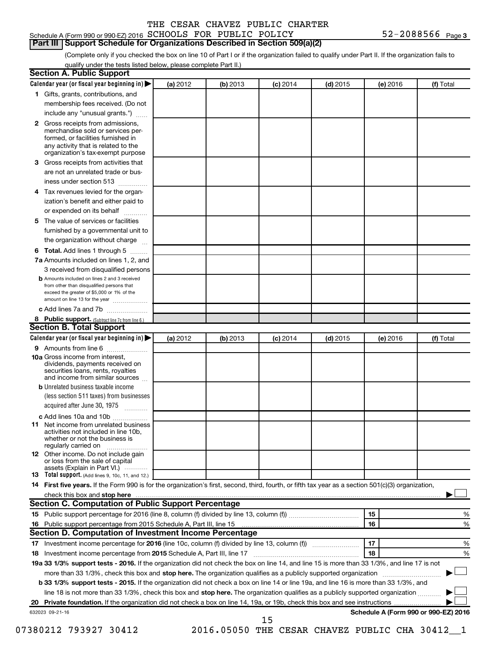### Schedule A (Form 990 or 990-EZ) 2016  $SCHOOLS$  FOR PUBLIC POLICY  $52-2088566$  Page **Part III Support Schedule for Organizations Described in Section 509(a)(2)**

(Complete only if you checked the box on line 10 of Part I or if the organization failed to qualify under Part II. If the organization fails to qualify under the tests listed below, please complete Part II.)

| <b>Section A. Public Support</b>                                                                                                                                                                                                        |          |          |                 |            |          |                                      |
|-----------------------------------------------------------------------------------------------------------------------------------------------------------------------------------------------------------------------------------------|----------|----------|-----------------|------------|----------|--------------------------------------|
| Calendar year (or fiscal year beginning in)                                                                                                                                                                                             | (a) 2012 | (b) 2013 | $(c)$ 2014      | $(d)$ 2015 | (e) 2016 | (f) Total                            |
| 1 Gifts, grants, contributions, and                                                                                                                                                                                                     |          |          |                 |            |          |                                      |
| membership fees received. (Do not                                                                                                                                                                                                       |          |          |                 |            |          |                                      |
| include any "unusual grants.")                                                                                                                                                                                                          |          |          |                 |            |          |                                      |
| 2 Gross receipts from admissions,<br>merchandise sold or services per-<br>formed, or facilities furnished in<br>any activity that is related to the<br>organization's tax-exempt purpose                                                |          |          |                 |            |          |                                      |
| 3 Gross receipts from activities that<br>are not an unrelated trade or bus-                                                                                                                                                             |          |          |                 |            |          |                                      |
| iness under section 513                                                                                                                                                                                                                 |          |          |                 |            |          |                                      |
| 4 Tax revenues levied for the organ-                                                                                                                                                                                                    |          |          |                 |            |          |                                      |
| ization's benefit and either paid to<br>or expended on its behalf                                                                                                                                                                       |          |          |                 |            |          |                                      |
| 5 The value of services or facilities                                                                                                                                                                                                   |          |          |                 |            |          |                                      |
| furnished by a governmental unit to                                                                                                                                                                                                     |          |          |                 |            |          |                                      |
| the organization without charge                                                                                                                                                                                                         |          |          |                 |            |          |                                      |
| 6 Total. Add lines 1 through 5                                                                                                                                                                                                          |          |          |                 |            |          |                                      |
| 7a Amounts included on lines 1, 2, and                                                                                                                                                                                                  |          |          |                 |            |          |                                      |
| 3 received from disqualified persons                                                                                                                                                                                                    |          |          |                 |            |          |                                      |
| <b>b</b> Amounts included on lines 2 and 3 received<br>from other than disqualified persons that<br>exceed the greater of \$5,000 or 1% of the<br>amount on line 13 for the year                                                        |          |          |                 |            |          |                                      |
| c Add lines 7a and 7b                                                                                                                                                                                                                   |          |          |                 |            |          |                                      |
| 8 Public support. (Subtract line 7c from line 6.)                                                                                                                                                                                       |          |          |                 |            |          |                                      |
| <b>Section B. Total Support</b>                                                                                                                                                                                                         |          |          |                 |            |          |                                      |
| Calendar year (or fiscal year beginning in)                                                                                                                                                                                             | (a) 2012 | (b) 2013 | <b>(c)</b> 2014 | $(d)$ 2015 | (e) 2016 | (f) Total                            |
| 9 Amounts from line 6                                                                                                                                                                                                                   |          |          |                 |            |          |                                      |
| <b>10a</b> Gross income from interest,<br>dividends, payments received on<br>securities loans, rents, royalties<br>and income from similar sources                                                                                      |          |          |                 |            |          |                                      |
| <b>b</b> Unrelated business taxable income<br>(less section 511 taxes) from businesses                                                                                                                                                  |          |          |                 |            |          |                                      |
| acquired after June 30, 1975                                                                                                                                                                                                            |          |          |                 |            |          |                                      |
| c Add lines 10a and 10b                                                                                                                                                                                                                 |          |          |                 |            |          |                                      |
| <b>11</b> Net income from unrelated business<br>activities not included in line 10b.<br>whether or not the business is<br>regularly carried on                                                                                          |          |          |                 |            |          |                                      |
| 12 Other income. Do not include gain<br>or loss from the sale of capital<br>assets (Explain in Part VI.)                                                                                                                                |          |          |                 |            |          |                                      |
| <b>13</b> Total support. (Add lines 9, 10c, 11, and 12.)                                                                                                                                                                                |          |          |                 |            |          |                                      |
| 14 First five years. If the Form 990 is for the organization's first, second, third, fourth, or fifth tax year as a section 501(c)(3) organization,                                                                                     |          |          |                 |            |          |                                      |
| check this box and stop here <b>contained and the contained and stop here</b> check this box and stop here <b>contained and the contained and stop here</b> contained and stop here contained and and stop here contained and stop here |          |          |                 |            |          |                                      |
| Section C. Computation of Public Support Percentage                                                                                                                                                                                     |          |          |                 |            |          |                                      |
|                                                                                                                                                                                                                                         |          |          |                 |            | 15       | ℅                                    |
|                                                                                                                                                                                                                                         |          |          |                 |            | 16       | %                                    |
| Section D. Computation of Investment Income Percentage                                                                                                                                                                                  |          |          |                 |            |          |                                      |
|                                                                                                                                                                                                                                         |          |          |                 |            | 17       | %                                    |
| 18 Investment income percentage from 2015 Schedule A, Part III, line 17                                                                                                                                                                 |          |          |                 |            | 18       | %                                    |
| 19a 33 1/3% support tests - 2016. If the organization did not check the box on line 14, and line 15 is more than 33 1/3%, and line 17 is not                                                                                            |          |          |                 |            |          |                                      |
| more than 33 1/3%, check this box and stop here. The organization qualifies as a publicly supported organization                                                                                                                        |          |          |                 |            |          |                                      |
| b 33 1/3% support tests - 2015. If the organization did not check a box on line 14 or line 19a, and line 16 is more than 33 1/3%, and                                                                                                   |          |          |                 |            |          |                                      |
| line 18 is not more than 33 1/3%, check this box and stop here. The organization qualifies as a publicly supported organization                                                                                                         |          |          |                 |            |          |                                      |
|                                                                                                                                                                                                                                         |          |          |                 |            |          |                                      |
| 632023 09-21-16                                                                                                                                                                                                                         |          |          | 15              |            |          | Schedule A (Form 990 or 990-EZ) 2016 |

07380212 793927 30412 2016.05050 THE CESAR CHAVEZ PUBLIC CHA 30412\_1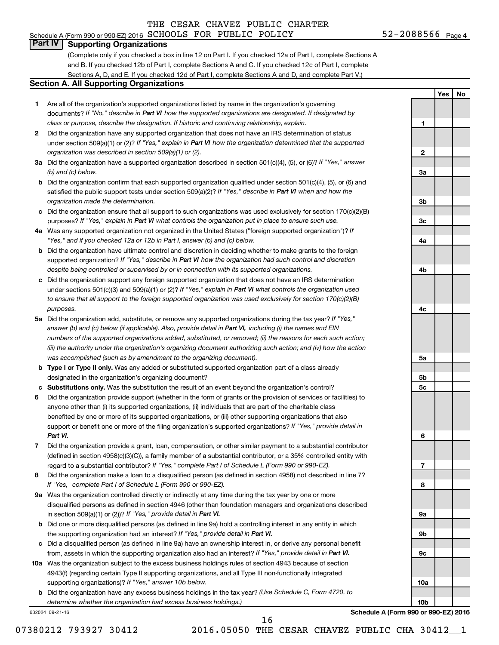### Schedule A (Form 990 or 990-EZ) 2016  $SCHOOLS$  FOR PUBLIC POLICY  $52-2088566$  Page

**1**

**2**

**3a**

**3b**

**3c**

**4a**

**4b**

**4c**

**5a**

**5b 5c**

**6**

**7**

**8**

**9a**

**9b**

**9c**

**10a**

**10b**

**Yes No**

### **Part IV Supporting Organizations**

(Complete only if you checked a box in line 12 on Part I. If you checked 12a of Part I, complete Sections A and B. If you checked 12b of Part I, complete Sections A and C. If you checked 12c of Part I, complete Sections A, D, and E. If you checked 12d of Part I, complete Sections A and D, and complete Part V.)

### **Section A. All Supporting Organizations**

- **1** Are all of the organization's supported organizations listed by name in the organization's governing documents? If "No," describe in Part VI how the supported organizations are designated. If designated by *class or purpose, describe the designation. If historic and continuing relationship, explain.*
- **2** Did the organization have any supported organization that does not have an IRS determination of status under section 509(a)(1) or (2)? If "Yes," explain in Part VI how the organization determined that the supported *organization was described in section 509(a)(1) or (2).*
- **3a** Did the organization have a supported organization described in section 501(c)(4), (5), or (6)? If "Yes," answer *(b) and (c) below.*
- **b** Did the organization confirm that each supported organization qualified under section 501(c)(4), (5), or (6) and satisfied the public support tests under section 509(a)(2)? If "Yes," describe in Part VI when and how the *organization made the determination.*
- **c** Did the organization ensure that all support to such organizations was used exclusively for section 170(c)(2)(B) purposes? If "Yes," explain in Part VI what controls the organization put in place to ensure such use.
- **4 a** *If* Was any supported organization not organized in the United States ("foreign supported organization")? *"Yes," and if you checked 12a or 12b in Part I, answer (b) and (c) below.*
- **b** Did the organization have ultimate control and discretion in deciding whether to make grants to the foreign supported organization? If "Yes," describe in Part VI how the organization had such control and discretion *despite being controlled or supervised by or in connection with its supported organizations.*
- **c** Did the organization support any foreign supported organization that does not have an IRS determination under sections 501(c)(3) and 509(a)(1) or (2)? If "Yes," explain in Part VI what controls the organization used *to ensure that all support to the foreign supported organization was used exclusively for section 170(c)(2)(B) purposes.*
- **5a** Did the organization add, substitute, or remove any supported organizations during the tax year? If "Yes," answer (b) and (c) below (if applicable). Also, provide detail in Part VI, including (i) the names and EIN *numbers of the supported organizations added, substituted, or removed; (ii) the reasons for each such action; (iii) the authority under the organization's organizing document authorizing such action; and (iv) how the action was accomplished (such as by amendment to the organizing document).*
- **b Type I or Type II only.** Was any added or substituted supported organization part of a class already designated in the organization's organizing document?
- **c Substitutions only.**  Was the substitution the result of an event beyond the organization's control?
- **6** Did the organization provide support (whether in the form of grants or the provision of services or facilities) to support or benefit one or more of the filing organization's supported organizations? If "Yes," provide detail in anyone other than (i) its supported organizations, (ii) individuals that are part of the charitable class benefited by one or more of its supported organizations, or (iii) other supporting organizations that also *Part VI.*
- **7** Did the organization provide a grant, loan, compensation, or other similar payment to a substantial contributor regard to a substantial contributor? If "Yes," complete Part I of Schedule L (Form 990 or 990-EZ). (defined in section 4958(c)(3)(C)), a family member of a substantial contributor, or a 35% controlled entity with
- **8** Did the organization make a loan to a disqualified person (as defined in section 4958) not described in line 7? *If "Yes," complete Part I of Schedule L (Form 990 or 990-EZ).*
- **9 a** Was the organization controlled directly or indirectly at any time during the tax year by one or more in section 509(a)(1) or (2))? If "Yes," provide detail in Part VI. disqualified persons as defined in section 4946 (other than foundation managers and organizations described
- **b** Did one or more disqualified persons (as defined in line 9a) hold a controlling interest in any entity in which the supporting organization had an interest? If "Yes," provide detail in Part VI.
- **c** Did a disqualified person (as defined in line 9a) have an ownership interest in, or derive any personal benefit from, assets in which the supporting organization also had an interest? If "Yes," provide detail in Part VI.
- **10 a** Was the organization subject to the excess business holdings rules of section 4943 because of section supporting organizations)? If "Yes," answer 10b below. 4943(f) (regarding certain Type II supporting organizations, and all Type III non-functionally integrated
	- **b** Did the organization have any excess business holdings in the tax year? (Use Schedule C, Form 4720, to *determine whether the organization had excess business holdings.)*

632024 09-21-16

**Schedule A (Form 990 or 990-EZ) 2016**

07380212 793927 30412 2016.05050 THE CESAR CHAVEZ PUBLIC CHA 30412 1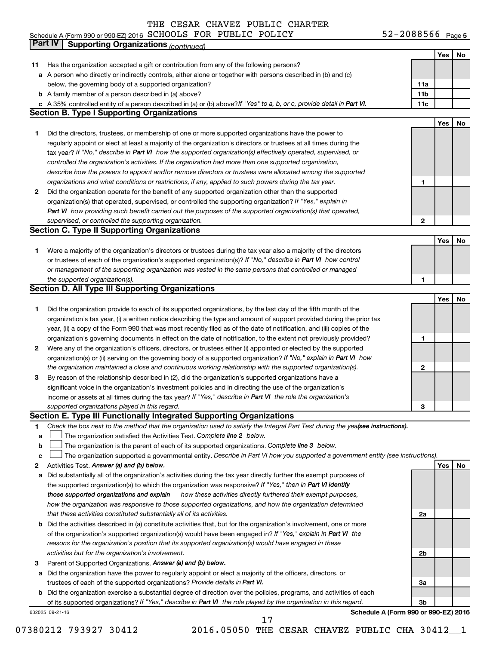### Schedule A (Form 990 or 990-EZ) 2016 SCHOOLS FOR PUBLIC POLICY 5Z-ZU88566 Page SCHOOLS FOR PUBLIC POLICY 52-2088566

52-2088566 Page 5

|             | Part IV<br><b>Supporting Organizations (continued)</b>                                                                          |                 |     |    |
|-------------|---------------------------------------------------------------------------------------------------------------------------------|-----------------|-----|----|
|             |                                                                                                                                 |                 | Yes | No |
| 11          | Has the organization accepted a gift or contribution from any of the following persons?                                         |                 |     |    |
|             | a A person who directly or indirectly controls, either alone or together with persons described in (b) and (c)                  |                 |     |    |
|             | below, the governing body of a supported organization?                                                                          | 11a             |     |    |
|             | <b>b</b> A family member of a person described in (a) above?                                                                    | 11 <sub>b</sub> |     |    |
|             | c A 35% controlled entity of a person described in (a) or (b) above? If "Yes" to a, b, or c, provide detail in Part VI.         | 11c             |     |    |
|             | <b>Section B. Type I Supporting Organizations</b>                                                                               |                 |     |    |
|             |                                                                                                                                 |                 | Yes | No |
| 1           | Did the directors, trustees, or membership of one or more supported organizations have the power to                             |                 |     |    |
|             | regularly appoint or elect at least a majority of the organization's directors or trustees at all times during the              |                 |     |    |
|             | tax year? If "No," describe in Part VI how the supported organization(s) effectively operated, supervised, or                   |                 |     |    |
|             | controlled the organization's activities. If the organization had more than one supported organization,                         |                 |     |    |
|             | describe how the powers to appoint and/or remove directors or trustees were allocated among the supported                       |                 |     |    |
|             | organizations and what conditions or restrictions, if any, applied to such powers during the tax year.                          | 1               |     |    |
| 2           | Did the organization operate for the benefit of any supported organization other than the supported                             |                 |     |    |
|             | organization(s) that operated, supervised, or controlled the supporting organization? If "Yes," explain in                      |                 |     |    |
|             | Part VI how providing such benefit carried out the purposes of the supported organization(s) that operated,                     |                 |     |    |
|             | supervised, or controlled the supporting organization.                                                                          | $\mathbf{2}$    |     |    |
|             | <b>Section C. Type II Supporting Organizations</b>                                                                              |                 |     |    |
|             |                                                                                                                                 |                 | Yes | No |
| 1           | Were a majority of the organization's directors or trustees during the tax year also a majority of the directors                |                 |     |    |
|             | or trustees of each of the organization's supported organization(s)? If "No," describe in Part VI how control                   |                 |     |    |
|             | or management of the supporting organization was vested in the same persons that controlled or managed                          |                 |     |    |
|             | the supported organization(s).                                                                                                  | 1               |     |    |
|             | <b>Section D. All Type III Supporting Organizations</b>                                                                         |                 |     |    |
|             |                                                                                                                                 |                 | Yes | No |
| 1           | Did the organization provide to each of its supported organizations, by the last day of the fifth month of the                  |                 |     |    |
|             | organization's tax year, (i) a written notice describing the type and amount of support provided during the prior tax           |                 |     |    |
|             | year, (ii) a copy of the Form 990 that was most recently filed as of the date of notification, and (iii) copies of the          |                 |     |    |
|             | organization's governing documents in effect on the date of notification, to the extent not previously provided?                | 1               |     |    |
| 2           | Were any of the organization's officers, directors, or trustees either (i) appointed or elected by the supported                |                 |     |    |
|             | organization(s) or (ii) serving on the governing body of a supported organization? If "No," explain in Part VI how              |                 |     |    |
|             | the organization maintained a close and continuous working relationship with the supported organization(s).                     | 2               |     |    |
| 3           | By reason of the relationship described in (2), did the organization's supported organizations have a                           |                 |     |    |
|             | significant voice in the organization's investment policies and in directing the use of the organization's                      |                 |     |    |
|             | income or assets at all times during the tax year? If "Yes," describe in Part VI the role the organization's                    |                 |     |    |
|             | supported organizations played in this regard.                                                                                  | з               |     |    |
|             | Section E. Type III Functionally Integrated Supporting Organizations                                                            |                 |     |    |
| 1           | Check the box next to the method that the organization used to satisfy the Integral Part Test during the yeafsee instructions). |                 |     |    |
| a           | The organization satisfied the Activities Test. Complete line 2 below.                                                          |                 |     |    |
| $\mathbf b$ | The organization is the parent of each of its supported organizations. Complete line 3 below.                                   |                 |     |    |
| c           | The organization supported a governmental entity. Describe in Part VI how you supported a government entity (see instructions). |                 |     |    |
| 2           | Activities Test. Answer (a) and (b) below.                                                                                      |                 | Yes | No |
| а           | Did substantially all of the organization's activities during the tax year directly further the exempt purposes of              |                 |     |    |
|             | the supported organization(s) to which the organization was responsive? If "Yes," then in Part VI identify                      |                 |     |    |
|             | how these activities directly furthered their exempt purposes,<br>those supported organizations and explain                     |                 |     |    |
|             | how the organization was responsive to those supported organizations, and how the organization determined                       |                 |     |    |
|             | that these activities constituted substantially all of its activities.                                                          | 2a              |     |    |
|             | <b>b</b> Did the activities described in (a) constitute activities that, but for the organization's involvement, one or more    |                 |     |    |
|             | of the organization's supported organization(s) would have been engaged in? If "Yes," explain in Part VI the                    |                 |     |    |
|             | reasons for the organization's position that its supported organization(s) would have engaged in these                          |                 |     |    |
|             | activities but for the organization's involvement.                                                                              | 2b              |     |    |
| З           | Parent of Supported Organizations. Answer (a) and (b) below.                                                                    |                 |     |    |
| а           | Did the organization have the power to regularly appoint or elect a majority of the officers, directors, or                     |                 |     |    |
|             | trustees of each of the supported organizations? Provide details in Part VI.                                                    | За              |     |    |
|             | <b>b</b> Did the organization exercise a substantial degree of direction over the policies, programs, and activities of each    |                 |     |    |
|             | of its supported organizations? If "Yes," describe in Part VI the role played by the organization in this regard.               | Зb              |     |    |
|             | Schedule A (Form 990 or 990-EZ) 2016<br>632025 09-21-16                                                                         |                 |     |    |

07380212 793927 30412 2016.05050 THE CESAR CHAVEZ PUBLIC CHA 30412\_1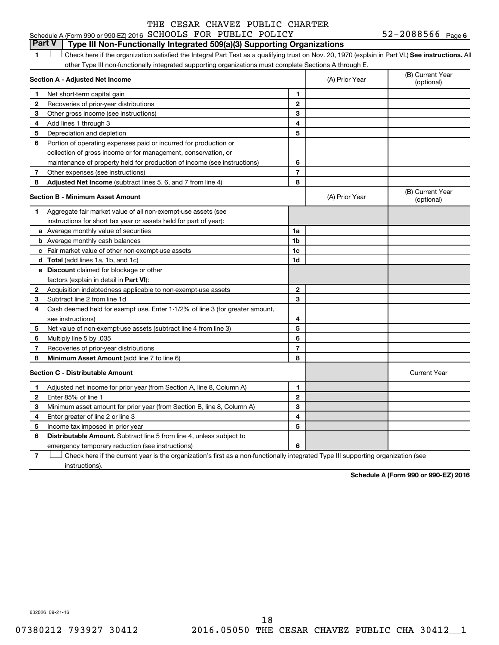### 52-2088566 Page 6 Schedule A (Form 990 or 990-EZ) 2016  $SCHOOLS$  FOR PUBLIC POLICY  $52-2088566$  Page

### **Part V Type III Non-Functionally Integrated 509(a)(3) Supporting Organizations**

1 **Letter See instructions.** All Check here if the organization satisfied the Integral Part Test as a qualifying trust on Nov. 20, 1970 (explain in Part VI.) See instructions. All other Type III non-functionally integrated supporting organizations must complete Sections A through E.

| Section A - Adjusted Net Income |                                                                              |                | (A) Prior Year | (B) Current Year<br>(optional) |
|---------------------------------|------------------------------------------------------------------------------|----------------|----------------|--------------------------------|
| 1                               | Net short-term capital gain                                                  | 1              |                |                                |
| 2                               | Recoveries of prior-year distributions                                       | $\mathbf{2}$   |                |                                |
| 3                               | Other gross income (see instructions)                                        | 3              |                |                                |
| 4                               | Add lines 1 through 3                                                        | 4              |                |                                |
| 5                               | Depreciation and depletion                                                   | 5              |                |                                |
| 6                               | Portion of operating expenses paid or incurred for production or             |                |                |                                |
|                                 | collection of gross income or for management, conservation, or               |                |                |                                |
|                                 | maintenance of property held for production of income (see instructions)     | 6              |                |                                |
| 7                               | Other expenses (see instructions)                                            | $\overline{7}$ |                |                                |
| 8                               | Adjusted Net Income (subtract lines 5, 6, and 7 from line 4)                 | 8              |                |                                |
|                                 | <b>Section B - Minimum Asset Amount</b>                                      |                | (A) Prior Year | (B) Current Year<br>(optional) |
| 1.                              | Aggregate fair market value of all non-exempt-use assets (see                |                |                |                                |
|                                 | instructions for short tax year or assets held for part of year):            |                |                |                                |
|                                 | a Average monthly value of securities                                        | 1a             |                |                                |
|                                 | <b>b</b> Average monthly cash balances                                       | 1 <sub>b</sub> |                |                                |
|                                 | c Fair market value of other non-exempt-use assets                           | 1c             |                |                                |
|                                 | d Total (add lines 1a, 1b, and 1c)                                           | 1 <sub>d</sub> |                |                                |
|                                 | e Discount claimed for blockage or other                                     |                |                |                                |
|                                 | factors (explain in detail in <b>Part VI</b> ):                              |                |                |                                |
| 2                               | Acquisition indebtedness applicable to non-exempt-use assets                 | $\mathbf{2}$   |                |                                |
| 3                               | Subtract line 2 from line 1d                                                 | 3              |                |                                |
| 4                               | Cash deemed held for exempt use. Enter 1-1/2% of line 3 (for greater amount, |                |                |                                |
|                                 | see instructions)                                                            | 4              |                |                                |
| 5                               | Net value of non-exempt-use assets (subtract line 4 from line 3)             | 5              |                |                                |
| 6                               | Multiply line 5 by .035                                                      | 6              |                |                                |
| $\overline{7}$                  | Recoveries of prior-year distributions                                       | $\overline{7}$ |                |                                |
| 8                               | Minimum Asset Amount (add line 7 to line 6)                                  | 8              |                |                                |
|                                 | <b>Section C - Distributable Amount</b>                                      |                |                | <b>Current Year</b>            |
| 1                               | Adjusted net income for prior year (from Section A, line 8, Column A)        | 1              |                |                                |
| $\mathbf{2}$                    | Enter 85% of line 1                                                          | $\mathbf{2}$   |                |                                |
| 3                               | Minimum asset amount for prior year (from Section B, line 8, Column A)       | 3              |                |                                |
| 4                               | Enter greater of line 2 or line 3                                            | 4              |                |                                |
| 5                               | Income tax imposed in prior year                                             | 5              |                |                                |
| 6                               | Distributable Amount. Subtract line 5 from line 4, unless subject to         |                |                |                                |
|                                 | emergency temporary reduction (see instructions)                             | 6              |                |                                |
|                                 |                                                                              |                |                |                                |

**7** Check here if the current year is the organization's first as a non-functionally integrated Type III supporting organization (see † instructions).

**Schedule A (Form 990 or 990-EZ) 2016**

632026 09-21-16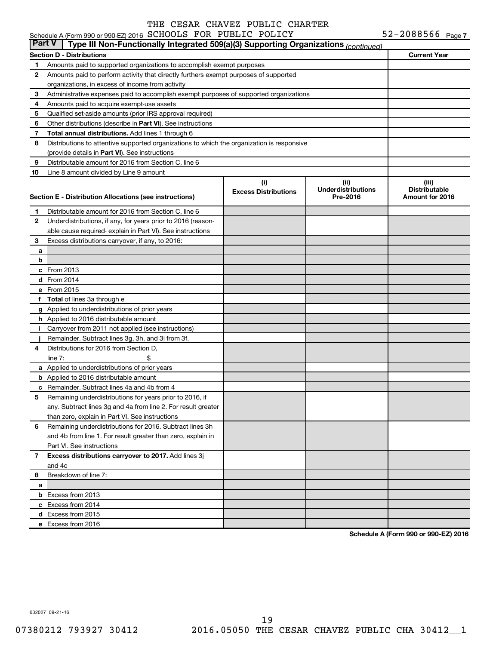### **Section D - Distributions Current Year 1 2 3 4 5 6 7 8 9 10** Other distributions (describe in Part VI). See instructions **Total annual distributions.** Add lines 1 through 6 (provide details in Part VI). See instructions **(i) Excess Distributions (ii) Underdistributions Pre-2016 (iii) Distributable Section E - Distribution Allocations (see instructions) 1 2 3 4 5 6** Remaining underdistributions for 2016. Subtract lines 3h **7 8** Breakdown of line 7: **a b c** From 2013 **d** From 2014 **e** From 2015 **f Total**  of lines 3a through e **g** Applied to underdistributions of prior years **h** Applied to 2016 distributable amount **i** Carryover from 2011 not applied (see instructions) **j a** Applied to underdistributions of prior years **b** Applied to 2016 distributable amount **c** Remainder. Subtract lines 4a and 4b from 4 **Excess distributions carryover to 2017.**  Add lines 3j **a b** Excess from 2013 **c** Excess from 2014 **d** Excess from 2015 **e** Excess from 2016 Amounts paid to supported organizations to accomplish exempt purposes Amounts paid to perform activity that directly furthers exempt purposes of supported organizations, in excess of income from activity Administrative expenses paid to accomplish exempt purposes of supported organizations Amounts paid to acquire exempt-use assets Qualified set-aside amounts (prior IRS approval required) Distributions to attentive supported organizations to which the organization is responsive Distributable amount for 2016 from Section C, line 6 Line 8 amount divided by Line 9 amount Distributable amount for 2016 from Section C, line 6 Underdistributions, if any, for years prior to 2016 (reasonable cause required- explain in Part VI). See instructions Excess distributions carryover, if any, to 2016: Remainder. Subtract lines 3g, 3h, and 3i from 3f. Distributions for 2016 from Section D,  $line 7:$   $\$\$ Remaining underdistributions for years prior to 2016, if any. Subtract lines 3g and 4a from line 2. For result greater than zero, explain in Part VI. See instructions and 4b from line 1. For result greater than zero, explain in Part VI. See instructions and 4c **Part V Type III Non-Functionally Integrated 509(a)(3) Supporting Organizations** *(continued)*

**Schedule A (Form 990 or 990-EZ) 2016**

632027 09-21-16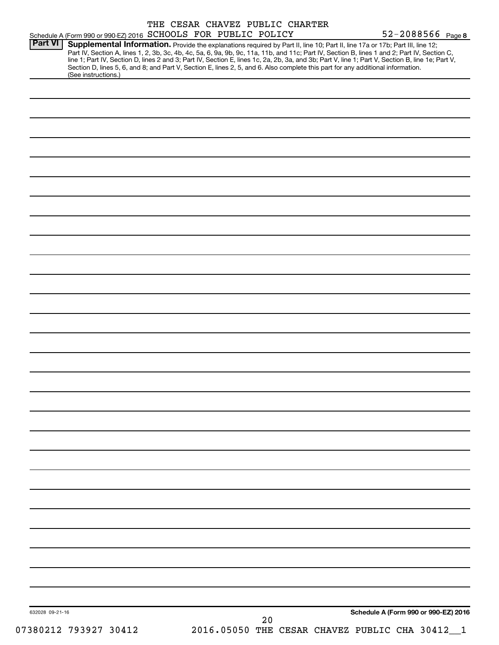| Schedule A (Form 990 or 990-EZ) 2016 SCHOOLS FOR PUBLIC POLICY | THE CESAR CHAVEZ PUBLIC CHARTER                                                                                                                                                                                                                                                                                                                                                                                                                                                                                                                                      | 52-2088566 Page 8                    |
|----------------------------------------------------------------|----------------------------------------------------------------------------------------------------------------------------------------------------------------------------------------------------------------------------------------------------------------------------------------------------------------------------------------------------------------------------------------------------------------------------------------------------------------------------------------------------------------------------------------------------------------------|--------------------------------------|
| <b>Part VI</b><br>(See instructions.)                          | Supplemental Information. Provide the explanations required by Part II, line 10; Part II, line 17a or 17b; Part III, line 12;<br>Part IV, Section A, lines 1, 2, 3b, 3c, 4b, 4c, 5a, 6, 9a, 9b, 9c, 11a, 11b, and 11c; Part IV, Section B, lines 1 and 2; Part IV, Section C,<br>line 1; Part IV, Section D, lines 2 and 3; Part IV, Section E, lines 1c, 2a, 2b, 3a, and 3b; Part V, line 1; Part V, Section B, line 1e; Part V,<br>Section D, lines 5, 6, and 8; and Part V, Section E, lines 2, 5, and 6. Also complete this part for any additional information. |                                      |
|                                                                |                                                                                                                                                                                                                                                                                                                                                                                                                                                                                                                                                                      |                                      |
|                                                                |                                                                                                                                                                                                                                                                                                                                                                                                                                                                                                                                                                      |                                      |
|                                                                |                                                                                                                                                                                                                                                                                                                                                                                                                                                                                                                                                                      |                                      |
|                                                                |                                                                                                                                                                                                                                                                                                                                                                                                                                                                                                                                                                      |                                      |
|                                                                |                                                                                                                                                                                                                                                                                                                                                                                                                                                                                                                                                                      |                                      |
|                                                                |                                                                                                                                                                                                                                                                                                                                                                                                                                                                                                                                                                      |                                      |
|                                                                |                                                                                                                                                                                                                                                                                                                                                                                                                                                                                                                                                                      |                                      |
|                                                                |                                                                                                                                                                                                                                                                                                                                                                                                                                                                                                                                                                      |                                      |
|                                                                |                                                                                                                                                                                                                                                                                                                                                                                                                                                                                                                                                                      |                                      |
|                                                                |                                                                                                                                                                                                                                                                                                                                                                                                                                                                                                                                                                      |                                      |
|                                                                |                                                                                                                                                                                                                                                                                                                                                                                                                                                                                                                                                                      |                                      |
|                                                                |                                                                                                                                                                                                                                                                                                                                                                                                                                                                                                                                                                      |                                      |
|                                                                |                                                                                                                                                                                                                                                                                                                                                                                                                                                                                                                                                                      |                                      |
|                                                                |                                                                                                                                                                                                                                                                                                                                                                                                                                                                                                                                                                      |                                      |
|                                                                |                                                                                                                                                                                                                                                                                                                                                                                                                                                                                                                                                                      |                                      |
|                                                                |                                                                                                                                                                                                                                                                                                                                                                                                                                                                                                                                                                      |                                      |
|                                                                |                                                                                                                                                                                                                                                                                                                                                                                                                                                                                                                                                                      |                                      |
|                                                                |                                                                                                                                                                                                                                                                                                                                                                                                                                                                                                                                                                      |                                      |
|                                                                |                                                                                                                                                                                                                                                                                                                                                                                                                                                                                                                                                                      |                                      |
|                                                                |                                                                                                                                                                                                                                                                                                                                                                                                                                                                                                                                                                      |                                      |
|                                                                |                                                                                                                                                                                                                                                                                                                                                                                                                                                                                                                                                                      |                                      |
|                                                                |                                                                                                                                                                                                                                                                                                                                                                                                                                                                                                                                                                      |                                      |
|                                                                |                                                                                                                                                                                                                                                                                                                                                                                                                                                                                                                                                                      |                                      |
|                                                                |                                                                                                                                                                                                                                                                                                                                                                                                                                                                                                                                                                      |                                      |
|                                                                |                                                                                                                                                                                                                                                                                                                                                                                                                                                                                                                                                                      |                                      |
|                                                                |                                                                                                                                                                                                                                                                                                                                                                                                                                                                                                                                                                      |                                      |
|                                                                |                                                                                                                                                                                                                                                                                                                                                                                                                                                                                                                                                                      |                                      |
|                                                                |                                                                                                                                                                                                                                                                                                                                                                                                                                                                                                                                                                      |                                      |
|                                                                |                                                                                                                                                                                                                                                                                                                                                                                                                                                                                                                                                                      |                                      |
|                                                                |                                                                                                                                                                                                                                                                                                                                                                                                                                                                                                                                                                      |                                      |
|                                                                |                                                                                                                                                                                                                                                                                                                                                                                                                                                                                                                                                                      |                                      |
| 632028 09-21-16                                                | 20                                                                                                                                                                                                                                                                                                                                                                                                                                                                                                                                                                   | Schedule A (Form 990 or 990-EZ) 2016 |
| 07380212 793927 30412                                          | 2016.05050 THE CESAR CHAVEZ PUBLIC CHA 30412_1                                                                                                                                                                                                                                                                                                                                                                                                                                                                                                                       |                                      |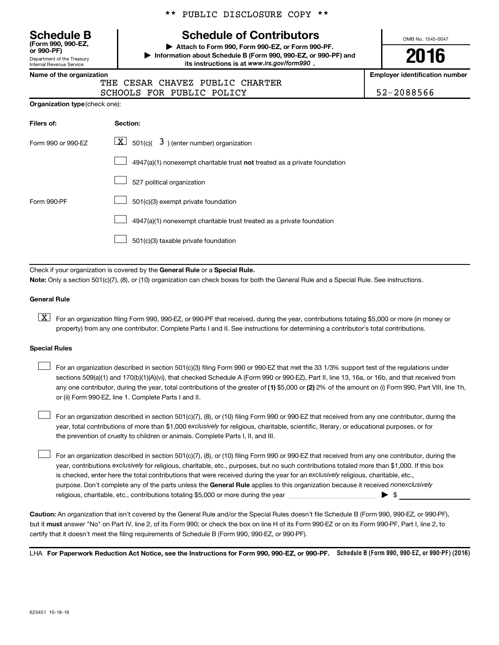Department of the Treasury Internal Revenue Service **(Form 990, 990-EZ,**

\*\* PUBLIC DISCLOSURE COPY \*\*

## **Schedule B Schedule of Contributors**

**or 990-PF) | Attach to Form 990, Form 990-EZ, or Form 990-PF. | Information about Schedule B (Form 990, 990-EZ, or 990-PF) and** its instructions is at www.irs.gov/form990.

OMB No. 1545-0047

**2016**

**Name of the organization Employer identification number**

|  | THE CESAR CHAVEZ PUBLIC CHARTER |            |
|--|---------------------------------|------------|
|  | SCHOOLS FOR PUBLIC POLICY       | 52-2088566 |

| Organization type (check one): |
|--------------------------------|
|                                |

| Filers of:         | Section:                                                                    |
|--------------------|-----------------------------------------------------------------------------|
| Form 990 or 990-EZ | $\lfloor \mathbf{X} \rfloor$ 501(c)( 3) (enter number) organization         |
|                    | $4947(a)(1)$ nonexempt charitable trust not treated as a private foundation |
|                    | 527 political organization                                                  |
| Form 990-PF        | 501(c)(3) exempt private foundation                                         |
|                    | 4947(a)(1) nonexempt charitable trust treated as a private foundation       |
|                    | 501(c)(3) taxable private foundation                                        |

Check if your organization is covered by the General Rule or a Special Rule.

**Note:**  Only a section 501(c)(7), (8), or (10) organization can check boxes for both the General Rule and a Special Rule. See instructions.

### **General Rule**

**K** For an organization filing Form 990, 990-EZ, or 990-PF that received, during the year, contributions totaling \$5,000 or more (in money or property) from any one contributor. Complete Parts I and II. See instructions for determining a contributor's total contributions.

### **Special Rules**

 $\Box$ 

any one contributor, during the year, total contributions of the greater of **(1)** \$5,000 or **(2)** 2% of the amount on (i) Form 990, Part VIII, line 1h, For an organization described in section 501(c)(3) filing Form 990 or 990-EZ that met the 33 1/3% support test of the regulations under sections 509(a)(1) and 170(b)(1)(A)(vi), that checked Schedule A (Form 990 or 990-EZ), Part II, line 13, 16a, or 16b, and that received from or (ii) Form 990-EZ, line 1. Complete Parts I and II.  $\Box$ 

year, total contributions of more than \$1,000 *exclusively* for religious, charitable, scientific, literary, or educational purposes, or for For an organization described in section 501(c)(7), (8), or (10) filing Form 990 or 990-EZ that received from any one contributor, during the the prevention of cruelty to children or animals. Complete Parts I, II, and III.  $\Box$ 

purpose. Don't complete any of the parts unless the General Rule applies to this organization because it received nonexclusively year, contributions exclusively for religious, charitable, etc., purposes, but no such contributions totaled more than \$1,000. If this box is checked, enter here the total contributions that were received during the year for an exclusively religious, charitable, etc., For an organization described in section 501(c)(7), (8), or (10) filing Form 990 or 990-EZ that received from any one contributor, during the religious, charitable, etc., contributions totaling \$5,000 or more during the year  $\ldots$  $\ldots$  $\ldots$  $\ldots$  $\ldots$  $\ldots$ 

**Caution:**  An organization that isn't covered by the General Rule and/or the Special Rules doesn't file Schedule B (Form 990, 990-EZ, or 990-PF),  **must** but it answer "No" on Part IV, line 2, of its Form 990; or check the box on line H of its Form 990-EZ or on its Form 990-PF, Part I, line 2, to certify that it doesn't meet the filing requirements of Schedule B (Form 990, 990-EZ, or 990-PF).

LHA For Paperwork Reduction Act Notice, see the Instructions for Form 990, 990-EZ, or 990-PF. Schedule B (Form 990, 990-EZ, or 990-PF) (2016)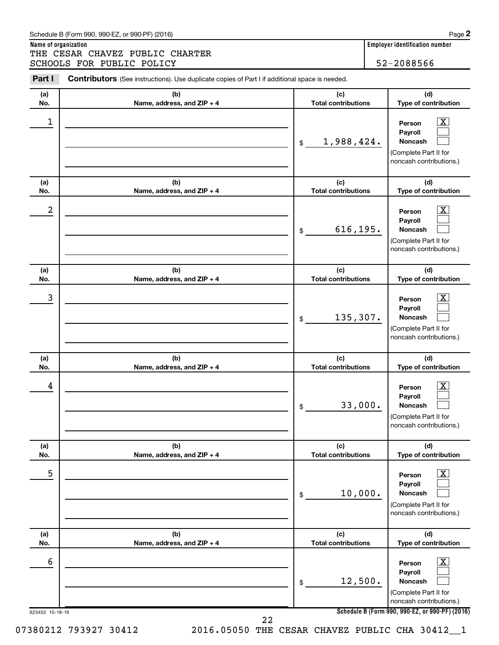**Name of organization Employer identification number** THE CESAR CHAVEZ PUBLIC CHARTER SCHOOLS FOR PUBLIC POLICY 3CHOOLS 52-2088566

| (a)        | (b)                               | (c)                               | (d)                                                                                                         |
|------------|-----------------------------------|-----------------------------------|-------------------------------------------------------------------------------------------------------------|
| No.        | Name, address, and ZIP + 4        | <b>Total contributions</b>        | Type of contribution                                                                                        |
| 1          |                                   | 1,988,424.<br>\$                  | $\overline{\mathbf{X}}$<br>Person<br>Payroll<br>Noncash<br>(Complete Part II for<br>noncash contributions.) |
| (a)<br>No. | (b)<br>Name, address, and ZIP + 4 | (c)<br><b>Total contributions</b> | (d)<br>Type of contribution                                                                                 |
| 2          |                                   | 616,195.<br>\$                    | $\overline{\mathbf{X}}$<br>Person<br>Payroll<br>Noncash<br>(Complete Part II for<br>noncash contributions.) |
| (a)<br>No. | (b)<br>Name, address, and ZIP + 4 | (c)<br><b>Total contributions</b> | (d)<br>Type of contribution                                                                                 |
| 3          |                                   | 135,307.<br>\$                    | $\overline{\text{X}}$<br>Person<br>Payroll<br>Noncash<br>(Complete Part II for<br>noncash contributions.)   |
| (a)<br>No. | (b)<br>Name, address, and ZIP + 4 | (c)<br><b>Total contributions</b> | (d)<br>Type of contribution                                                                                 |
| 4          |                                   | 33,000.<br>\$                     | $\overline{\mathbf{X}}$<br>Person<br>Payroll<br>Noncash<br>(Complete Part II for<br>noncash contributions.) |
| (a)<br>No. | (b)<br>Name, address, and ZIP + 4 | (c)<br><b>Total contributions</b> | (d)<br>Type of contribution                                                                                 |
| 5          |                                   | 10,000.<br>\$                     | $\overline{\text{X}}$<br>Person<br>Payroll<br>Noncash<br>(Complete Part II for<br>noncash contributions.)   |
| (a)<br>No. | (b)<br>Name, address, and ZIP + 4 | (c)<br><b>Total contributions</b> | (d)<br>Type of contribution                                                                                 |
| 6          |                                   | 12,500.<br>\$                     | $\overline{\text{X}}$<br>Person<br>Payroll<br>Noncash<br>(Complete Part II for<br>noncash contributions.)   |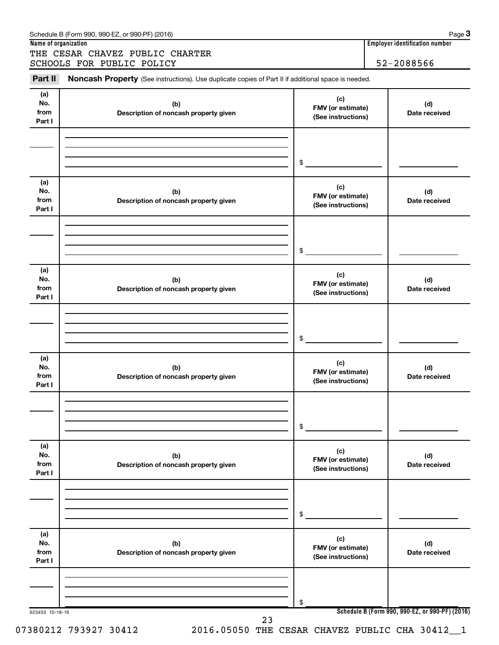| Schedule B (Form 990, 990-EZ, or 990-PF) (2016) | Page |
|-------------------------------------------------|------|
|                                                 |      |

THE CESAR CHAVEZ PUBLIC CHARTER SCHOOLS FOR PUBLIC POLICY | 52-2088566

**Name of organization Employer identification number**

623453 10-18-16 **Schedule B (Form 990, 990-EZ, or 990-PF) (2016) (a) No. from Part I (c) FMV (or estimate) (See instructions) (b) Description of noncash property given (d) Date received (a) No. from Part I (c) FMV (or estimate) (See instructions) (b) Description of noncash property given (d) Date received (a) No. from Part I (c) FMV (or estimate) (See instructions) (b) Description of noncash property given (d) Date received (a) No. from Part I (c) FMV (or estimate) (See instructions) (b) Description of noncash property given (d) Date received (a) No. from Part I (c) FMV (or estimate) (See instructions) (b) Description of noncash property given (d) Date received (a) No. from Part I (c) FMV (or estimate) (See instructions) (b) Description of noncash property given (d) Date received** Part II Noncash Property (See instructions). Use duplicate copies of Part II if additional space is needed. \$ \$ \$ \$ \$ \$ 23

07380212 793927 30412 2016.05050 THE CESAR CHAVEZ PUBLIC CHA 30412\_1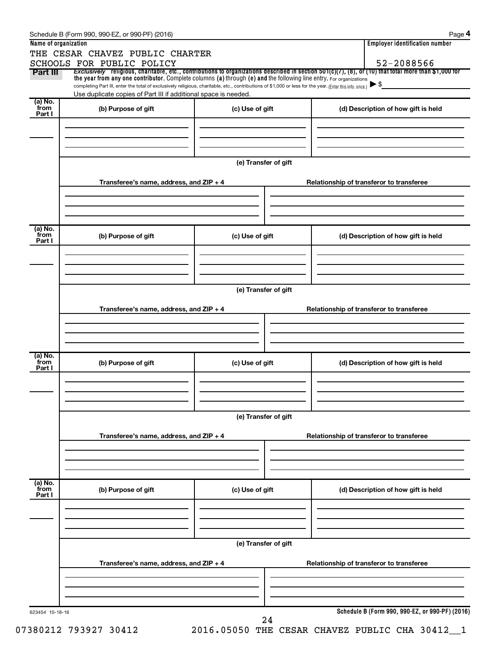| 52-2088566<br>SCHOOLS FOR PUBLIC POLICY<br>Exclusively religious, charitable, etc., contributions to organizations described in section $501(c)(7)$ , (8), or (10) that total more than \$1,000 for<br>Part III<br>the year from any one contributor. Complete columns (a) through (e) and the following line entry. For organizations<br>$\blacktriangleright$ \$<br>completing Part III, enter the total of exclusively religious, charitable, etc., contributions of \$1,000 or less for the year. (Enter this info. once.)<br>Use duplicate copies of Part III if additional space is needed.<br>`from<br>(b) Purpose of gift<br>(c) Use of gift<br>(d) Description of how gift is held<br>(e) Transfer of gift<br>Transferee's name, address, and ZIP + 4<br>Relationship of transferor to transferee<br>(b) Purpose of gift<br>(c) Use of gift<br>(d) Description of how gift is held<br>(e) Transfer of gift<br>Transferee's name, address, and ZIP + 4<br>Relationship of transferor to transferee<br>(a) No.<br>(b) Purpose of gift<br>(c) Use of gift<br>(d) Description of how gift is held<br>(e) Transfer of gift<br>Transferee's name, address, and ZIP + 4<br>Relationship of transferor to transferee<br>(b) Purpose of gift<br>(c) Use of gift<br>(d) Description of how gift is held<br>Part I<br>(e) Transfer of gift<br>Transferee's name, address, and ZIP + 4<br>Relationship of transferor to transferee<br>Schedule B (Form 990, 990-EZ, or 990-PF) (2016)<br>623454 10-18-16 | Name of organization | THE CESAR CHAVEZ PUBLIC CHARTER |  |  | <b>Employer identification number</b> |  |  |  |  |
|-------------------------------------------------------------------------------------------------------------------------------------------------------------------------------------------------------------------------------------------------------------------------------------------------------------------------------------------------------------------------------------------------------------------------------------------------------------------------------------------------------------------------------------------------------------------------------------------------------------------------------------------------------------------------------------------------------------------------------------------------------------------------------------------------------------------------------------------------------------------------------------------------------------------------------------------------------------------------------------------------------------------------------------------------------------------------------------------------------------------------------------------------------------------------------------------------------------------------------------------------------------------------------------------------------------------------------------------------------------------------------------------------------------------------------------------------------------------------------------------------------|----------------------|---------------------------------|--|--|---------------------------------------|--|--|--|--|
|                                                                                                                                                                                                                                                                                                                                                                                                                                                                                                                                                                                                                                                                                                                                                                                                                                                                                                                                                                                                                                                                                                                                                                                                                                                                                                                                                                                                                                                                                                       |                      |                                 |  |  |                                       |  |  |  |  |
|                                                                                                                                                                                                                                                                                                                                                                                                                                                                                                                                                                                                                                                                                                                                                                                                                                                                                                                                                                                                                                                                                                                                                                                                                                                                                                                                                                                                                                                                                                       |                      |                                 |  |  |                                       |  |  |  |  |
|                                                                                                                                                                                                                                                                                                                                                                                                                                                                                                                                                                                                                                                                                                                                                                                                                                                                                                                                                                                                                                                                                                                                                                                                                                                                                                                                                                                                                                                                                                       |                      |                                 |  |  |                                       |  |  |  |  |
|                                                                                                                                                                                                                                                                                                                                                                                                                                                                                                                                                                                                                                                                                                                                                                                                                                                                                                                                                                                                                                                                                                                                                                                                                                                                                                                                                                                                                                                                                                       | (a) No.              |                                 |  |  |                                       |  |  |  |  |
|                                                                                                                                                                                                                                                                                                                                                                                                                                                                                                                                                                                                                                                                                                                                                                                                                                                                                                                                                                                                                                                                                                                                                                                                                                                                                                                                                                                                                                                                                                       | Part I               |                                 |  |  |                                       |  |  |  |  |
|                                                                                                                                                                                                                                                                                                                                                                                                                                                                                                                                                                                                                                                                                                                                                                                                                                                                                                                                                                                                                                                                                                                                                                                                                                                                                                                                                                                                                                                                                                       |                      |                                 |  |  |                                       |  |  |  |  |
|                                                                                                                                                                                                                                                                                                                                                                                                                                                                                                                                                                                                                                                                                                                                                                                                                                                                                                                                                                                                                                                                                                                                                                                                                                                                                                                                                                                                                                                                                                       |                      |                                 |  |  |                                       |  |  |  |  |
|                                                                                                                                                                                                                                                                                                                                                                                                                                                                                                                                                                                                                                                                                                                                                                                                                                                                                                                                                                                                                                                                                                                                                                                                                                                                                                                                                                                                                                                                                                       |                      |                                 |  |  |                                       |  |  |  |  |
|                                                                                                                                                                                                                                                                                                                                                                                                                                                                                                                                                                                                                                                                                                                                                                                                                                                                                                                                                                                                                                                                                                                                                                                                                                                                                                                                                                                                                                                                                                       |                      |                                 |  |  |                                       |  |  |  |  |
|                                                                                                                                                                                                                                                                                                                                                                                                                                                                                                                                                                                                                                                                                                                                                                                                                                                                                                                                                                                                                                                                                                                                                                                                                                                                                                                                                                                                                                                                                                       |                      |                                 |  |  |                                       |  |  |  |  |
|                                                                                                                                                                                                                                                                                                                                                                                                                                                                                                                                                                                                                                                                                                                                                                                                                                                                                                                                                                                                                                                                                                                                                                                                                                                                                                                                                                                                                                                                                                       |                      |                                 |  |  |                                       |  |  |  |  |
|                                                                                                                                                                                                                                                                                                                                                                                                                                                                                                                                                                                                                                                                                                                                                                                                                                                                                                                                                                                                                                                                                                                                                                                                                                                                                                                                                                                                                                                                                                       |                      |                                 |  |  |                                       |  |  |  |  |
|                                                                                                                                                                                                                                                                                                                                                                                                                                                                                                                                                                                                                                                                                                                                                                                                                                                                                                                                                                                                                                                                                                                                                                                                                                                                                                                                                                                                                                                                                                       |                      |                                 |  |  |                                       |  |  |  |  |
|                                                                                                                                                                                                                                                                                                                                                                                                                                                                                                                                                                                                                                                                                                                                                                                                                                                                                                                                                                                                                                                                                                                                                                                                                                                                                                                                                                                                                                                                                                       | (a) No.<br>`from     |                                 |  |  |                                       |  |  |  |  |
|                                                                                                                                                                                                                                                                                                                                                                                                                                                                                                                                                                                                                                                                                                                                                                                                                                                                                                                                                                                                                                                                                                                                                                                                                                                                                                                                                                                                                                                                                                       | Part I               |                                 |  |  |                                       |  |  |  |  |
|                                                                                                                                                                                                                                                                                                                                                                                                                                                                                                                                                                                                                                                                                                                                                                                                                                                                                                                                                                                                                                                                                                                                                                                                                                                                                                                                                                                                                                                                                                       |                      |                                 |  |  |                                       |  |  |  |  |
|                                                                                                                                                                                                                                                                                                                                                                                                                                                                                                                                                                                                                                                                                                                                                                                                                                                                                                                                                                                                                                                                                                                                                                                                                                                                                                                                                                                                                                                                                                       |                      |                                 |  |  |                                       |  |  |  |  |
|                                                                                                                                                                                                                                                                                                                                                                                                                                                                                                                                                                                                                                                                                                                                                                                                                                                                                                                                                                                                                                                                                                                                                                                                                                                                                                                                                                                                                                                                                                       |                      |                                 |  |  |                                       |  |  |  |  |
|                                                                                                                                                                                                                                                                                                                                                                                                                                                                                                                                                                                                                                                                                                                                                                                                                                                                                                                                                                                                                                                                                                                                                                                                                                                                                                                                                                                                                                                                                                       |                      |                                 |  |  |                                       |  |  |  |  |
|                                                                                                                                                                                                                                                                                                                                                                                                                                                                                                                                                                                                                                                                                                                                                                                                                                                                                                                                                                                                                                                                                                                                                                                                                                                                                                                                                                                                                                                                                                       |                      |                                 |  |  |                                       |  |  |  |  |
|                                                                                                                                                                                                                                                                                                                                                                                                                                                                                                                                                                                                                                                                                                                                                                                                                                                                                                                                                                                                                                                                                                                                                                                                                                                                                                                                                                                                                                                                                                       |                      |                                 |  |  |                                       |  |  |  |  |
|                                                                                                                                                                                                                                                                                                                                                                                                                                                                                                                                                                                                                                                                                                                                                                                                                                                                                                                                                                                                                                                                                                                                                                                                                                                                                                                                                                                                                                                                                                       |                      |                                 |  |  |                                       |  |  |  |  |
|                                                                                                                                                                                                                                                                                                                                                                                                                                                                                                                                                                                                                                                                                                                                                                                                                                                                                                                                                                                                                                                                                                                                                                                                                                                                                                                                                                                                                                                                                                       |                      |                                 |  |  |                                       |  |  |  |  |
|                                                                                                                                                                                                                                                                                                                                                                                                                                                                                                                                                                                                                                                                                                                                                                                                                                                                                                                                                                                                                                                                                                                                                                                                                                                                                                                                                                                                                                                                                                       | `from<br>Part I      |                                 |  |  |                                       |  |  |  |  |
|                                                                                                                                                                                                                                                                                                                                                                                                                                                                                                                                                                                                                                                                                                                                                                                                                                                                                                                                                                                                                                                                                                                                                                                                                                                                                                                                                                                                                                                                                                       |                      |                                 |  |  |                                       |  |  |  |  |
|                                                                                                                                                                                                                                                                                                                                                                                                                                                                                                                                                                                                                                                                                                                                                                                                                                                                                                                                                                                                                                                                                                                                                                                                                                                                                                                                                                                                                                                                                                       |                      |                                 |  |  |                                       |  |  |  |  |
|                                                                                                                                                                                                                                                                                                                                                                                                                                                                                                                                                                                                                                                                                                                                                                                                                                                                                                                                                                                                                                                                                                                                                                                                                                                                                                                                                                                                                                                                                                       |                      |                                 |  |  |                                       |  |  |  |  |
|                                                                                                                                                                                                                                                                                                                                                                                                                                                                                                                                                                                                                                                                                                                                                                                                                                                                                                                                                                                                                                                                                                                                                                                                                                                                                                                                                                                                                                                                                                       |                      |                                 |  |  |                                       |  |  |  |  |
|                                                                                                                                                                                                                                                                                                                                                                                                                                                                                                                                                                                                                                                                                                                                                                                                                                                                                                                                                                                                                                                                                                                                                                                                                                                                                                                                                                                                                                                                                                       |                      |                                 |  |  |                                       |  |  |  |  |
|                                                                                                                                                                                                                                                                                                                                                                                                                                                                                                                                                                                                                                                                                                                                                                                                                                                                                                                                                                                                                                                                                                                                                                                                                                                                                                                                                                                                                                                                                                       |                      |                                 |  |  |                                       |  |  |  |  |
|                                                                                                                                                                                                                                                                                                                                                                                                                                                                                                                                                                                                                                                                                                                                                                                                                                                                                                                                                                                                                                                                                                                                                                                                                                                                                                                                                                                                                                                                                                       |                      |                                 |  |  |                                       |  |  |  |  |
|                                                                                                                                                                                                                                                                                                                                                                                                                                                                                                                                                                                                                                                                                                                                                                                                                                                                                                                                                                                                                                                                                                                                                                                                                                                                                                                                                                                                                                                                                                       |                      |                                 |  |  |                                       |  |  |  |  |
|                                                                                                                                                                                                                                                                                                                                                                                                                                                                                                                                                                                                                                                                                                                                                                                                                                                                                                                                                                                                                                                                                                                                                                                                                                                                                                                                                                                                                                                                                                       | (a) No.<br>from      |                                 |  |  |                                       |  |  |  |  |
|                                                                                                                                                                                                                                                                                                                                                                                                                                                                                                                                                                                                                                                                                                                                                                                                                                                                                                                                                                                                                                                                                                                                                                                                                                                                                                                                                                                                                                                                                                       |                      |                                 |  |  |                                       |  |  |  |  |
|                                                                                                                                                                                                                                                                                                                                                                                                                                                                                                                                                                                                                                                                                                                                                                                                                                                                                                                                                                                                                                                                                                                                                                                                                                                                                                                                                                                                                                                                                                       |                      |                                 |  |  |                                       |  |  |  |  |
|                                                                                                                                                                                                                                                                                                                                                                                                                                                                                                                                                                                                                                                                                                                                                                                                                                                                                                                                                                                                                                                                                                                                                                                                                                                                                                                                                                                                                                                                                                       |                      |                                 |  |  |                                       |  |  |  |  |
|                                                                                                                                                                                                                                                                                                                                                                                                                                                                                                                                                                                                                                                                                                                                                                                                                                                                                                                                                                                                                                                                                                                                                                                                                                                                                                                                                                                                                                                                                                       |                      |                                 |  |  |                                       |  |  |  |  |
|                                                                                                                                                                                                                                                                                                                                                                                                                                                                                                                                                                                                                                                                                                                                                                                                                                                                                                                                                                                                                                                                                                                                                                                                                                                                                                                                                                                                                                                                                                       |                      |                                 |  |  |                                       |  |  |  |  |
|                                                                                                                                                                                                                                                                                                                                                                                                                                                                                                                                                                                                                                                                                                                                                                                                                                                                                                                                                                                                                                                                                                                                                                                                                                                                                                                                                                                                                                                                                                       |                      |                                 |  |  |                                       |  |  |  |  |
|                                                                                                                                                                                                                                                                                                                                                                                                                                                                                                                                                                                                                                                                                                                                                                                                                                                                                                                                                                                                                                                                                                                                                                                                                                                                                                                                                                                                                                                                                                       |                      |                                 |  |  |                                       |  |  |  |  |
|                                                                                                                                                                                                                                                                                                                                                                                                                                                                                                                                                                                                                                                                                                                                                                                                                                                                                                                                                                                                                                                                                                                                                                                                                                                                                                                                                                                                                                                                                                       |                      |                                 |  |  |                                       |  |  |  |  |
|                                                                                                                                                                                                                                                                                                                                                                                                                                                                                                                                                                                                                                                                                                                                                                                                                                                                                                                                                                                                                                                                                                                                                                                                                                                                                                                                                                                                                                                                                                       |                      |                                 |  |  |                                       |  |  |  |  |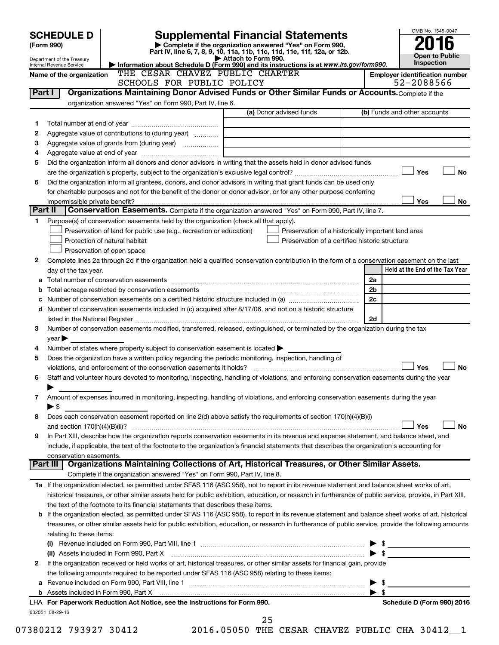|         | <b>SCHEDULE D</b>                                                                                                |                                                                                                                                                              | <b>Supplemental Financial Statements</b>                                                                                                                                                                                                                                                                                                                                                                                   |                          | OMB No. 1545-0047                                   |  |  |
|---------|------------------------------------------------------------------------------------------------------------------|--------------------------------------------------------------------------------------------------------------------------------------------------------------|----------------------------------------------------------------------------------------------------------------------------------------------------------------------------------------------------------------------------------------------------------------------------------------------------------------------------------------------------------------------------------------------------------------------------|--------------------------|-----------------------------------------------------|--|--|
|         | (Form 990)                                                                                                       |                                                                                                                                                              | Complete if the organization answered "Yes" on Form 990,<br>Part IV, line 6, 7, 8, 9, 10, 11a, 11b, 11c, 11d, 11e, 11f, 12a, or 12b.                                                                                                                                                                                                                                                                                       |                          |                                                     |  |  |
|         | Department of the Treasury                                                                                       |                                                                                                                                                              | Attach to Form 990.                                                                                                                                                                                                                                                                                                                                                                                                        |                          | <b>Open to Public</b><br><b>Inspection</b>          |  |  |
|         | Internal Revenue Service<br>Name of the organization                                                             | THE CESAR CHAVEZ PUBLIC CHARTER                                                                                                                              | Information about Schedule D (Form 990) and its instructions is at www.irs.gov/form990.                                                                                                                                                                                                                                                                                                                                    |                          |                                                     |  |  |
|         |                                                                                                                  | SCHOOLS FOR PUBLIC POLICY                                                                                                                                    |                                                                                                                                                                                                                                                                                                                                                                                                                            |                          | <b>Employer identification number</b><br>52-2088566 |  |  |
| Part I  |                                                                                                                  |                                                                                                                                                              | Organizations Maintaining Donor Advised Funds or Other Similar Funds or Accounts. Complete if the                                                                                                                                                                                                                                                                                                                          |                          |                                                     |  |  |
|         |                                                                                                                  | organization answered "Yes" on Form 990, Part IV, line 6.                                                                                                    |                                                                                                                                                                                                                                                                                                                                                                                                                            |                          |                                                     |  |  |
|         |                                                                                                                  |                                                                                                                                                              | (a) Donor advised funds                                                                                                                                                                                                                                                                                                                                                                                                    |                          | (b) Funds and other accounts                        |  |  |
| 1       |                                                                                                                  |                                                                                                                                                              |                                                                                                                                                                                                                                                                                                                                                                                                                            |                          |                                                     |  |  |
| 2       |                                                                                                                  | Aggregate value of contributions to (during year)                                                                                                            |                                                                                                                                                                                                                                                                                                                                                                                                                            |                          |                                                     |  |  |
| З       |                                                                                                                  |                                                                                                                                                              |                                                                                                                                                                                                                                                                                                                                                                                                                            |                          |                                                     |  |  |
| 4       |                                                                                                                  |                                                                                                                                                              |                                                                                                                                                                                                                                                                                                                                                                                                                            |                          |                                                     |  |  |
| 5       | Did the organization inform all donors and donor advisors in writing that the assets held in donor advised funds |                                                                                                                                                              |                                                                                                                                                                                                                                                                                                                                                                                                                            |                          |                                                     |  |  |
|         |                                                                                                                  |                                                                                                                                                              |                                                                                                                                                                                                                                                                                                                                                                                                                            |                          |                                                     |  |  |
| 6       |                                                                                                                  |                                                                                                                                                              | Did the organization inform all grantees, donors, and donor advisors in writing that grant funds can be used only                                                                                                                                                                                                                                                                                                          |                          |                                                     |  |  |
|         |                                                                                                                  |                                                                                                                                                              | for charitable purposes and not for the benefit of the donor or donor advisor, or for any other purpose conferring                                                                                                                                                                                                                                                                                                         |                          |                                                     |  |  |
| Part II |                                                                                                                  |                                                                                                                                                              |                                                                                                                                                                                                                                                                                                                                                                                                                            |                          | Yes<br>No                                           |  |  |
|         |                                                                                                                  |                                                                                                                                                              | Conservation Easements. Complete if the organization answered "Yes" on Form 990, Part IV, line 7.                                                                                                                                                                                                                                                                                                                          |                          |                                                     |  |  |
| 1.      |                                                                                                                  | Purpose(s) of conservation easements held by the organization (check all that apply).<br>Preservation of land for public use (e.g., recreation or education) | Preservation of a historically important land area                                                                                                                                                                                                                                                                                                                                                                         |                          |                                                     |  |  |
|         |                                                                                                                  | Protection of natural habitat                                                                                                                                | Preservation of a certified historic structure                                                                                                                                                                                                                                                                                                                                                                             |                          |                                                     |  |  |
|         |                                                                                                                  | Preservation of open space                                                                                                                                   |                                                                                                                                                                                                                                                                                                                                                                                                                            |                          |                                                     |  |  |
| 2       |                                                                                                                  |                                                                                                                                                              | Complete lines 2a through 2d if the organization held a qualified conservation contribution in the form of a conservation easement on the last                                                                                                                                                                                                                                                                             |                          |                                                     |  |  |
|         | day of the tax year.                                                                                             |                                                                                                                                                              |                                                                                                                                                                                                                                                                                                                                                                                                                            |                          | Held at the End of the Tax Year                     |  |  |
| а       |                                                                                                                  |                                                                                                                                                              |                                                                                                                                                                                                                                                                                                                                                                                                                            | 2a                       |                                                     |  |  |
| b       |                                                                                                                  |                                                                                                                                                              | Total acreage restricted by conservation easements [11] matter conservation conservation of the set of the set of the set of the set of the set of the set of the set of the set of the set of the set of the set of the set o                                                                                                                                                                                             | 2 <sub>b</sub>           |                                                     |  |  |
| с       |                                                                                                                  |                                                                                                                                                              |                                                                                                                                                                                                                                                                                                                                                                                                                            | 2c                       |                                                     |  |  |
| d       |                                                                                                                  |                                                                                                                                                              | Number of conservation easements included in (c) acquired after 8/17/06, and not on a historic structure                                                                                                                                                                                                                                                                                                                   |                          |                                                     |  |  |
|         |                                                                                                                  |                                                                                                                                                              | listed in the National Register [111] [12] and the National Register [11] [12] and the National Register [11] [12] and the National Register [11] [12] and the National Register [11] [12] and the Management Register [12] [1                                                                                                                                                                                             | 2d                       |                                                     |  |  |
| 3       |                                                                                                                  |                                                                                                                                                              | Number of conservation easements modified, transferred, released, extinguished, or terminated by the organization during the tax                                                                                                                                                                                                                                                                                           |                          |                                                     |  |  |
|         | $year \blacktriangleright$                                                                                       |                                                                                                                                                              |                                                                                                                                                                                                                                                                                                                                                                                                                            |                          |                                                     |  |  |
| 4       |                                                                                                                  | Number of states where property subject to conservation easement is located $\blacktriangleright$                                                            |                                                                                                                                                                                                                                                                                                                                                                                                                            |                          |                                                     |  |  |
| 5       |                                                                                                                  | Does the organization have a written policy regarding the periodic monitoring, inspection, handling of                                                       |                                                                                                                                                                                                                                                                                                                                                                                                                            |                          | Yes                                                 |  |  |
| 6       |                                                                                                                  |                                                                                                                                                              |                                                                                                                                                                                                                                                                                                                                                                                                                            |                          | No                                                  |  |  |
|         |                                                                                                                  |                                                                                                                                                              | Staff and volunteer hours devoted to monitoring, inspecting, handling of violations, and enforcing conservation easements during the year                                                                                                                                                                                                                                                                                  |                          |                                                     |  |  |
| 7       |                                                                                                                  |                                                                                                                                                              | Amount of expenses incurred in monitoring, inspecting, handling of violations, and enforcing conservation easements during the year                                                                                                                                                                                                                                                                                        |                          |                                                     |  |  |
|         | $\blacktriangleright$ \$                                                                                         |                                                                                                                                                              |                                                                                                                                                                                                                                                                                                                                                                                                                            |                          |                                                     |  |  |
| 8       |                                                                                                                  |                                                                                                                                                              | Does each conservation easement reported on line 2(d) above satisfy the requirements of section 170(h)(4)(B)(i)                                                                                                                                                                                                                                                                                                            |                          |                                                     |  |  |
|         |                                                                                                                  |                                                                                                                                                              |                                                                                                                                                                                                                                                                                                                                                                                                                            |                          | Yes<br>No                                           |  |  |
| 9       |                                                                                                                  |                                                                                                                                                              | In Part XIII, describe how the organization reports conservation easements in its revenue and expense statement, and balance sheet, and                                                                                                                                                                                                                                                                                    |                          |                                                     |  |  |
|         |                                                                                                                  |                                                                                                                                                              | include, if applicable, the text of the footnote to the organization's financial statements that describes the organization's accounting for                                                                                                                                                                                                                                                                               |                          |                                                     |  |  |
|         | conservation easements.                                                                                          |                                                                                                                                                              |                                                                                                                                                                                                                                                                                                                                                                                                                            |                          |                                                     |  |  |
|         | Part III                                                                                                         |                                                                                                                                                              | Organizations Maintaining Collections of Art, Historical Treasures, or Other Similar Assets.                                                                                                                                                                                                                                                                                                                               |                          |                                                     |  |  |
|         |                                                                                                                  | Complete if the organization answered "Yes" on Form 990, Part IV, line 8.                                                                                    |                                                                                                                                                                                                                                                                                                                                                                                                                            |                          |                                                     |  |  |
|         |                                                                                                                  |                                                                                                                                                              | 1a If the organization elected, as permitted under SFAS 116 (ASC 958), not to report in its revenue statement and balance sheet works of art,                                                                                                                                                                                                                                                                              |                          |                                                     |  |  |
|         |                                                                                                                  |                                                                                                                                                              | historical treasures, or other similar assets held for public exhibition, education, or research in furtherance of public service, provide, in Part XIII,                                                                                                                                                                                                                                                                  |                          |                                                     |  |  |
|         |                                                                                                                  | the text of the footnote to its financial statements that describes these items.                                                                             |                                                                                                                                                                                                                                                                                                                                                                                                                            |                          |                                                     |  |  |
| b       |                                                                                                                  |                                                                                                                                                              | If the organization elected, as permitted under SFAS 116 (ASC 958), to report in its revenue statement and balance sheet works of art, historical                                                                                                                                                                                                                                                                          |                          |                                                     |  |  |
|         | relating to these items:                                                                                         |                                                                                                                                                              | treasures, or other similar assets held for public exhibition, education, or research in furtherance of public service, provide the following amounts                                                                                                                                                                                                                                                                      |                          |                                                     |  |  |
|         |                                                                                                                  |                                                                                                                                                              |                                                                                                                                                                                                                                                                                                                                                                                                                            |                          |                                                     |  |  |
|         |                                                                                                                  | (ii) Assets included in Form 990, Part X                                                                                                                     | $\overline{a_1, \ldots, a_n, \ldots, a_n, \ldots, a_n, \ldots, a_n, \ldots, a_n, \ldots, a_n, \ldots, a_n, \ldots, a_n, \ldots, a_n, \ldots, a_n, \ldots, a_n, \ldots, a_n, \ldots, a_n, \ldots, a_n, \ldots, a_n, \ldots, a_n, \ldots, a_n, \ldots, a_n, \ldots, a_n, \ldots, a_n, \ldots, a_n, \ldots, a_n, \ldots, a_n, \ldots, a_n, \ldots, a_n, \ldots, a_n, \ldots, a_n, \ldots, a_n, \ldots, a_n, \ldots, a_n, \ld$ | $\blacktriangleright$ \$ |                                                     |  |  |
| 2       |                                                                                                                  |                                                                                                                                                              | If the organization received or held works of art, historical treasures, or other similar assets for financial gain, provide                                                                                                                                                                                                                                                                                               |                          |                                                     |  |  |
|         |                                                                                                                  | the following amounts required to be reported under SFAS 116 (ASC 958) relating to these items:                                                              |                                                                                                                                                                                                                                                                                                                                                                                                                            |                          |                                                     |  |  |
|         |                                                                                                                  |                                                                                                                                                              |                                                                                                                                                                                                                                                                                                                                                                                                                            | - \$                     |                                                     |  |  |
|         |                                                                                                                  |                                                                                                                                                              |                                                                                                                                                                                                                                                                                                                                                                                                                            | $\blacktriangleright$ s  |                                                     |  |  |
|         |                                                                                                                  | LHA For Paperwork Reduction Act Notice, see the Instructions for Form 990.                                                                                   |                                                                                                                                                                                                                                                                                                                                                                                                                            |                          | Schedule D (Form 990) 2016                          |  |  |
|         | 632051 08-29-16                                                                                                  |                                                                                                                                                              |                                                                                                                                                                                                                                                                                                                                                                                                                            |                          |                                                     |  |  |
|         |                                                                                                                  |                                                                                                                                                              | 25                                                                                                                                                                                                                                                                                                                                                                                                                         |                          |                                                     |  |  |

07380212 793927 30412 2016.05050 THE CESAR CHAVEZ PUBLIC CHA 30412\_1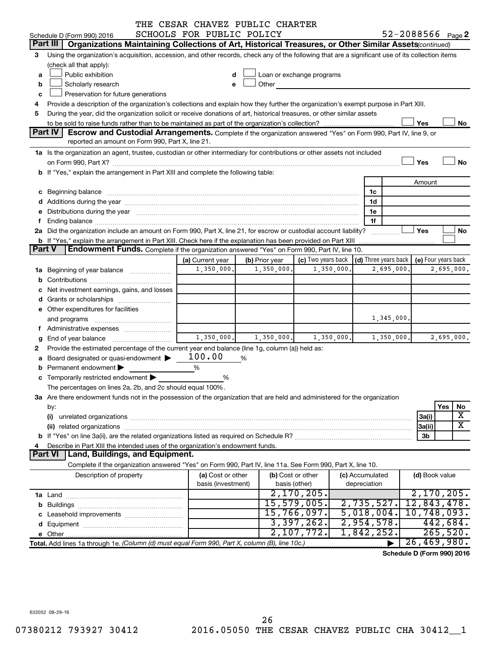|        |                                                                                                                                                                                                                                                                       | THE CESAR CHAVEZ PUBLIC CHARTER |                |                                                         |            |                |            |                            |            |         |
|--------|-----------------------------------------------------------------------------------------------------------------------------------------------------------------------------------------------------------------------------------------------------------------------|---------------------------------|----------------|---------------------------------------------------------|------------|----------------|------------|----------------------------|------------|---------|
|        | Schedule D (Form 990) 2016                                                                                                                                                                                                                                            | SCHOOLS FOR PUBLIC POLICY       |                |                                                         |            |                |            | $52 - 2088566$ Page 2      |            |         |
|        | Part III<br>Organizations Maintaining Collections of Art, Historical Treasures, or Other Similar Assets (continued)                                                                                                                                                   |                                 |                |                                                         |            |                |            |                            |            |         |
| 3      | Using the organization's acquisition, accession, and other records, check any of the following that are a significant use of its collection items<br>(check all that apply):                                                                                          |                                 |                |                                                         |            |                |            |                            |            |         |
| a      | Public exhibition                                                                                                                                                                                                                                                     | d                               |                | Loan or exchange programs                               |            |                |            |                            |            |         |
| b      | Scholarly research                                                                                                                                                                                                                                                    | e                               |                | Other <b>Communication</b>                              |            |                |            |                            |            |         |
| с      | Preservation for future generations                                                                                                                                                                                                                                   |                                 |                |                                                         |            |                |            |                            |            |         |
| 4      | Provide a description of the organization's collections and explain how they further the organization's exempt purpose in Part XIII.                                                                                                                                  |                                 |                |                                                         |            |                |            |                            |            |         |
| 5      | During the year, did the organization solicit or receive donations of art, historical treasures, or other similar assets                                                                                                                                              |                                 |                |                                                         |            |                |            |                            |            |         |
|        |                                                                                                                                                                                                                                                                       |                                 |                |                                                         |            |                |            | Yes                        |            | No      |
|        | Part IV<br>Escrow and Custodial Arrangements. Complete if the organization answered "Yes" on Form 990, Part IV, line 9, or                                                                                                                                            |                                 |                |                                                         |            |                |            |                            |            |         |
|        | reported an amount on Form 990, Part X, line 21.                                                                                                                                                                                                                      |                                 |                |                                                         |            |                |            |                            |            |         |
|        | 1a Is the organization an agent, trustee, custodian or other intermediary for contributions or other assets not included                                                                                                                                              |                                 |                |                                                         |            |                |            |                            |            |         |
|        |                                                                                                                                                                                                                                                                       |                                 |                |                                                         |            |                |            | Yes                        |            | No      |
|        | b If "Yes," explain the arrangement in Part XIII and complete the following table:                                                                                                                                                                                    |                                 |                |                                                         |            |                |            |                            |            |         |
|        |                                                                                                                                                                                                                                                                       |                                 |                |                                                         |            |                |            | Amount                     |            |         |
|        | c Beginning balance measurements and the contract of the contract of the contract of the contract of the contract of the contract of the contract of the contract of the contract of the contract of the contract of the contr                                        |                                 |                |                                                         |            | 1c             |            |                            |            |         |
|        |                                                                                                                                                                                                                                                                       |                                 |                |                                                         |            | 1d             |            |                            |            |         |
|        | e Distributions during the year manufactured and a control of the year manufactured and a Distributions during                                                                                                                                                        |                                 |                |                                                         |            | 1e             |            |                            |            |         |
| f      |                                                                                                                                                                                                                                                                       |                                 |                |                                                         |            | 1f             |            |                            |            |         |
|        | 2a Did the organization include an amount on Form 990, Part X, line 21, for escrow or custodial account liability?                                                                                                                                                    |                                 |                |                                                         |            | .              |            | Yes                        |            | No      |
|        | <b>b</b> If "Yes," explain the arrangement in Part XIII. Check here if the explanation has been provided on Part XIII                                                                                                                                                 |                                 |                |                                                         |            |                |            |                            |            |         |
| Part V | <b>Endowment Funds.</b> Complete if the organization answered "Yes" on Form 990, Part IV, line 10.                                                                                                                                                                    |                                 |                |                                                         |            |                |            |                            |            |         |
|        |                                                                                                                                                                                                                                                                       | (a) Current year                | (b) Prior year | (c) Two years back $\vert$ (d) Three years back $\vert$ |            |                |            | (e) Four years back        |            |         |
|        | 1a Beginning of year balance                                                                                                                                                                                                                                          | 1,350,000.                      | 1,350,000.     |                                                         | 1,350,000. |                | 2,695,000. |                            | 2,695,000. |         |
|        |                                                                                                                                                                                                                                                                       |                                 |                |                                                         |            |                |            |                            |            |         |
|        | c Net investment earnings, gains, and losses                                                                                                                                                                                                                          |                                 |                |                                                         |            |                |            |                            |            |         |
|        | d Grants or scholarships                                                                                                                                                                                                                                              |                                 |                |                                                         |            |                |            |                            |            |         |
|        | e Other expenditures for facilities                                                                                                                                                                                                                                   |                                 |                |                                                         |            |                |            |                            |            |         |
|        |                                                                                                                                                                                                                                                                       |                                 |                |                                                         |            |                | 1,345,000. |                            |            |         |
|        | and programs                                                                                                                                                                                                                                                          |                                 |                |                                                         |            |                |            |                            |            |         |
|        | f Administrative expenses                                                                                                                                                                                                                                             | 1,350,000.                      | 1,350,000.     |                                                         | 1,350,000. |                | 1,350,000. |                            |            |         |
| g      |                                                                                                                                                                                                                                                                       |                                 |                |                                                         |            |                |            |                            | 2,695,000. |         |
| 2      | Provide the estimated percentage of the current year end balance (line 1g, column (a)) held as:                                                                                                                                                                       | 100.00                          |                |                                                         |            |                |            |                            |            |         |
|        | a Board designated or quasi-endowment >                                                                                                                                                                                                                               |                                 | %              |                                                         |            |                |            |                            |            |         |
| b      | Permanent endowment                                                                                                                                                                                                                                                   | %                               |                |                                                         |            |                |            |                            |            |         |
|        | c Temporarily restricted endowment                                                                                                                                                                                                                                    | %                               |                |                                                         |            |                |            |                            |            |         |
|        | The percentages on lines 2a, 2b, and 2c should equal 100%.                                                                                                                                                                                                            |                                 |                |                                                         |            |                |            |                            |            |         |
|        | 3a Are there endowment funds not in the possession of the organization that are held and administered for the organization                                                                                                                                            |                                 |                |                                                         |            |                |            |                            |            |         |
|        | by:                                                                                                                                                                                                                                                                   |                                 |                |                                                         |            |                |            |                            | Yes        | No<br>х |
|        | (i)                                                                                                                                                                                                                                                                   |                                 |                |                                                         |            |                |            | 3a(i)                      |            | X       |
|        | related organizations [111] related organizations [11] related organizations [11] related organizations [11] related organizations [11] related or $\alpha$ [11] $\alpha$ [11] $\alpha$ [11] $\alpha$ [11] $\alpha$ [11] $\alpha$ [11] $\alpha$ [11] $\alpha$<br>(ii) |                                 |                |                                                         |            |                |            | 3a(ii)                     |            |         |
|        |                                                                                                                                                                                                                                                                       |                                 |                |                                                         |            |                |            | 3b                         |            |         |
| 4      | Describe in Part XIII the intended uses of the organization's endowment funds.                                                                                                                                                                                        |                                 |                |                                                         |            |                |            |                            |            |         |
|        | Land, Buildings, and Equipment.<br><b>Part VI</b>                                                                                                                                                                                                                     |                                 |                |                                                         |            |                |            |                            |            |         |
|        | Complete if the organization answered "Yes" on Form 990, Part IV, line 11a. See Form 990, Part X, line 10.                                                                                                                                                            |                                 |                |                                                         |            |                |            |                            |            |         |
|        | (a) Cost or other<br>(b) Cost or other<br>Description of property<br>(c) Accumulated                                                                                                                                                                                  |                                 |                |                                                         |            | (d) Book value |            |                            |            |         |
|        |                                                                                                                                                                                                                                                                       | basis (investment)              |                | basis (other)                                           |            | depreciation   |            |                            |            |         |
|        |                                                                                                                                                                                                                                                                       |                                 |                | 2,170,205.                                              |            |                |            | 2,170,205.                 |            |         |
|        |                                                                                                                                                                                                                                                                       |                                 |                | 15,579,005.                                             |            | 2,735,527.     |            | 12,843,478.                |            |         |
|        |                                                                                                                                                                                                                                                                       |                                 |                | 15,766,097.                                             |            | 5,018,004.     |            | 10,748,093.                |            |         |
|        |                                                                                                                                                                                                                                                                       |                                 |                | 3,397,262.                                              |            | 2,954,578.     |            | 442,684.                   |            |         |
|        |                                                                                                                                                                                                                                                                       |                                 |                | 2,107,772.                                              |            | 1,842,252.     |            | 265,520.                   |            |         |
|        | Total. Add lines 1a through 1e. (Column (d) must equal Form 990, Part X, column (B), line 10c.)                                                                                                                                                                       |                                 |                |                                                         |            |                |            | 26,469,980.                |            |         |
|        |                                                                                                                                                                                                                                                                       |                                 |                |                                                         |            |                |            | Schedule D (Form 990) 2016 |            |         |

632052 08-29-16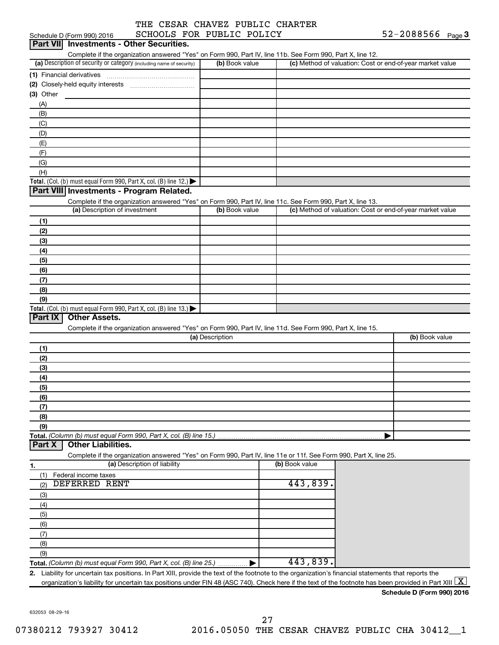|  |                         |  | THE CESAR CHAVEZ PUBLIC CHARTER |
|--|-------------------------|--|---------------------------------|
|  | COUNTS FOR DIRITS DOITS |  |                                 |

|             | Schedule D (Form 990) 2016                                                                                                                             | SCHOOLS FOR PUBLIC POLICY |                 |                |                                                           | $52 - 2088566$ Page 3      |  |
|-------------|--------------------------------------------------------------------------------------------------------------------------------------------------------|---------------------------|-----------------|----------------|-----------------------------------------------------------|----------------------------|--|
|             | Part VII Investments - Other Securities.                                                                                                               |                           |                 |                |                                                           |                            |  |
|             | Complete if the organization answered "Yes" on Form 990, Part IV, line 11b. See Form 990, Part X, line 12.                                             |                           |                 |                |                                                           |                            |  |
|             | (a) Description of security or category (including name of security)                                                                                   |                           | (b) Book value  |                | (c) Method of valuation: Cost or end-of-year market value |                            |  |
|             |                                                                                                                                                        |                           |                 |                |                                                           |                            |  |
|             |                                                                                                                                                        |                           |                 |                |                                                           |                            |  |
| $(3)$ Other |                                                                                                                                                        |                           |                 |                |                                                           |                            |  |
| (A)         |                                                                                                                                                        |                           |                 |                |                                                           |                            |  |
| (B)         |                                                                                                                                                        |                           |                 |                |                                                           |                            |  |
| (C)         |                                                                                                                                                        |                           |                 |                |                                                           |                            |  |
| (D)         |                                                                                                                                                        |                           |                 |                |                                                           |                            |  |
|             |                                                                                                                                                        |                           |                 |                |                                                           |                            |  |
| (E)         |                                                                                                                                                        |                           |                 |                |                                                           |                            |  |
| (F)         |                                                                                                                                                        |                           |                 |                |                                                           |                            |  |
| (G)         |                                                                                                                                                        |                           |                 |                |                                                           |                            |  |
| (H)         |                                                                                                                                                        |                           |                 |                |                                                           |                            |  |
|             | Total. (Col. (b) must equal Form 990, Part X, col. (B) line 12.)                                                                                       |                           |                 |                |                                                           |                            |  |
|             | Part VIII Investments - Program Related.                                                                                                               |                           |                 |                |                                                           |                            |  |
|             | Complete if the organization answered "Yes" on Form 990, Part IV, line 11c. See Form 990, Part X, line 13.                                             |                           |                 |                |                                                           |                            |  |
|             | (a) Description of investment                                                                                                                          |                           | (b) Book value  |                | (c) Method of valuation: Cost or end-of-year market value |                            |  |
| (1)         |                                                                                                                                                        |                           |                 |                |                                                           |                            |  |
| (2)         |                                                                                                                                                        |                           |                 |                |                                                           |                            |  |
| (3)         |                                                                                                                                                        |                           |                 |                |                                                           |                            |  |
| (4)         |                                                                                                                                                        |                           |                 |                |                                                           |                            |  |
| (5)         |                                                                                                                                                        |                           |                 |                |                                                           |                            |  |
| (6)         |                                                                                                                                                        |                           |                 |                |                                                           |                            |  |
| (7)         |                                                                                                                                                        |                           |                 |                |                                                           |                            |  |
| (8)         |                                                                                                                                                        |                           |                 |                |                                                           |                            |  |
| (9)         |                                                                                                                                                        |                           |                 |                |                                                           |                            |  |
|             | Total. (Col. (b) must equal Form 990, Part X, col. (B) line 13.)                                                                                       |                           |                 |                |                                                           |                            |  |
| Part IX     | <b>Other Assets.</b>                                                                                                                                   |                           |                 |                |                                                           |                            |  |
|             | Complete if the organization answered "Yes" on Form 990, Part IV, line 11d. See Form 990, Part X, line 15.                                             |                           |                 |                |                                                           |                            |  |
|             |                                                                                                                                                        |                           | (a) Description |                |                                                           | (b) Book value             |  |
| (1)         |                                                                                                                                                        |                           |                 |                |                                                           |                            |  |
| (2)         |                                                                                                                                                        |                           |                 |                |                                                           |                            |  |
| (3)         |                                                                                                                                                        |                           |                 |                |                                                           |                            |  |
| (4)         |                                                                                                                                                        |                           |                 |                |                                                           |                            |  |
| (5)         |                                                                                                                                                        |                           |                 |                |                                                           |                            |  |
| (6)         |                                                                                                                                                        |                           |                 |                |                                                           |                            |  |
| (7)         |                                                                                                                                                        |                           |                 |                |                                                           |                            |  |
|             |                                                                                                                                                        |                           |                 |                |                                                           |                            |  |
| (8)         |                                                                                                                                                        |                           |                 |                |                                                           |                            |  |
| (9)         |                                                                                                                                                        |                           |                 |                |                                                           |                            |  |
| Part X      | Total. (Column (b) must equal Form 990, Part X, col. (B) line 15.)<br><b>Other Liabilities.</b>                                                        |                           |                 |                |                                                           |                            |  |
|             |                                                                                                                                                        |                           |                 |                |                                                           |                            |  |
|             | Complete if the organization answered "Yes" on Form 990, Part IV, line 11e or 11f. See Form 990, Part X, line 25.<br>(a) Description of liability      |                           |                 | (b) Book value |                                                           |                            |  |
| 1.          |                                                                                                                                                        |                           |                 |                |                                                           |                            |  |
| (1)         | Federal income taxes                                                                                                                                   |                           |                 | 443,839.       |                                                           |                            |  |
| (2)         | DEFERRED RENT                                                                                                                                          |                           |                 |                |                                                           |                            |  |
| (3)         |                                                                                                                                                        |                           |                 |                |                                                           |                            |  |
| (4)         |                                                                                                                                                        |                           |                 |                |                                                           |                            |  |
| (5)         |                                                                                                                                                        |                           |                 |                |                                                           |                            |  |
| (6)         |                                                                                                                                                        |                           |                 |                |                                                           |                            |  |
| (7)         |                                                                                                                                                        |                           |                 |                |                                                           |                            |  |
| (8)         |                                                                                                                                                        |                           |                 |                |                                                           |                            |  |
| (9)         |                                                                                                                                                        |                           |                 |                |                                                           |                            |  |
|             | <b>Total.</b> (Column (b) must equal Form 990, Part X, col. (B) line 25.) $\ldots$                                                                     |                           |                 | 443,839.       |                                                           |                            |  |
|             | 2. Liability for uncertain tax positions. In Part XIII, provide the text of the footnote to the organization's financial statements that reports the   |                           |                 |                |                                                           |                            |  |
|             | organization's liability for uncertain tax positions under FIN 48 (ASC 740). Check here if the text of the footnote has been provided in Part XIII   X |                           |                 |                |                                                           |                            |  |
|             |                                                                                                                                                        |                           |                 |                |                                                           | Schodule D (Form 000) 2016 |  |

632053 08-29-16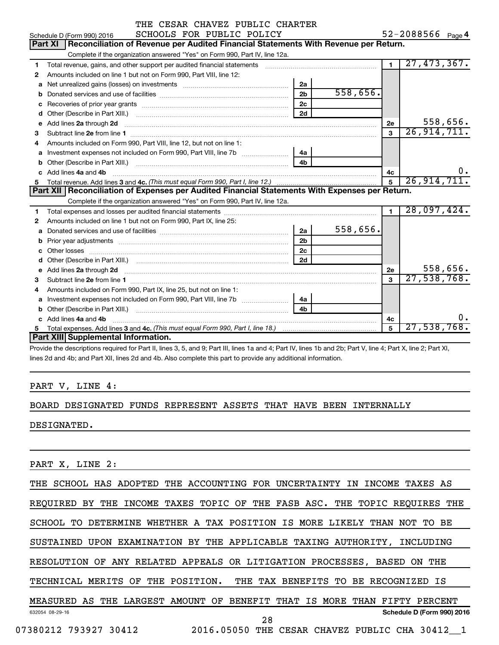|   | THE CESAR CHAVEZ PUBLIC CHARTER                                                                                        |                |                |                |                   |
|---|------------------------------------------------------------------------------------------------------------------------|----------------|----------------|----------------|-------------------|
|   | SCHOOLS FOR PUBLIC POLICY<br>Schedule D (Form 990) 2016                                                                |                |                |                | 52-2088566 Page 4 |
|   | Part XI   Reconciliation of Revenue per Audited Financial Statements With Revenue per Return.                          |                |                |                |                   |
|   | Complete if the organization answered "Yes" on Form 990, Part IV, line 12a.                                            |                |                |                |                   |
| 1 | Total revenue, gains, and other support per audited financial statements                                               |                |                | $\overline{1}$ | 27,473,367.       |
| 2 | Amounts included on line 1 but not on Form 990, Part VIII, line 12:                                                    |                |                |                |                   |
| a | Net unrealized gains (losses) on investments [111] Net unrealized main states and investments [11] Net unrealized main | 2a             |                |                |                   |
| b |                                                                                                                        | 2 <sub>b</sub> | 558,656.       |                |                   |
|   |                                                                                                                        | 2c             |                |                |                   |
| d |                                                                                                                        | 2d             |                |                |                   |
| e | Add lines 2a through 2d                                                                                                |                |                | 2e             | 558,656.          |
| 3 |                                                                                                                        |                |                | $\mathbf{a}$   | 26, 914, 711.     |
| 4 | Amounts included on Form 990, Part VIII, line 12, but not on line 1:                                                   |                |                |                |                   |
| a |                                                                                                                        | 4a             |                |                |                   |
| b |                                                                                                                        | 4 <sub>h</sub> |                |                |                   |
|   | Add lines 4a and 4b                                                                                                    | 4c             | $\mathbf{0}$ . |                |                   |
|   |                                                                                                                        |                |                | 5              | 26, 914, 711.     |
|   | Part XII Reconciliation of Expenses per Audited Financial Statements With Expenses per Return.                         |                |                |                |                   |
|   | Complete if the organization answered "Yes" on Form 990, Part IV, line 12a.                                            |                |                |                |                   |
| 1 |                                                                                                                        |                |                | $\blacksquare$ | 28,097,424.       |
| 2 | Amounts included on line 1 but not on Form 990, Part IX, line 25:                                                      |                |                |                |                   |
| a |                                                                                                                        | 2a             | 558,656.       |                |                   |
|   |                                                                                                                        | 2 <sub>b</sub> |                |                |                   |
|   |                                                                                                                        | 2c             |                |                |                   |
|   | Other (Describe in Part XIII.) (COLORGIAL CONSERVITY) (CONSERVITY) (CONSERVITY) (CONSERVITY) (CONSERVITY) (CONSERVITY) | 2d             |                |                |                   |
|   |                                                                                                                        |                |                | 2е             | 558,656.          |
| з |                                                                                                                        |                |                | $\mathbf{a}$   | 27,538,768.       |
| 4 | Amounts included on Form 990, Part IX, line 25, but not on line 1:                                                     |                |                |                |                   |
| a |                                                                                                                        | 4a             |                |                |                   |
| b |                                                                                                                        | 4h             |                |                |                   |
|   | Add lines 4a and 4b                                                                                                    |                |                | 4c             | о.                |
|   | Part XIII Supplemental Information.                                                                                    |                |                | 5              | 27,538,768.       |
|   |                                                                                                                        |                |                |                |                   |

Provide the descriptions required for Part II, lines 3, 5, and 9; Part III, lines 1a and 4; Part IV, lines 1b and 2b; Part V, line 4; Part X, line 2; Part XI, lines 2d and 4b; and Part XII, lines 2d and 4b. Also complete this part to provide any additional information.

### PART V, LINE 4:

### BOARD DESIGNATED FUNDS REPRESENT ASSETS THAT HAVE BEEN INTERNALLY

DESIGNATED.

PART X, LINE 2:

| THE SCHOOL HAS ADOPTED THE ACCOUNTING FOR UNCERTAINTY IN<br>INCOME<br>TAXES AS           |
|------------------------------------------------------------------------------------------|
| REQUIRED BY THE INCOME TAXES TOPIC OF THE FASB ASC. THE TOPIC REQUIRES THE               |
| WHETHER A TAX POSITION IS MORE LIKELY THAN NOT<br>SCHOOL TO<br>DETERMINE<br>TO BE        |
| EXAMINATION BY THE APPLICABLE TAXING AUTHORITY.<br><b>UPON</b><br>INCLUDING<br>SUSTAINED |
| RESOLUTION OF ANY RELATED APPEALS OR LITIGATION PROCESSES, BASED<br>THE<br>ON            |
| TECHNICAL MERITS OF<br>THE POSITION. THE TAX BENEFITS TO BE RECOGNIZED IS                |
| BENEFIT THAT IS MORE THAN FIFTY<br>MEASURED AS THE LARGEST AMOUNT OF<br>PERCENT          |
| Schedule D (Form 990) 2016<br>632054 08-29-16<br>28                                      |
| 07380212 793927 30412<br>2016.05050<br>CESAR CHAVEZ PUBLIC CHA 30412 1<br>THE            |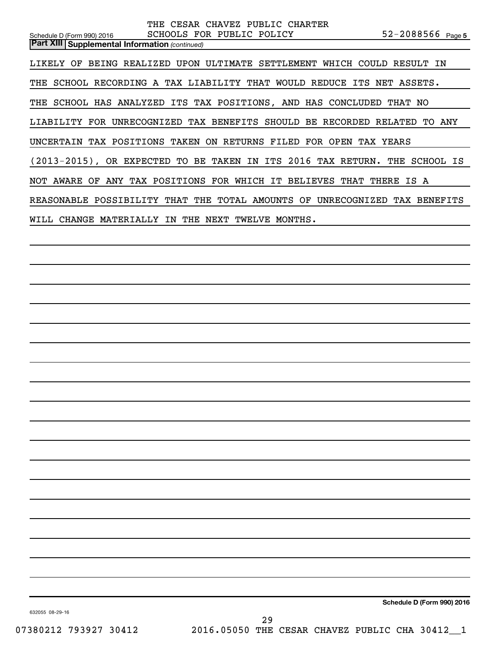| THE CESAR CHAVEZ PUBLIC CHARTER<br>$52 - 2088566$ Page 5<br>SCHOOLS FOR PUBLIC POLICY<br>Schedule D (Form 990) 2016<br><b>Part XIII   Supplemental Information (continued)</b> |
|--------------------------------------------------------------------------------------------------------------------------------------------------------------------------------|
| LIKELY OF BEING REALIZED UPON ULTIMATE SETTLEMENT WHICH COULD RESULT IN                                                                                                        |
| THE SCHOOL RECORDING A TAX LIABILITY THAT WOULD REDUCE ITS NET ASSETS.                                                                                                         |
| THE SCHOOL HAS ANALYZED ITS TAX POSITIONS, AND HAS CONCLUDED THAT NO                                                                                                           |
| LIABILITY FOR UNRECOGNIZED TAX BENEFITS SHOULD BE RECORDED RELATED TO ANY                                                                                                      |
| UNCERTAIN TAX POSITIONS TAKEN ON RETURNS FILED FOR OPEN TAX YEARS                                                                                                              |
| (2013-2015), OR EXPECTED TO BE TAKEN IN ITS 2016 TAX RETURN. THE SCHOOL IS                                                                                                     |
| NOT AWARE OF ANY TAX POSITIONS FOR WHICH IT BELIEVES THAT THERE IS A                                                                                                           |
| REASONABLE POSSIBILITY THAT THE TOTAL AMOUNTS OF UNRECOGNIZED TAX BENEFITS                                                                                                     |
| WILL CHANGE MATERIALLY IN THE NEXT TWELVE MONTHS.                                                                                                                              |
|                                                                                                                                                                                |
|                                                                                                                                                                                |
|                                                                                                                                                                                |
|                                                                                                                                                                                |
|                                                                                                                                                                                |
|                                                                                                                                                                                |
|                                                                                                                                                                                |
|                                                                                                                                                                                |
|                                                                                                                                                                                |
|                                                                                                                                                                                |
|                                                                                                                                                                                |
|                                                                                                                                                                                |
|                                                                                                                                                                                |
|                                                                                                                                                                                |
|                                                                                                                                                                                |
|                                                                                                                                                                                |
|                                                                                                                                                                                |

**Schedule D (Form 990) 2016**

632055 08-29-16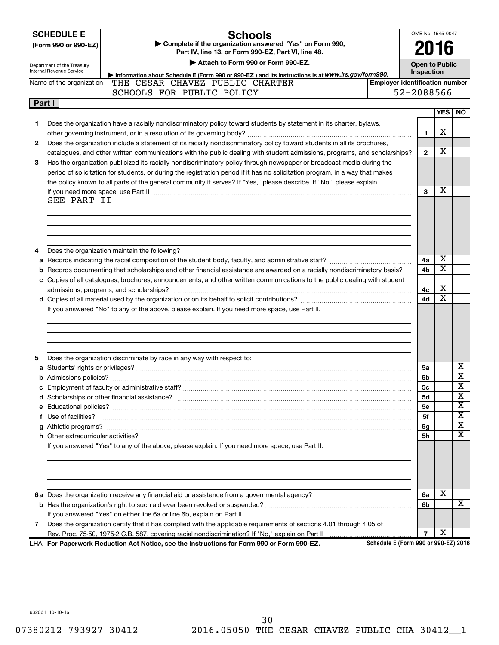|  | <b>SCHEDULE E</b> |  |
|--|-------------------|--|
|  |                   |  |

Department of the Treasury

### **Schools**

**(Form 990 or 990-EZ) | Complete if the organization answered "Yes" on Form 990, Part IV, line 13, or Form 990-EZ, Part VI, line 48.**

**| Attach to Form 990 or Form 990-EZ.**

**Open to Public**

**4a 4b** X X

X X

**4c 4d**

OMB No. 1545-0047

**2016**

|              | Internal Revenue Service<br>Inspection<br>Information about Schedule E (Form 990 or 990-EZ) and its instructions is at WWW.irs.gov/form990.                                                                                                                                                                                                                                     |                                       |  |   |            |           |  |  |  |
|--------------|---------------------------------------------------------------------------------------------------------------------------------------------------------------------------------------------------------------------------------------------------------------------------------------------------------------------------------------------------------------------------------|---------------------------------------|--|---|------------|-----------|--|--|--|
|              | THE CESAR CHAVEZ PUBLIC CHARTER<br>Name of the organization                                                                                                                                                                                                                                                                                                                     | <b>Employer identification number</b> |  |   |            |           |  |  |  |
|              | 52-2088566<br>SCHOOLS FOR PUBLIC POLICY                                                                                                                                                                                                                                                                                                                                         |                                       |  |   |            |           |  |  |  |
|              | Part I                                                                                                                                                                                                                                                                                                                                                                          |                                       |  |   |            |           |  |  |  |
|              |                                                                                                                                                                                                                                                                                                                                                                                 |                                       |  |   | <b>YES</b> | <b>NO</b> |  |  |  |
|              | Does the organization have a racially nondiscriminatory policy toward students by statement in its charter, bylaws,                                                                                                                                                                                                                                                             |                                       |  |   | х          |           |  |  |  |
| $\mathbf{2}$ | Does the organization include a statement of its racially nondiscriminatory policy toward students in all its brochures,<br>catalogues, and other written communications with the public dealing with student admissions, programs, and scholarships?                                                                                                                           |                                       |  |   |            |           |  |  |  |
| 3            | Has the organization publicized its racially nondiscriminatory policy through newspaper or broadcast media during the<br>period of solicitation for students, or during the registration period if it has no solicitation program, in a way that makes<br>the policy known to all parts of the general community it serves? If "Yes," please describe. If "No," please explain. |                                       |  |   |            |           |  |  |  |
|              | If you need more space, use Part II<br>SEE PART II                                                                                                                                                                                                                                                                                                                              |                                       |  | з | х          |           |  |  |  |

**4** Does the organization maintain the following?

**a** Records indicating the racial composition of the student body, faculty, and administrative staff? ~~~~~~~~~~~~~~ **b** Records documenting that scholarships and other financial assistance are awarded on a racially nondiscriminatory basis? ... **c** Copies of all catalogues, brochures, announcements, and other written communications to the public dealing with student

**d** Copies of all material used by the organization or on its behalf to solicit contributions? ~~~~~~~~~~~~~~~~~~~ admissions, programs, and scholarships? ~~~~~~~~~~~~~~~~~~~~~~~~~~~~~~~~~~~~~~~~~

If you answered "No" to any of the above, please explain. If you need more space, use Part II.

| 5              | Does the organization discriminate by race in any way with respect to:                                               |                |   |   |
|----------------|----------------------------------------------------------------------------------------------------------------------|----------------|---|---|
|                |                                                                                                                      | 5a             |   | x |
|                |                                                                                                                      | <b>5b</b>      |   | X |
|                |                                                                                                                      | 5 <sub>c</sub> |   | X |
|                |                                                                                                                      | 5d             |   | X |
|                |                                                                                                                      | 5e             |   | х |
|                |                                                                                                                      | 5f             |   | x |
|                |                                                                                                                      | 5g             |   | X |
|                |                                                                                                                      | 5h             |   | x |
|                | If you answered "Yes" to any of the above, please explain. If you need more space, use Part II.                      |                |   |   |
|                |                                                                                                                      |                |   |   |
|                |                                                                                                                      |                |   |   |
|                |                                                                                                                      | 6a             | X |   |
|                |                                                                                                                      | 6b             |   | X |
|                | If you answered "Yes" on either line 6a or line 6b, explain on Part II.                                              |                |   |   |
| $\overline{7}$ | Does the organization certify that it has complied with the applicable requirements of sections 4.01 through 4.05 of |                |   |   |
|                |                                                                                                                      |                | х |   |

**For Paperwork Reduction Act Notice, see the Instructions for Form 990 or Form 990-EZ.** LHA

**Schedule E (Form 990 or 990-EZ) 2016**

632061 10-10-16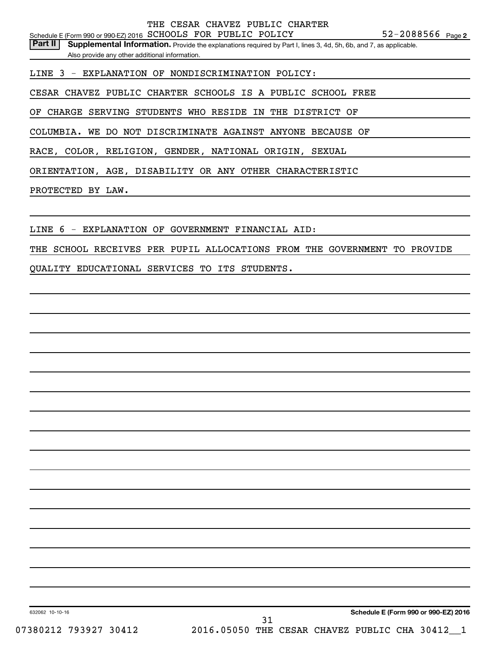52-2088566 <sub>Page 2</sub> Schedule E (Form 990 or 990-EZ) 2016  $SCHOOLS$  FOR PUBLIC POLICY  $52-2088566$  Page

Part II | Supplemental Information. Provide the explanations required by Part I, lines 3, 4d, 5h, 6b, and 7, as applicable. Also provide any other additional information.

LINE 3 - EXPLANATION OF NONDISCRIMINATION POLICY:

CESAR CHAVEZ PUBLIC CHARTER SCHOOLS IS A PUBLIC SCHOOL FREE

OF CHARGE SERVING STUDENTS WHO RESIDE IN THE DISTRICT OF

COLUMBIA. WE DO NOT DISCRIMINATE AGAINST ANYONE BECAUSE OF

RACE, COLOR, RELIGION, GENDER, NATIONAL ORIGIN, SEXUAL

ORIENTATION, AGE, DISABILITY OR ANY OTHER CHARACTERISTIC

PROTECTED BY LAW.

LINE 6 - EXPLANATION OF GOVERNMENT FINANCIAL AID:

THE SCHOOL RECEIVES PER PUPIL ALLOCATIONS FROM THE GOVERNMENT TO PROVIDE

QUALITY EDUCATIONAL SERVICES TO ITS STUDENTS.

**Schedule E (Form 990 or 990-EZ) 2016**

632062 10-10-16

07380212 793927 30412 2016.05050 THE CESAR CHAVEZ PUBLIC CHA 30412\_1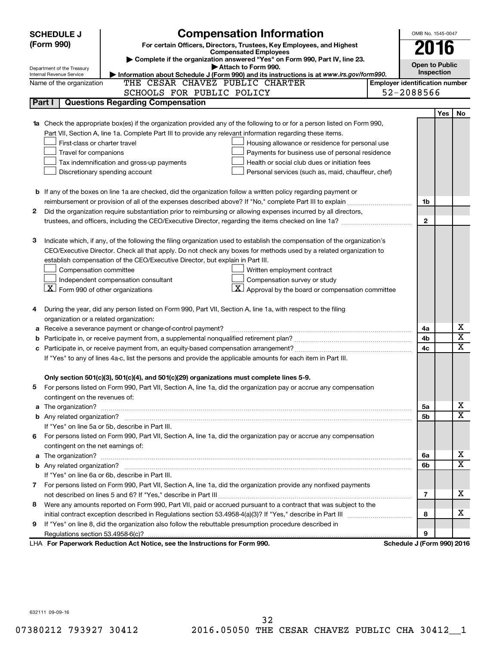| <b>Compensation Information</b><br><b>SCHEDULE J</b> |                                                                                            |                                                                                                                                                               |  | OMB No. 1545-0047          |                                       |                         |  |  |  |
|------------------------------------------------------|--------------------------------------------------------------------------------------------|---------------------------------------------------------------------------------------------------------------------------------------------------------------|--|----------------------------|---------------------------------------|-------------------------|--|--|--|
|                                                      | (Form 990)                                                                                 | For certain Officers, Directors, Trustees, Key Employees, and Highest                                                                                         |  | 2016                       |                                       |                         |  |  |  |
|                                                      |                                                                                            | <b>Compensated Employees</b><br>Complete if the organization answered "Yes" on Form 990, Part IV, line 23.                                                    |  |                            |                                       |                         |  |  |  |
|                                                      | Department of the Treasury                                                                 | Attach to Form 990.                                                                                                                                           |  | <b>Open to Public</b>      |                                       |                         |  |  |  |
|                                                      | Internal Revenue Service                                                                   | Information about Schedule J (Form 990) and its instructions is at www.irs.gov/form990.                                                                       |  | Inspection                 |                                       |                         |  |  |  |
|                                                      | Name of the organization                                                                   | THE CESAR CHAVEZ PUBLIC CHARTER                                                                                                                               |  |                            | <b>Employer identification number</b> |                         |  |  |  |
|                                                      |                                                                                            | SCHOOLS FOR PUBLIC POLICY                                                                                                                                     |  | 52-2088566                 |                                       |                         |  |  |  |
|                                                      | Part I                                                                                     | <b>Questions Regarding Compensation</b>                                                                                                                       |  |                            |                                       |                         |  |  |  |
|                                                      |                                                                                            |                                                                                                                                                               |  |                            | Yes                                   | No                      |  |  |  |
|                                                      |                                                                                            | Check the appropriate box(es) if the organization provided any of the following to or for a person listed on Form 990,                                        |  |                            |                                       |                         |  |  |  |
|                                                      | First-class or charter travel                                                              | Part VII, Section A, line 1a. Complete Part III to provide any relevant information regarding these items.<br>Housing allowance or residence for personal use |  |                            |                                       |                         |  |  |  |
|                                                      | Travel for companions                                                                      | Payments for business use of personal residence                                                                                                               |  |                            |                                       |                         |  |  |  |
|                                                      | Health or social club dues or initiation fees<br>Tax indemnification and gross-up payments |                                                                                                                                                               |  |                            |                                       |                         |  |  |  |
|                                                      |                                                                                            | Discretionary spending account<br>Personal services (such as, maid, chauffeur, chef)                                                                          |  |                            |                                       |                         |  |  |  |
|                                                      |                                                                                            |                                                                                                                                                               |  |                            |                                       |                         |  |  |  |
|                                                      |                                                                                            | <b>b</b> If any of the boxes on line 1a are checked, did the organization follow a written policy regarding payment or                                        |  |                            |                                       |                         |  |  |  |
|                                                      |                                                                                            |                                                                                                                                                               |  | 1b                         |                                       |                         |  |  |  |
| 2                                                    |                                                                                            | Did the organization require substantiation prior to reimbursing or allowing expenses incurred by all directors,                                              |  |                            |                                       |                         |  |  |  |
|                                                      |                                                                                            |                                                                                                                                                               |  | $\mathbf{2}$               |                                       |                         |  |  |  |
|                                                      |                                                                                            |                                                                                                                                                               |  |                            |                                       |                         |  |  |  |
| з                                                    |                                                                                            | Indicate which, if any, of the following the filing organization used to establish the compensation of the organization's                                     |  |                            |                                       |                         |  |  |  |
|                                                      |                                                                                            | CEO/Executive Director. Check all that apply. Do not check any boxes for methods used by a related organization to                                            |  |                            |                                       |                         |  |  |  |
|                                                      |                                                                                            | establish compensation of the CEO/Executive Director, but explain in Part III.                                                                                |  |                            |                                       |                         |  |  |  |
|                                                      | Compensation committee                                                                     | Written employment contract                                                                                                                                   |  |                            |                                       |                         |  |  |  |
|                                                      |                                                                                            | Independent compensation consultant<br>Compensation survey or study                                                                                           |  |                            |                                       |                         |  |  |  |
|                                                      | $X$ Form 990 of other organizations                                                        | $\boxed{\textbf{X}}$ Approval by the board or compensation committee                                                                                          |  |                            |                                       |                         |  |  |  |
|                                                      |                                                                                            |                                                                                                                                                               |  |                            |                                       |                         |  |  |  |
| 4                                                    |                                                                                            | During the year, did any person listed on Form 990, Part VII, Section A, line 1a, with respect to the filing                                                  |  |                            |                                       |                         |  |  |  |
|                                                      | organization or a related organization:                                                    |                                                                                                                                                               |  |                            |                                       | х                       |  |  |  |
| а                                                    |                                                                                            | Receive a severance payment or change-of-control payment?                                                                                                     |  | 4a                         |                                       | $\overline{\textbf{x}}$ |  |  |  |
| b                                                    |                                                                                            |                                                                                                                                                               |  | 4b<br>4c                   |                                       | $\mathbf x$             |  |  |  |
|                                                      |                                                                                            | If "Yes" to any of lines 4a-c, list the persons and provide the applicable amounts for each item in Part III.                                                 |  |                            |                                       |                         |  |  |  |
|                                                      |                                                                                            |                                                                                                                                                               |  |                            |                                       |                         |  |  |  |
|                                                      |                                                                                            | Only section 501(c)(3), 501(c)(4), and 501(c)(29) organizations must complete lines 5-9.                                                                      |  |                            |                                       |                         |  |  |  |
|                                                      |                                                                                            | For persons listed on Form 990, Part VII, Section A, line 1a, did the organization pay or accrue any compensation                                             |  |                            |                                       |                         |  |  |  |
|                                                      | contingent on the revenues of:                                                             |                                                                                                                                                               |  |                            |                                       |                         |  |  |  |
| a                                                    |                                                                                            |                                                                                                                                                               |  | 5a                         |                                       | x                       |  |  |  |
|                                                      |                                                                                            |                                                                                                                                                               |  | 5b                         |                                       | X                       |  |  |  |
|                                                      |                                                                                            | If "Yes" on line 5a or 5b, describe in Part III.                                                                                                              |  |                            |                                       |                         |  |  |  |
| 6.                                                   |                                                                                            | For persons listed on Form 990, Part VII, Section A, line 1a, did the organization pay or accrue any compensation                                             |  |                            |                                       |                         |  |  |  |
|                                                      | contingent on the net earnings of:                                                         |                                                                                                                                                               |  |                            |                                       |                         |  |  |  |
| a                                                    |                                                                                            |                                                                                                                                                               |  | 6a                         |                                       | x                       |  |  |  |
|                                                      |                                                                                            |                                                                                                                                                               |  | 6b                         |                                       | $\overline{\textbf{x}}$ |  |  |  |
|                                                      |                                                                                            | If "Yes" on line 6a or 6b, describe in Part III.                                                                                                              |  |                            |                                       |                         |  |  |  |
|                                                      |                                                                                            | 7 For persons listed on Form 990, Part VII, Section A, line 1a, did the organization provide any nonfixed payments                                            |  |                            |                                       |                         |  |  |  |
|                                                      |                                                                                            |                                                                                                                                                               |  | 7                          |                                       | x                       |  |  |  |
| 8                                                    |                                                                                            | Were any amounts reported on Form 990, Part VII, paid or accrued pursuant to a contract that was subject to the                                               |  |                            |                                       |                         |  |  |  |
|                                                      |                                                                                            |                                                                                                                                                               |  | 8                          |                                       | x                       |  |  |  |
| 9                                                    |                                                                                            | If "Yes" on line 8, did the organization also follow the rebuttable presumption procedure described in                                                        |  |                            |                                       |                         |  |  |  |
|                                                      |                                                                                            |                                                                                                                                                               |  | 9                          |                                       |                         |  |  |  |
|                                                      |                                                                                            | LHA For Paperwork Reduction Act Notice, see the Instructions for Form 990.                                                                                    |  | Schedule J (Form 990) 2016 |                                       |                         |  |  |  |

632111 09-09-16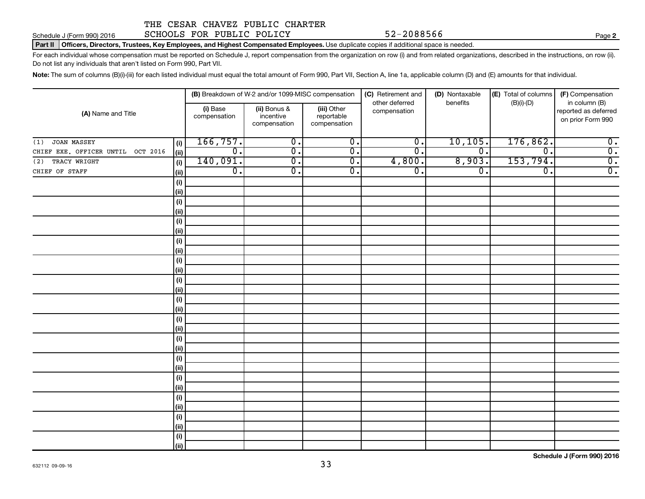Schedule J (Form 990) 2016 SCHOOLS FOR PUBLIC POLICY 52-2088566

### Part II | Officers, Directors, Trustees, Key Employees, and Highest Compensated Employees. Use duplicate copies if additional space is needed.

For each individual whose compensation must be reported on Schedule J, report compensation from the organization on row (i) and from related organizations, described in the instructions, on row (ii). Do not list any individuals that aren't listed on Form 990, Part VII.

Note: The sum of columns (B)(i)-(iii) for each listed individual must equal the total amount of Form 990, Part VII, Section A, line 1a, applicable column (D) and (E) amounts for that individual.

|                                                     |                          | (B) Breakdown of W-2 and/or 1099-MISC compensation |                                           | (C) Retirement and             | (D) Nontaxable   | (E) Total of columns | (F) Compensation                                           |  |  |
|-----------------------------------------------------|--------------------------|----------------------------------------------------|-------------------------------------------|--------------------------------|------------------|----------------------|------------------------------------------------------------|--|--|
| (A) Name and Title                                  | (i) Base<br>compensation | (ii) Bonus &<br>incentive<br>compensation          | (iii) Other<br>reportable<br>compensation | other deferred<br>compensation | benefits         | $(B)(i)$ - $(D)$     | in column (B)<br>reported as deferred<br>on prior Form 990 |  |  |
| JOAN MASSEY<br>(1)<br>(i)                           | 166, 757.                | $\overline{0}$ .                                   | $\overline{0}$ .                          | $\overline{0}$ .               | 10, 105.         | 176,862.             | $\overline{\mathbf{0}}$ .                                  |  |  |
| CHIEF EXE. OFFICER UNTIL OCT 2016<br>(ii)           | σ.                       | $\overline{0}$ .                                   | $\overline{0}$ .                          | $\overline{0}$ .               | $\overline{0}$ . | $\overline{0}$       | $\overline{0}$ .                                           |  |  |
| TRACY WRIGHT<br>$\qquad \qquad \textbf{(i)}$<br>(2) | 140,091.                 | $\overline{0}$ .                                   | $\overline{\mathfrak{o}}$ .               | 4,800.                         | 8,903.           | 153,794.             | $\overline{0}$ .                                           |  |  |
| CHIEF OF STAFF<br>$\vert$ (ii)                      | $\overline{0}$ .         | σ.                                                 | $\overline{\mathfrak{o}}$ .               | $\overline{0}$ .               | $\overline{0}$ . | 0.                   | $\overline{0}$ .                                           |  |  |
| (i)                                                 |                          |                                                    |                                           |                                |                  |                      |                                                            |  |  |
| (i)                                                 |                          |                                                    |                                           |                                |                  |                      |                                                            |  |  |
| (i)                                                 |                          |                                                    |                                           |                                |                  |                      |                                                            |  |  |
| (i)                                                 |                          |                                                    |                                           |                                |                  |                      |                                                            |  |  |
| (i)                                                 |                          |                                                    |                                           |                                |                  |                      |                                                            |  |  |
| $\vert$ (ii)                                        |                          |                                                    |                                           |                                |                  |                      |                                                            |  |  |
| (i)                                                 |                          |                                                    |                                           |                                |                  |                      |                                                            |  |  |
| $\vert$ (ii)                                        |                          |                                                    |                                           |                                |                  |                      |                                                            |  |  |
| (i)                                                 |                          |                                                    |                                           |                                |                  |                      |                                                            |  |  |
| (ii)                                                |                          |                                                    |                                           |                                |                  |                      |                                                            |  |  |
| (i)                                                 |                          |                                                    |                                           |                                |                  |                      |                                                            |  |  |
| (ii)                                                |                          |                                                    |                                           |                                |                  |                      |                                                            |  |  |
| (i)                                                 |                          |                                                    |                                           |                                |                  |                      |                                                            |  |  |
| $\vert$ (ii)                                        |                          |                                                    |                                           |                                |                  |                      |                                                            |  |  |
| (i)                                                 |                          |                                                    |                                           |                                |                  |                      |                                                            |  |  |
| $\vert$ (ii)                                        |                          |                                                    |                                           |                                |                  |                      |                                                            |  |  |
| (i)<br>$\vert$ (ii)                                 |                          |                                                    |                                           |                                |                  |                      |                                                            |  |  |
| (i)                                                 |                          |                                                    |                                           |                                |                  |                      |                                                            |  |  |
| (ii)                                                |                          |                                                    |                                           |                                |                  |                      |                                                            |  |  |
| (i)                                                 |                          |                                                    |                                           |                                |                  |                      |                                                            |  |  |
| (i)                                                 |                          |                                                    |                                           |                                |                  |                      |                                                            |  |  |
| (i)                                                 |                          |                                                    |                                           |                                |                  |                      |                                                            |  |  |
| $\vert$ (ii)                                        |                          |                                                    |                                           |                                |                  |                      |                                                            |  |  |
| (i)                                                 |                          |                                                    |                                           |                                |                  |                      |                                                            |  |  |
| (i)                                                 |                          |                                                    |                                           |                                |                  |                      |                                                            |  |  |
| (i)                                                 |                          |                                                    |                                           |                                |                  |                      |                                                            |  |  |
| $\vert$ (ii)                                        |                          |                                                    |                                           |                                |                  |                      |                                                            |  |  |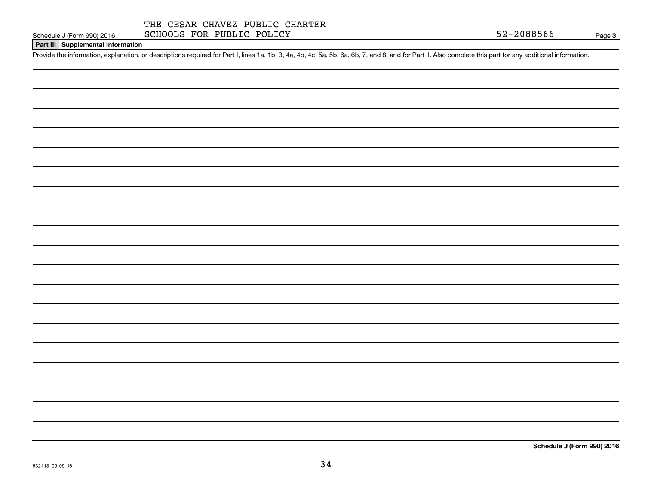### **Part III Supplemental Information**

Provide the information, explanation, or descriptions required for Part I, lines 1a, 1b, 3, 4a, 4b, 4c, 5a, 5b, 6a, 6b, 7, and 8, and for Part II. Also complete this part for any additional information.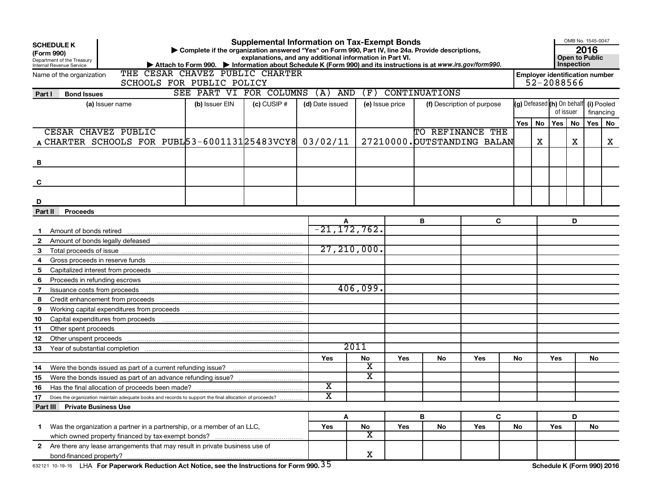|              | <b>Supplemental Information on Tax-Exempt Bonds</b><br><b>SCHEDULE K</b><br>Complete if the organization answered "Yes" on Form 990, Part IV, line 24a. Provide descriptions,<br>(Form 990)<br>explanations, and any additional information in Part VI.<br>Department of the Treasury<br>Internal Revenue Service<br>Attach to Form 990. Information about Schedule K (Form 990) and its instructions is at www.irs.gov/form990.<br>THE CESAR CHAVEZ PUBLIC CHARTER |                                                                                                        |                         |               |                       |                         |                 |                      |                             |                                                     | OMB No. 1545-0047<br>2016<br><b>Open to Public</b><br><b>Inspection</b> |                                |    |            |    |
|--------------|---------------------------------------------------------------------------------------------------------------------------------------------------------------------------------------------------------------------------------------------------------------------------------------------------------------------------------------------------------------------------------------------------------------------------------------------------------------------|--------------------------------------------------------------------------------------------------------|-------------------------|---------------|-----------------------|-------------------------|-----------------|----------------------|-----------------------------|-----------------------------------------------------|-------------------------------------------------------------------------|--------------------------------|----|------------|----|
|              | Name of the organization                                                                                                                                                                                                                                                                                                                                                                                                                                            | SCHOOLS FOR PUBLIC POLICY                                                                              |                         |               |                       |                         |                 |                      |                             | <b>Employer identification number</b><br>52-2088566 |                                                                         |                                |    |            |    |
|              |                                                                                                                                                                                                                                                                                                                                                                                                                                                                     |                                                                                                        | SEE PART VI FOR COLUMNS |               | $(A)$ AND             | (F)                     |                 | <b>CONTINUATIONS</b> |                             |                                                     |                                                                         |                                |    |            |    |
| Part I       | <b>Bond Issues</b><br>(a) Issuer name                                                                                                                                                                                                                                                                                                                                                                                                                               |                                                                                                        | (b) Issuer EIN          | $(c)$ CUSIP # | (d) Date issued       |                         | (e) Issue price |                      | (f) Description of purpose  |                                                     |                                                                         | $(g)$ Defeased $(h)$ On behalf |    | (i) Pooled |    |
|              |                                                                                                                                                                                                                                                                                                                                                                                                                                                                     |                                                                                                        |                         |               |                       |                         |                 |                      |                             |                                                     |                                                                         | of issuer                      |    | financing  |    |
|              |                                                                                                                                                                                                                                                                                                                                                                                                                                                                     |                                                                                                        |                         |               |                       |                         |                 |                      |                             | Yes                                                 | No                                                                      | Yes                            | No | Yes        | No |
|              | CESAR CHAVEZ PUBLIC                                                                                                                                                                                                                                                                                                                                                                                                                                                 |                                                                                                        |                         |               |                       |                         |                 | TO REFINANCE THE     |                             |                                                     |                                                                         |                                |    |            |    |
|              |                                                                                                                                                                                                                                                                                                                                                                                                                                                                     | A CHARTER SCHOOLS FOR PUBL 53-6001131 25483 VCY8 03/02/11                                              |                         |               |                       |                         |                 |                      | 27210000. OUTSTANDING BALAN |                                                     | X                                                                       |                                | x  |            | x  |
|              |                                                                                                                                                                                                                                                                                                                                                                                                                                                                     |                                                                                                        |                         |               |                       |                         |                 |                      |                             |                                                     |                                                                         |                                |    |            |    |
| в            |                                                                                                                                                                                                                                                                                                                                                                                                                                                                     |                                                                                                        |                         |               |                       |                         |                 |                      |                             |                                                     |                                                                         |                                |    |            |    |
|              |                                                                                                                                                                                                                                                                                                                                                                                                                                                                     |                                                                                                        |                         |               |                       |                         |                 |                      |                             |                                                     |                                                                         |                                |    |            |    |
| C            |                                                                                                                                                                                                                                                                                                                                                                                                                                                                     |                                                                                                        |                         |               |                       |                         |                 |                      |                             |                                                     |                                                                         |                                |    |            |    |
|              |                                                                                                                                                                                                                                                                                                                                                                                                                                                                     |                                                                                                        |                         |               |                       |                         |                 |                      |                             |                                                     |                                                                         |                                |    |            |    |
| D            |                                                                                                                                                                                                                                                                                                                                                                                                                                                                     |                                                                                                        |                         |               |                       |                         |                 |                      |                             |                                                     |                                                                         |                                |    |            |    |
| Part II      | <b>Proceeds</b>                                                                                                                                                                                                                                                                                                                                                                                                                                                     |                                                                                                        |                         |               |                       |                         |                 |                      |                             |                                                     |                                                                         |                                |    |            |    |
|              |                                                                                                                                                                                                                                                                                                                                                                                                                                                                     |                                                                                                        |                         |               |                       |                         |                 | В                    | C                           |                                                     |                                                                         |                                | D  |            |    |
|              |                                                                                                                                                                                                                                                                                                                                                                                                                                                                     |                                                                                                        |                         |               |                       | $-21, 172, 762.$        |                 |                      |                             |                                                     |                                                                         |                                |    |            |    |
| $\mathbf{2}$ |                                                                                                                                                                                                                                                                                                                                                                                                                                                                     |                                                                                                        |                         |               |                       |                         |                 |                      |                             |                                                     |                                                                         |                                |    |            |    |
| 3            |                                                                                                                                                                                                                                                                                                                                                                                                                                                                     |                                                                                                        |                         |               |                       | 27, 210, 000.           |                 |                      |                             |                                                     |                                                                         |                                |    |            |    |
| 4            |                                                                                                                                                                                                                                                                                                                                                                                                                                                                     |                                                                                                        |                         |               |                       |                         |                 |                      |                             |                                                     |                                                                         |                                |    |            |    |
| 5            |                                                                                                                                                                                                                                                                                                                                                                                                                                                                     |                                                                                                        |                         |               |                       |                         |                 |                      |                             |                                                     |                                                                         |                                |    |            |    |
| 6            | Proceeds in refunding escrows                                                                                                                                                                                                                                                                                                                                                                                                                                       |                                                                                                        |                         |               |                       |                         |                 |                      |                             |                                                     |                                                                         |                                |    |            |    |
| 7            | Issuance costs from proceeds                                                                                                                                                                                                                                                                                                                                                                                                                                        |                                                                                                        |                         |               |                       | 406,099.                |                 |                      |                             |                                                     |                                                                         |                                |    |            |    |
| 8            | Credit enhancement from proceeds                                                                                                                                                                                                                                                                                                                                                                                                                                    |                                                                                                        |                         |               |                       |                         |                 |                      |                             |                                                     |                                                                         |                                |    |            |    |
| 9            |                                                                                                                                                                                                                                                                                                                                                                                                                                                                     |                                                                                                        |                         |               |                       |                         |                 |                      |                             |                                                     |                                                                         |                                |    |            |    |
| 10           |                                                                                                                                                                                                                                                                                                                                                                                                                                                                     |                                                                                                        |                         |               |                       |                         |                 |                      |                             |                                                     |                                                                         |                                |    |            |    |
| 11           | Other spent proceeds                                                                                                                                                                                                                                                                                                                                                                                                                                                |                                                                                                        |                         |               |                       |                         |                 |                      |                             |                                                     |                                                                         |                                |    |            |    |
| 12           | Other unspent proceeds                                                                                                                                                                                                                                                                                                                                                                                                                                              |                                                                                                        |                         |               |                       | 2011                    |                 |                      |                             |                                                     |                                                                         |                                |    |            |    |
| 13           |                                                                                                                                                                                                                                                                                                                                                                                                                                                                     |                                                                                                        |                         |               |                       |                         |                 |                      |                             |                                                     |                                                                         |                                |    |            |    |
| 14           |                                                                                                                                                                                                                                                                                                                                                                                                                                                                     | Were the bonds issued as part of a current refunding issue?                                            |                         |               | Yes                   | No<br>х                 | <b>Yes</b>      | No                   | Yes                         | No                                                  |                                                                         | Yes                            |    | No.        |    |
| 15           |                                                                                                                                                                                                                                                                                                                                                                                                                                                                     |                                                                                                        |                         |               |                       | X.                      |                 |                      |                             |                                                     |                                                                         |                                |    |            |    |
| 16           |                                                                                                                                                                                                                                                                                                                                                                                                                                                                     | Has the final allocation of proceeds been made?                                                        |                         |               | х                     |                         |                 |                      |                             |                                                     |                                                                         |                                |    |            |    |
| 17           |                                                                                                                                                                                                                                                                                                                                                                                                                                                                     | Does the organization maintain adequate books and records to support the final allocation of proceeds? |                         |               | $\overline{\text{x}}$ |                         |                 |                      |                             |                                                     |                                                                         |                                |    |            |    |
|              | Part III Private Business Use                                                                                                                                                                                                                                                                                                                                                                                                                                       |                                                                                                        |                         |               |                       |                         |                 |                      |                             |                                                     |                                                                         |                                |    |            |    |
|              |                                                                                                                                                                                                                                                                                                                                                                                                                                                                     |                                                                                                        |                         |               |                       | Α                       |                 | B                    | C                           |                                                     |                                                                         |                                | D  |            |    |
| 1.           |                                                                                                                                                                                                                                                                                                                                                                                                                                                                     | Was the organization a partner in a partnership, or a member of an LLC,                                |                         |               | Yes                   | No                      | Yes             | No                   | Yes                         | No                                                  |                                                                         | Yes                            |    | No         |    |
|              |                                                                                                                                                                                                                                                                                                                                                                                                                                                                     |                                                                                                        |                         |               |                       | $\overline{\mathbf{X}}$ |                 |                      |                             |                                                     |                                                                         |                                |    |            |    |
|              |                                                                                                                                                                                                                                                                                                                                                                                                                                                                     | 2 Are there any lease arrangements that may result in private business use of                          |                         |               |                       |                         |                 |                      |                             |                                                     |                                                                         |                                |    |            |    |
|              |                                                                                                                                                                                                                                                                                                                                                                                                                                                                     |                                                                                                        |                         |               |                       | X                       |                 |                      |                             |                                                     |                                                                         |                                |    |            |    |
|              |                                                                                                                                                                                                                                                                                                                                                                                                                                                                     | 632121 10-19-16 LHA For Paperwork Reduction Act Notice, see the Instructions for Form 990. 35          |                         |               |                       |                         |                 |                      |                             |                                                     |                                                                         | Schedule K (Form 990) 2016     |    |            |    |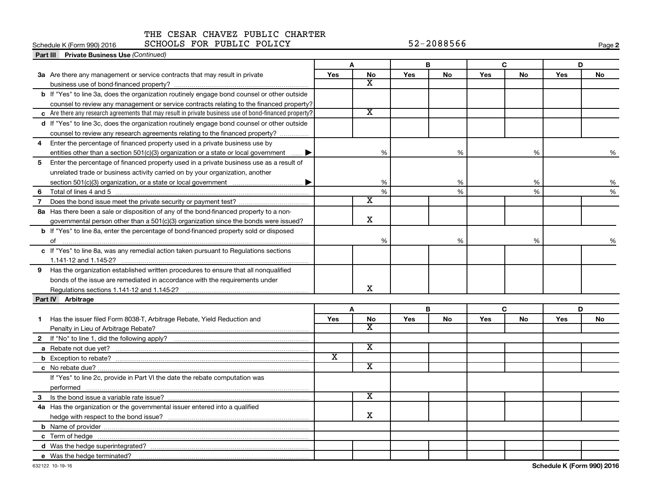### Schedule K (Form 990) 2016 SCHOOLS FOR PUBLIC POLICY 52-2088566

| SCHOOLS FOR PUBLIC POLICY<br>Schedule K (Form 990) 2016                                                |                         |                         |            | 52-2088566 |     |    |     | Page 2 |
|--------------------------------------------------------------------------------------------------------|-------------------------|-------------------------|------------|------------|-----|----|-----|--------|
| Part III Private Business Use (Continued)                                                              |                         |                         |            |            |     |    |     |        |
|                                                                                                        |                         | A                       |            | В          |     | C  | D   |        |
| 3a Are there any management or service contracts that may result in private                            | Yes                     | No                      | Yes        | No         | Yes | No | Yes | No     |
|                                                                                                        |                         | $\overline{\textbf{x}}$ |            |            |     |    |     |        |
| b If "Yes" to line 3a, does the organization routinely engage bond counsel or other outside            |                         |                         |            |            |     |    |     |        |
| counsel to review any management or service contracts relating to the financed property?               |                         |                         |            |            |     |    |     |        |
| c Are there any research agreements that may result in private business use of bond-financed property? |                         | $\overline{\mathbf{X}}$ |            |            |     |    |     |        |
| d If "Yes" to line 3c, does the organization routinely engage bond counsel or other outside            |                         |                         |            |            |     |    |     |        |
| counsel to review any research agreements relating to the financed property?                           |                         |                         |            |            |     |    |     |        |
| Enter the percentage of financed property used in a private business use by<br>4                       |                         |                         |            |            |     |    |     |        |
| entities other than a section 501(c)(3) organization or a state or local government $\ldots$           |                         | %                       |            | %          |     | %  |     | %      |
| Enter the percentage of financed property used in a private business use as a result of<br>5           |                         |                         |            |            |     |    |     |        |
| unrelated trade or business activity carried on by your organization, another                          |                         |                         |            |            |     |    |     |        |
|                                                                                                        |                         | %                       |            | $\%$       |     | %  |     | %      |
| 6                                                                                                      |                         | $\%$                    |            | $\%$       |     | %  |     | %      |
| 7                                                                                                      |                         | $\overline{\texttt{x}}$ |            |            |     |    |     |        |
| 8a Has there been a sale or disposition of any of the bond-financed property to a non-                 |                         |                         |            |            |     |    |     |        |
| governmental person other than a 501(c)(3) organization since the bonds were issued?                   |                         | $\mathbf X$             |            |            |     |    |     |        |
| <b>b</b> If "Yes" to line 8a, enter the percentage of bond-financed property sold or disposed          |                         |                         |            |            |     |    |     |        |
|                                                                                                        |                         | %                       |            | %          |     | %  |     | %      |
| c If "Yes" to line 8a, was any remedial action taken pursuant to Regulations sections                  |                         |                         |            |            |     |    |     |        |
|                                                                                                        |                         |                         |            |            |     |    |     |        |
| 9 Has the organization established written procedures to ensure that all nonqualified                  |                         |                         |            |            |     |    |     |        |
| bonds of the issue are remediated in accordance with the requirements under                            |                         |                         |            |            |     |    |     |        |
|                                                                                                        |                         | х                       |            |            |     |    |     |        |
| Part IV Arbitrage                                                                                      |                         |                         |            |            |     |    |     |        |
|                                                                                                        |                         | A                       |            | B          |     | C  | D   |        |
| Has the issuer filed Form 8038-T, Arbitrage Rebate, Yield Reduction and<br>1.                          | Yes                     | <b>No</b>               | <b>Yes</b> | No         | Yes | No | Yes | No     |
|                                                                                                        |                         | X                       |            |            |     |    |     |        |
|                                                                                                        |                         |                         |            |            |     |    |     |        |
|                                                                                                        |                         | $\overline{\textbf{x}}$ |            |            |     |    |     |        |
|                                                                                                        | $\overline{\textbf{x}}$ |                         |            |            |     |    |     |        |
|                                                                                                        |                         | $\overline{\textbf{x}}$ |            |            |     |    |     |        |
| If "Yes" to line 2c, provide in Part VI the date the rebate computation was                            |                         |                         |            |            |     |    |     |        |
|                                                                                                        |                         |                         |            |            |     |    |     |        |
| 3                                                                                                      |                         | x                       |            |            |     |    |     |        |
| 4a Has the organization or the governmental issuer entered into a qualified                            |                         |                         |            |            |     |    |     |        |
|                                                                                                        |                         | x                       |            |            |     |    |     |        |
|                                                                                                        |                         |                         |            |            |     |    |     |        |
|                                                                                                        |                         |                         |            |            |     |    |     |        |
|                                                                                                        |                         |                         |            |            |     |    |     |        |
| e Was the hedge terminated?                                                                            |                         |                         |            |            |     |    |     |        |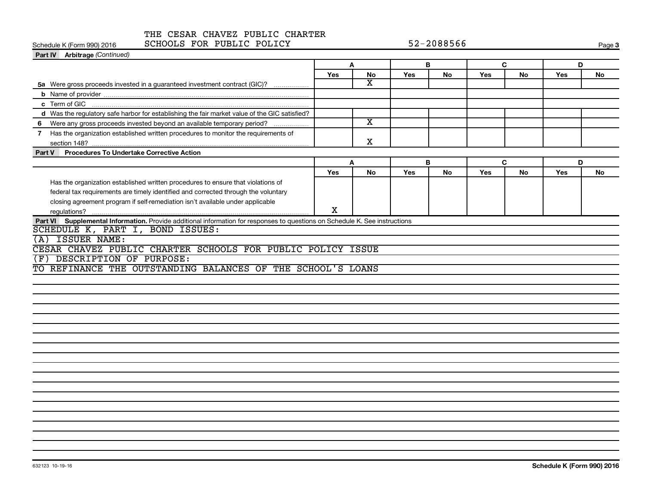|                                                         | THE CESAR CHAVEZ PUBLIC CHARTER                                                                                             |     |                       |            |           |            |           |            |           |  |
|---------------------------------------------------------|-----------------------------------------------------------------------------------------------------------------------------|-----|-----------------------|------------|-----------|------------|-----------|------------|-----------|--|
| SCHOOLS FOR PUBLIC POLICY<br>Schedule K (Form 990) 2016 |                                                                                                                             |     | 52-2088566            |            |           |            |           |            | Page 3    |  |
| Part IV Arbitrage (Continued)                           |                                                                                                                             |     |                       |            |           |            |           |            |           |  |
|                                                         |                                                                                                                             | A   |                       | В          |           | C          |           | D          |           |  |
|                                                         |                                                                                                                             | Yes | <b>No</b>             | <b>Yes</b> | <b>No</b> | <b>Yes</b> | <b>No</b> | <b>Yes</b> | No        |  |
|                                                         | 5a Were gross proceeds invested in a guaranteed investment contract (GIC)?                                                  |     | $\overline{\text{x}}$ |            |           |            |           |            |           |  |
|                                                         |                                                                                                                             |     |                       |            |           |            |           |            |           |  |
|                                                         |                                                                                                                             |     |                       |            |           |            |           |            |           |  |
|                                                         | d Was the requlatory safe harbor for establishing the fair market value of the GIC satisfied?                               |     |                       |            |           |            |           |            |           |  |
| 6                                                       |                                                                                                                             |     | x                     |            |           |            |           |            |           |  |
|                                                         | Has the organization established written procedures to monitor the requirements of                                          |     |                       |            |           |            |           |            |           |  |
|                                                         |                                                                                                                             |     | x                     |            |           |            |           |            |           |  |
| <b>Part V</b>                                           | <b>Procedures To Undertake Corrective Action</b>                                                                            |     |                       |            |           |            |           |            |           |  |
|                                                         |                                                                                                                             |     | A                     |            | B         |            | C         |            | D         |  |
|                                                         |                                                                                                                             | Yes | <b>No</b>             | Yes        | No        | Yes        | <b>No</b> | <b>Yes</b> | <b>No</b> |  |
|                                                         | Has the organization established written procedures to ensure that violations of                                            |     |                       |            |           |            |           |            |           |  |
|                                                         | federal tax requirements are timely identified and corrected through the voluntary                                          |     |                       |            |           |            |           |            |           |  |
|                                                         | closing agreement program if self-remediation isn't available under applicable                                              |     |                       |            |           |            |           |            |           |  |
|                                                         |                                                                                                                             | X   |                       |            |           |            |           |            |           |  |
|                                                         | Part VI Supplemental Information. Provide additional information for responses to questions on Schedule K. See instructions |     |                       |            |           |            |           |            |           |  |
| SCHEDULE K, PART I, BOND ISSUES:                        |                                                                                                                             |     |                       |            |           |            |           |            |           |  |
| <b>ISSUER NAME:</b><br>(A)                              |                                                                                                                             |     |                       |            |           |            |           |            |           |  |
|                                                         | CESAR CHAVEZ PUBLIC CHARTER SCHOOLS FOR PUBLIC POLICY ISSUE                                                                 |     |                       |            |           |            |           |            |           |  |
| DESCRIPTION OF PURPOSE:<br>F)                           |                                                                                                                             |     |                       |            |           |            |           |            |           |  |
|                                                         | REFINANCE THE OUTSTANDING BALANCES OF THE SCHOOL'S LOANS                                                                    |     |                       |            |           |            |           |            |           |  |
|                                                         |                                                                                                                             |     |                       |            |           |            |           |            |           |  |
|                                                         |                                                                                                                             |     |                       |            |           |            |           |            |           |  |

 $\frac{1}{\sqrt{1-\frac{1}{2}}}\left( \frac{1}{\sqrt{1-\frac{1}{2}}}\right) ^{2}$  $\overline{\phantom{a}}$  $\begin{array}{c}\n\hline\n\hline\n\hline\n\end{array}$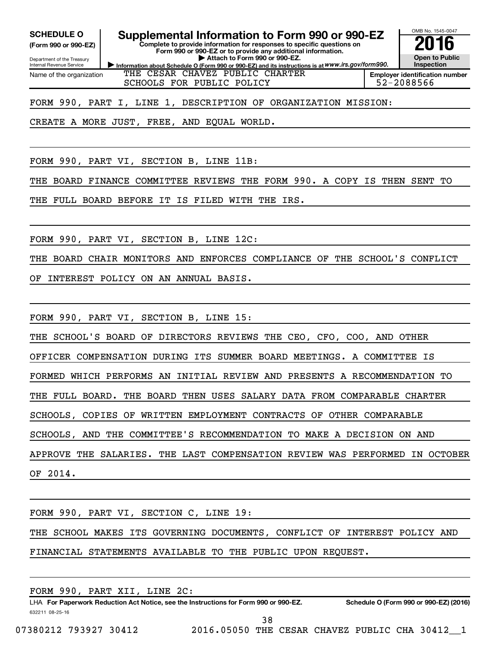**(Form 990 or 990-EZ)**

Department of the Treasury Internal Revenue Service Name of the organization

**SCHEDULE O Supplemental Information to Form 990 or 990-EZ 2016**

**Information about Schedule O (Form 990 or 990-EZ) and its instructions is at WWW.irs.gov/form990. Complete to provide information for responses to specific questions on Form 990 or 990-EZ or to provide any additional information. | Attach to Form 990 or 990-EZ.**



THE CESAR CHAVEZ PUBLIC CHARTER SCHOOLS FOR PUBLIC POLICY FOR SCHOOLS FOR PUBLIC POLICY

FORM 990, PART I, LINE 1, DESCRIPTION OF ORGANIZATION MISSION:

CREATE A MORE JUST, FREE, AND EQUAL WORLD.

FORM 990, PART VI, SECTION B, LINE 11B:

THE BOARD FINANCE COMMITTEE REVIEWS THE FORM 990. A COPY IS THEN SENT TO

THE FULL BOARD BEFORE IT IS FILED WITH THE IRS.

FORM 990, PART VI, SECTION B, LINE 12C:

THE BOARD CHAIR MONITORS AND ENFORCES COMPLIANCE OF THE SCHOOL'S CONFLICT

OF INTEREST POLICY ON AN ANNUAL BASIS.

FORM 990, PART VI, SECTION B, LINE 15:

THE SCHOOL'S BOARD OF DIRECTORS REVIEWS THE CEO, CFO, COO, AND OTHER

OFFICER COMPENSATION DURING ITS SUMMER BOARD MEETINGS. A COMMITTEE IS

FORMED WHICH PERFORMS AN INITIAL REVIEW AND PRESENTS A RECOMMENDATION TO

THE FULL BOARD. THE BOARD THEN USES SALARY DATA FROM COMPARABLE CHARTER

SCHOOLS, COPIES OF WRITTEN EMPLOYMENT CONTRACTS OF OTHER COMPARABLE

SCHOOLS, AND THE COMMITTEE'S RECOMMENDATION TO MAKE A DECISION ON AND

APPROVE THE SALARIES. THE LAST COMPENSATION REVIEW WAS PERFORMED IN OCTOBER OF 2014.

FORM 990, PART VI, SECTION C, LINE 19: THE SCHOOL MAKES ITS GOVERNING DOCUMENTS, CONFLICT OF INTEREST POLICY AND FINANCIAL STATEMENTS AVAILABLE TO THE PUBLIC UPON REQUEST.

632211 08-25-16 LHA For Paperwork Reduction Act Notice, see the Instructions for Form 990 or 990-EZ. Schedule O (Form 990 or 990-EZ) (2016) FORM 990, PART XII, LINE 2C: 38